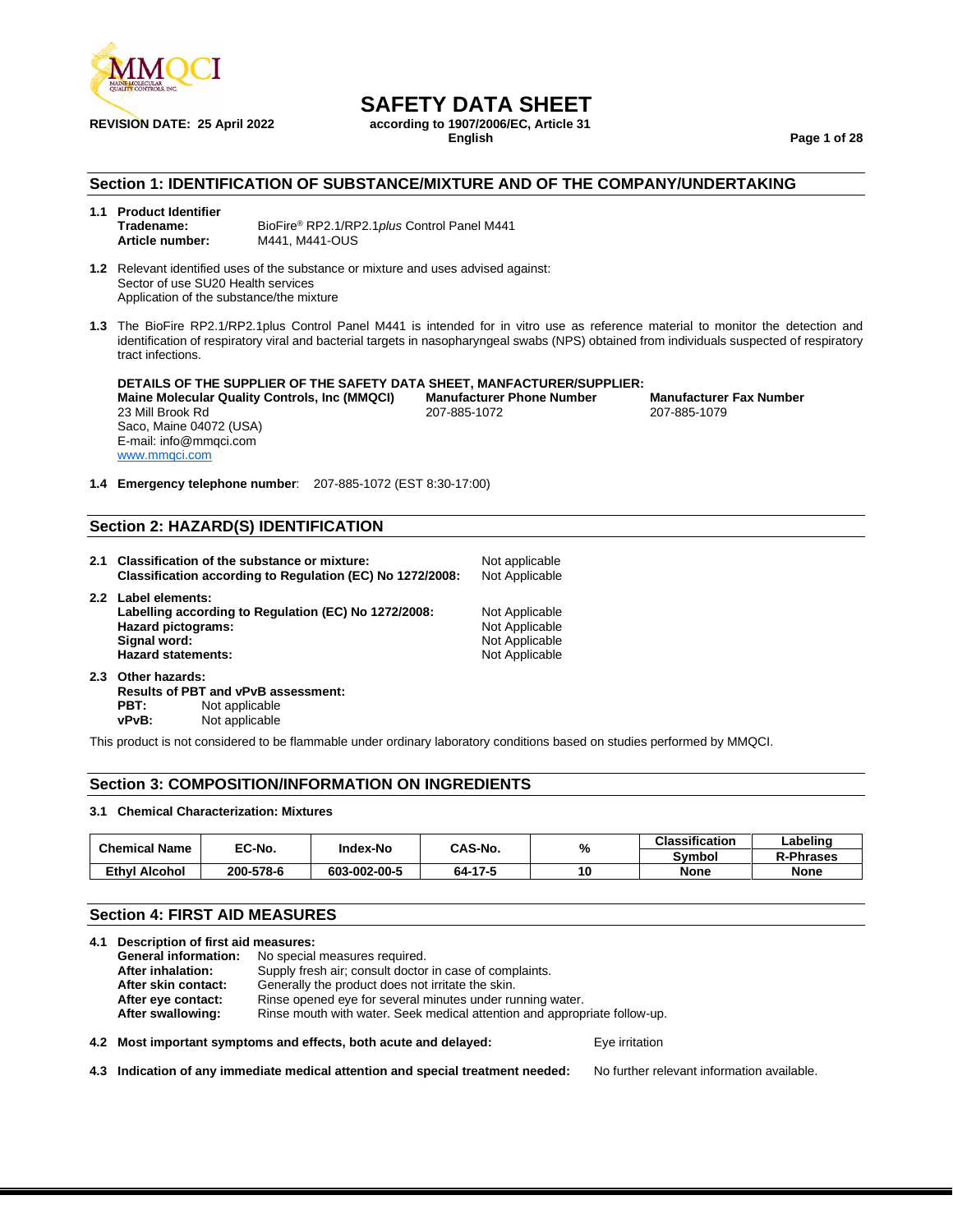

## **SAFETY DATA SHEET**<br>**according to 1907/2006/EC.** Article 31

**REVISION DATE: 25 April 2022 according to 1907/2006**<br>English

**English Page 1 of 28**

### **Section 1: IDENTIFICATION OF SUBSTANCE/MIXTURE AND OF THE COMPANY/UNDERTAKING**

#### **1.1 Product Identifier Tradename:** BioFire® RP2.1/RP2.1*plus* Control Panel M441 **Article number:** M441, M441-OUS

**1.2** Relevant identified uses of the substance or mixture and uses advised against: Sector of use SU20 Health services Application of the substance/the mixture

**1.3** The BioFire RP2.1/RP2.1plus Control Panel M441 is intended for in vitro use as reference material to monitor the detection and identification of respiratory viral and bacterial targets in nasopharyngeal swabs (NPS) obtained from individuals suspected of respiratory tract infections.

### **DETAILS OF THE SUPPLIER OF THE SAFETY DATA SHEET, MANFACTURER/SUPPLIER:**

23 Mill Brook Rd Saco, Maine 04072 (USA) E-mail: info@mmqci.com [www.mmqci.com](http://www.mmqci.com/)

**Maine Molecular Quality Controls, Inc (MMQCI) Manufacturer Phone Number Manufacturer Fax Number**

**1.4 Emergency telephone number**: 207-885-1072 (EST 8:30-17:00)

### **Section 2: HAZARD(S) IDENTIFICATION**

- **2.1 Classification of the substance or mixture:** Not applicable Classification according to Regulation (EC) No 1272/2008: Not Applicable **Classification according to Regulation (EC) No 1272/2008: 2.2 Label elements:** Labelling according to Regulation (EC) No 1272/2008: Not Applicable **Hazard pictograms:** Not Applicable Signal word: Not Applicable Signal word: Not Applicable Signal word: Not Applicable **Not Applicable** Hazard statements: Not Applicable **2.3 Other hazards:**
- **Results of PBT and vPvB assessment: PBT:** Not applicable<br>vPvB: Not applicable **Not applicable**

This product is not considered to be flammable under ordinary laboratory conditions based on studies performed by MMQCI.

### **Section 3: COMPOSITION/INFORMATION ON INGREDIENTS**

#### **3.1 Chemical Characterization: Mixtures**

| <b>Chemical Name</b> | EC-No.    | <b>Index-No</b> |              |        | <b>Classification</b> | Labeling    |
|----------------------|-----------|-----------------|--------------|--------|-----------------------|-------------|
|                      |           |                 | CAS-No.<br>% | Svmbol | <b>R-Phrases</b>      |             |
| <b>Ethyl Alcohol</b> | 200-578-6 | 603-002-00-5    | 64-17-5      | 10     | <b>None</b>           | <b>None</b> |

### **Section 4: FIRST AID MEASURES**

|  | 4.1 Description of first aid measures:                                                         |                                                                  |                |  |
|--|------------------------------------------------------------------------------------------------|------------------------------------------------------------------|----------------|--|
|  | <b>General information:</b>                                                                    | No special measures required.                                    |                |  |
|  | After inhalation:                                                                              | Supply fresh air; consult doctor in case of complaints.          |                |  |
|  | After skin contact:                                                                            | Generally the product does not irritate the skin.                |                |  |
|  | After eye contact:                                                                             | Rinse opened eye for several minutes under running water.        |                |  |
|  | Rinse mouth with water. Seek medical attention and appropriate follow-up.<br>After swallowing: |                                                                  |                |  |
|  |                                                                                                | 4.2 Most important symptoms and effects, both acute and delayed: | Eve irritation |  |

**4.3 Indication of any immediate medical attention and special treatment needed:** No further relevant information available.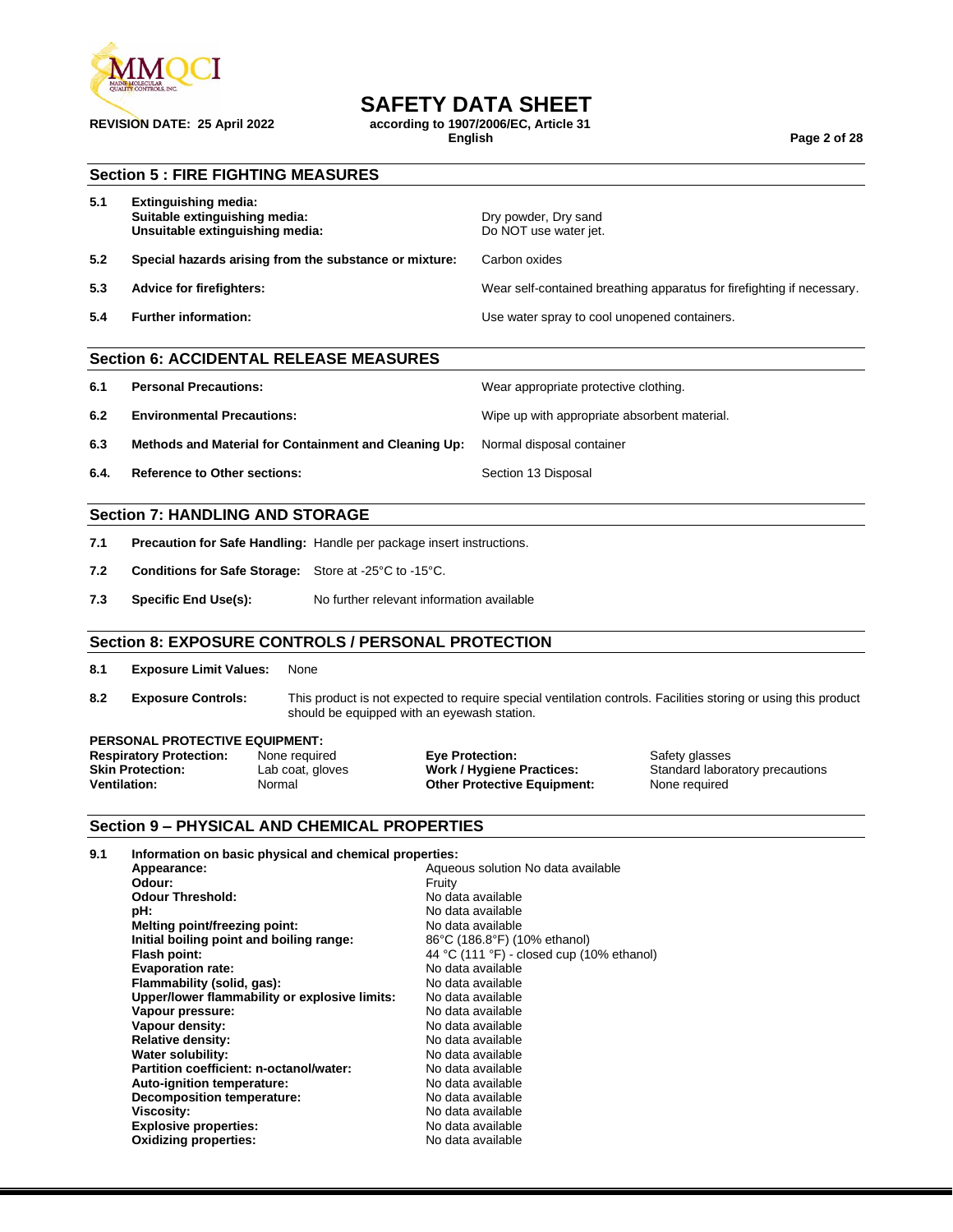

### **SAFETY DATA SHEET**

**REVISION DATE: 25 April 2022 according to 1907/2006/EC, Article 31**

**English Page 2 of 28**

### **Section 5 : FIRE FIGHTING MEASURES**

| 5.1 | Extinguishing media:<br>Suitable extinguishing media:<br>Unsuitable extinguishing media: | Dry powder, Dry sand<br>Do NOT use water jet.                          |
|-----|------------------------------------------------------------------------------------------|------------------------------------------------------------------------|
| 5.2 | Special hazards arising from the substance or mixture:                                   | Carbon oxides                                                          |
| 5.3 | Advice for firefighters:                                                                 | Wear self-contained breathing apparatus for firefighting if necessary. |
| 5.4 | <b>Further information:</b>                                                              | Use water spray to cool unopened containers.                           |
|     |                                                                                          |                                                                        |

### **Section 6: ACCIDENTAL RELEASE MEASURES**

- **6.1 Personal Precautions:** Wear appropriate protective clothing.
- **6.2 Environmental Precautions:** Wipe up with appropriate absorbent material.
- **6.3 Methods and Material for Containment and Cleaning Up:** Normal disposal container
- **6.4. Reference to Other sections: Section 13 Disposal**

### **Section 7: HANDLING AND STORAGE**

- **7.1 Precaution for Safe Handling:** Handle per package insert instructions.
- **7.2 Conditions for Safe Storage:** Store at -25°C to -15°C.
- **7.3 Specific End Use(s):** No further relevant information available

### **Section 8: EXPOSURE CONTROLS / PERSONAL PROTECTION**

- **8.1 Exposure Limit Values:** None
- **8.2 Exposure Controls:** This product is not expected to require special ventilation controls. Facilities storing or using this product should be equipped with an eyewash station.

## **PERSONAL PROTECTIVE EQUIPMENT:**<br>**Respiratory Protection:** None required

**Respiratory Protection:** None required **Eye Protection: Execution:** Safety glasses<br> **Skin Protection:** Lab coat, gloves **Work / Hygiene Practices:** Standard labora **Ventilation:** Normal **Other Protective Equipment:** None required

Lab coat, gloves **Work / Hygiene Practices:** Standard laboratory precautions

### **Section 9 – PHYSICAL AND CHEMICAL PROPERTIES**

| 9.1 | Information on basic physical and chemical properties: |                                           |
|-----|--------------------------------------------------------|-------------------------------------------|
|     | Appearance:                                            | Aqueous solution No data available        |
|     | Odour:                                                 | Fruity                                    |
|     | <b>Odour Threshold:</b>                                | No data available                         |
|     | pH:                                                    | No data available                         |
|     | Melting point/freezing point:                          | No data available                         |
|     | Initial boiling point and boiling range:               | 86°C (186.8°F) (10% ethanol)              |
|     | Flash point:                                           | 44 °C (111 °F) - closed cup (10% ethanol) |
|     | <b>Evaporation rate:</b>                               | No data available                         |
|     | Flammability (solid, gas):                             | No data available                         |
|     | Upper/lower flammability or explosive limits:          | No data available                         |
|     | Vapour pressure:                                       | No data available                         |
|     | Vapour density:                                        | No data available                         |
|     | <b>Relative density:</b>                               | No data available                         |
|     | Water solubility:                                      | No data available                         |
|     | Partition coefficient: n-octanol/water:                | No data available                         |
|     | Auto-ignition temperature:                             | No data available                         |
|     | <b>Decomposition temperature:</b>                      | No data available                         |
|     | Viscosity:                                             | No data available                         |
|     | <b>Explosive properties:</b>                           | No data available                         |
|     | <b>Oxidizing properties:</b>                           | No data available                         |
|     |                                                        |                                           |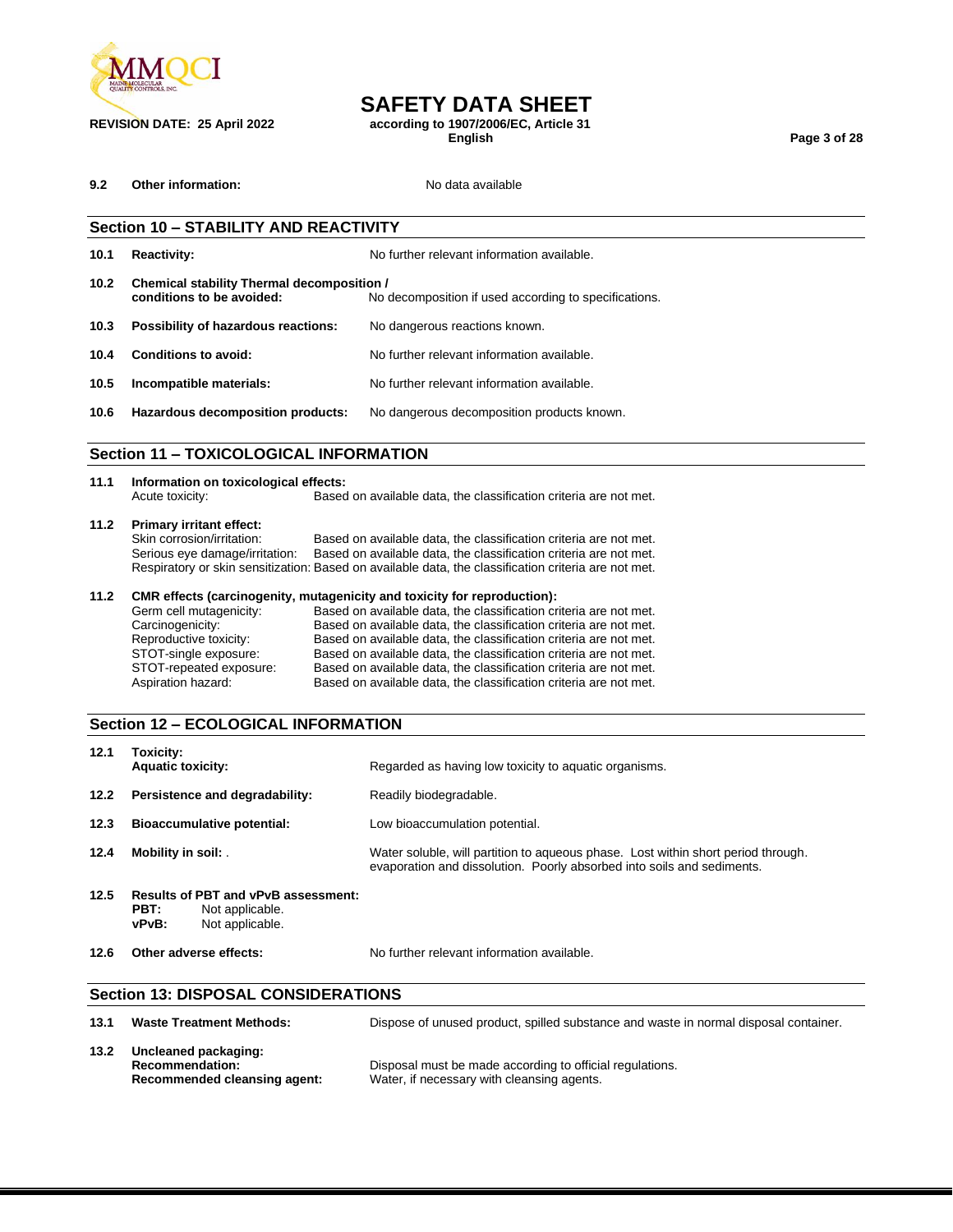

## **SAFETY DATA SHEET**

**REVISION DATE: 25 April 2022 according to 1907/2006/EC, Article 31**

**English Page 3 of 28**

**9.2 Other information:** No data available

|                   | <b>Section 10 - STABILITY AND REACTIVITY</b>                            |                                                       |  |
|-------------------|-------------------------------------------------------------------------|-------------------------------------------------------|--|
| 10.1              | <b>Reactivity:</b>                                                      | No further relevant information available.            |  |
| 10.2 <sub>1</sub> | Chemical stability Thermal decomposition /<br>conditions to be avoided: | No decomposition if used according to specifications. |  |
| 10.3              | Possibility of hazardous reactions:                                     | No dangerous reactions known.                         |  |
| 10.4              | Conditions to avoid:                                                    | No further relevant information available.            |  |
| 10.5              | Incompatible materials:                                                 | No further relevant information available.            |  |
| 10.6              | Hazardous decomposition products:                                       | No dangerous decomposition products known.            |  |
|                   | Section 11 - TOXICOLOGICAL INFORMATION                                  |                                                       |  |

### **Section 11 – TOXICOLOGICAL INFORMATION**

| 11.1 | Information on toxicological effects: |                                                                                                      |  |  |
|------|---------------------------------------|------------------------------------------------------------------------------------------------------|--|--|
|      | Acute toxicity:                       | Based on available data, the classification criteria are not met.                                    |  |  |
| 11.2 | <b>Primary irritant effect:</b>       |                                                                                                      |  |  |
|      | Skin corrosion/irritation:            | Based on available data, the classification criteria are not met.                                    |  |  |
|      | Serious eye damage/irritation:        | Based on available data, the classification criteria are not met.                                    |  |  |
|      |                                       | Respiratory or skin sensitization: Based on available data, the classification criteria are not met. |  |  |
| 11.2 |                                       | CMR effects (carcinogenity, mutagenicity and toxicity for reproduction):                             |  |  |
|      | Germ cell mutagenicity:               | Based on available data, the classification criteria are not met.                                    |  |  |

| Carcinogenicity:<br>Based on available data, the classification criteria are not met.        |  |
|----------------------------------------------------------------------------------------------|--|
| Reproductive toxicity:<br>Based on available data, the classification criteria are not met.  |  |
| STOT-single exposure:<br>Based on available data, the classification criteria are not met.   |  |
| STOT-repeated exposure:<br>Based on available data, the classification criteria are not met. |  |
| Aspiration hazard:<br>Based on available data, the classification criteria are not met.      |  |

### **Section 12 – ECOLOGICAL INFORMATION**

|      | <b>Section 13: DISPOSAL CONSIDERATIONS</b>                                                 |                                                                                                                                                             |
|------|--------------------------------------------------------------------------------------------|-------------------------------------------------------------------------------------------------------------------------------------------------------------|
| 12.6 | Other adverse effects:                                                                     | No further relevant information available.                                                                                                                  |
| 12.5 | Results of PBT and vPvB assessment:<br>PBT:<br>Not applicable.<br>vPvB:<br>Not applicable. |                                                                                                                                                             |
| 12.4 | Mobility in soil:                                                                          | Water soluble, will partition to aqueous phase. Lost within short period through.<br>evaporation and dissolution. Poorly absorbed into soils and sediments. |
| 12.3 | <b>Bioaccumulative potential:</b>                                                          | Low bioaccumulation potential.                                                                                                                              |
| 12.2 | Persistence and degradability:                                                             | Readily biodegradable.                                                                                                                                      |
| 12.1 | Toxicity:<br><b>Aquatic toxicity:</b>                                                      | Regarded as having low toxicity to aquatic organisms.                                                                                                       |

| 13.1 | <b>Waste Treatment Methods:</b>                                                | Dispose of unused product, spilled substance and waste in normal disposal container.                   |
|------|--------------------------------------------------------------------------------|--------------------------------------------------------------------------------------------------------|
| 13.2 | Uncleaned packaging:<br><b>Recommendation:</b><br>Recommended cleansing agent: | Disposal must be made according to official regulations.<br>Water, if necessary with cleansing agents. |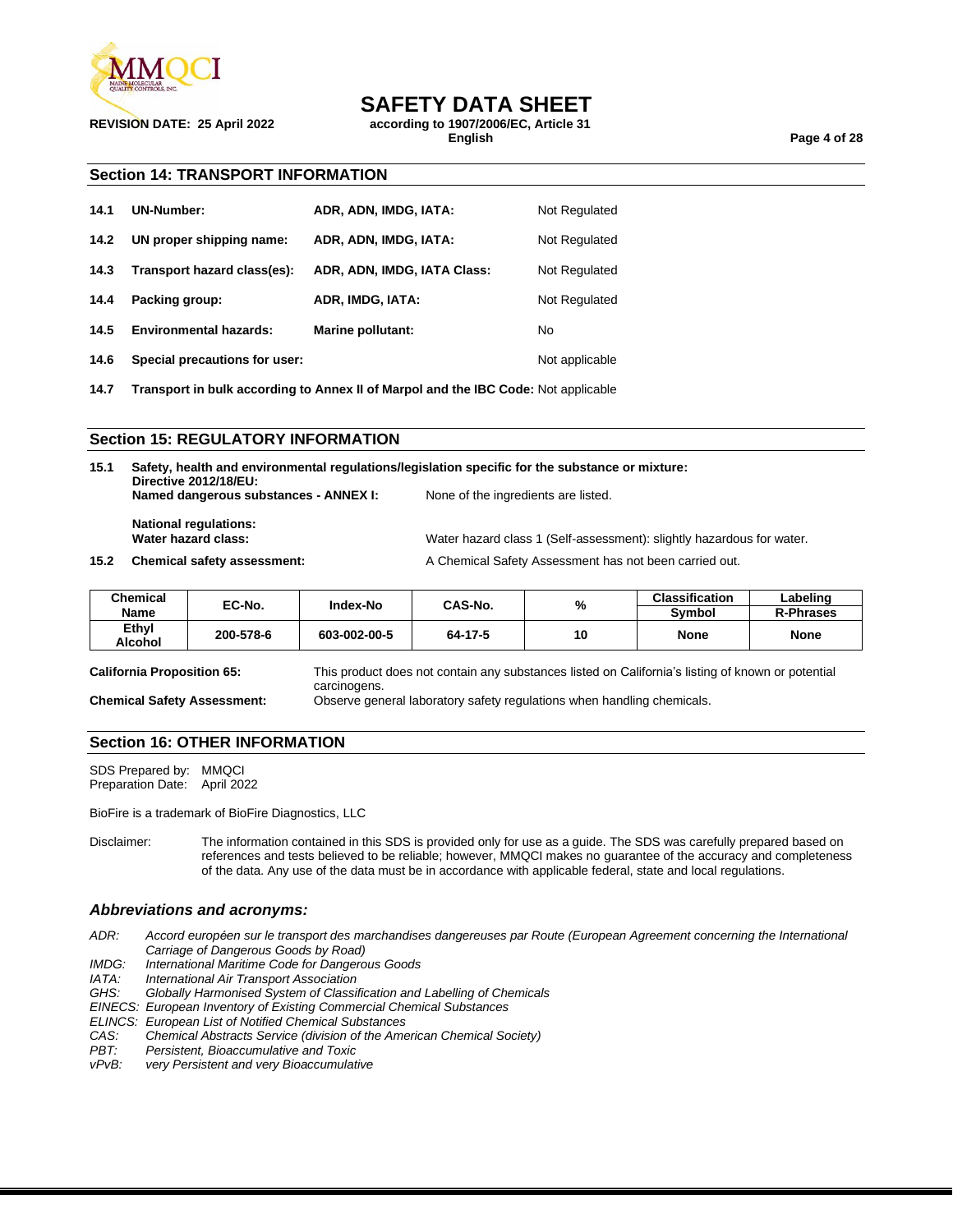

### **SAFETY DATA SHEET**

**REVISION DATE: 25 April 2022 according to 1907/2006/EC, Article 31**

**English Page 4 of 28**

### **Section 14: TRANSPORT INFORMATION**

| 14.1 | UN-Number:                    | ADR, ADN, IMDG, IATA:       | Not Regulated  |
|------|-------------------------------|-----------------------------|----------------|
| 14.2 | UN proper shipping name:      | ADR, ADN, IMDG, IATA:       | Not Regulated  |
| 14.3 | Transport hazard class(es):   | ADR, ADN, IMDG, IATA Class: | Not Regulated  |
| 14.4 | Packing group:                | ADR, IMDG, IATA:            | Not Regulated  |
| 14.5 | <b>Environmental hazards:</b> | Marine pollutant:           | No             |
| 14.6 | Special precautions for user: |                             | Not applicable |

**14.7 Transport in bulk according to Annex II of Marpol and the IBC Code:** Not applicable

### **Section 15: REGULATORY INFORMATION**

| 15.1 | Safety, health and environmental regulations/legislation specific for the substance or mixture:<br>Directive 2012/18/EU: |                                                                       |  |  |
|------|--------------------------------------------------------------------------------------------------------------------------|-----------------------------------------------------------------------|--|--|
|      | Named dangerous substances - ANNEX I:                                                                                    | None of the ingredients are listed.                                   |  |  |
|      | <b>National regulations:</b><br>Water hazard class:                                                                      | Water hazard class 1 (Self-assessment): slightly hazardous for water. |  |  |
| 15.2 | <b>Chemical safety assessment:</b>                                                                                       | A Chemical Safety Assessment has not been carried out.                |  |  |

| <b>Chemical</b><br>Name | EC-No.    | Index-No     | CAS-No. | %  | <b>Classification</b><br>Symbol | Labelinɑ<br><b>R-Phrases</b> |
|-------------------------|-----------|--------------|---------|----|---------------------------------|------------------------------|
| Ethyl<br>Alcohol        | 200-578-6 | 603-002-00-5 | 64-17-5 | 10 | <b>None</b>                     | <b>None</b>                  |

**California Proposition 65:** This product does not contain any substances listed on California's listing of known or potential carcinogens. **Chemical Safety Assessment:** Observe general laboratory safety regulations when handling chemicals.

### **Section 16: OTHER INFORMATION**

SDS Prepared by: MMQCI Preparation Date: April 2022

BioFire is a trademark of BioFire Diagnostics, LLC

Disclaimer: The information contained in this SDS is provided only for use as a guide. The SDS was carefully prepared based on references and tests believed to be reliable; however, MMQCI makes no guarantee of the accuracy and completeness of the data. Any use of the data must be in accordance with applicable federal, state and local regulations.

### *Abbreviations and acronyms:*

- *ADR: Accord européen sur le transport des marchandises dangereuses par Route (European Agreement concerning the International Carriage of Dangerous Goods by Road)*
- *IMDG: International Maritime Code for Dangerous Goods*

**International Air Transport Association** 

*GHS: Globally Harmonised System of Classification and Labelling of Chemicals*

*EINECS: European Inventory of Existing Commercial Chemical Substances*

*ELINCS: European List of Notified Chemical Substances*

- *CAS: Chemical Abstracts Service (division of the American Chemical Society)*
- *PBT: Persistent, Bioaccumulative and Toxic*
- *very Persistent and very Bioaccumulative*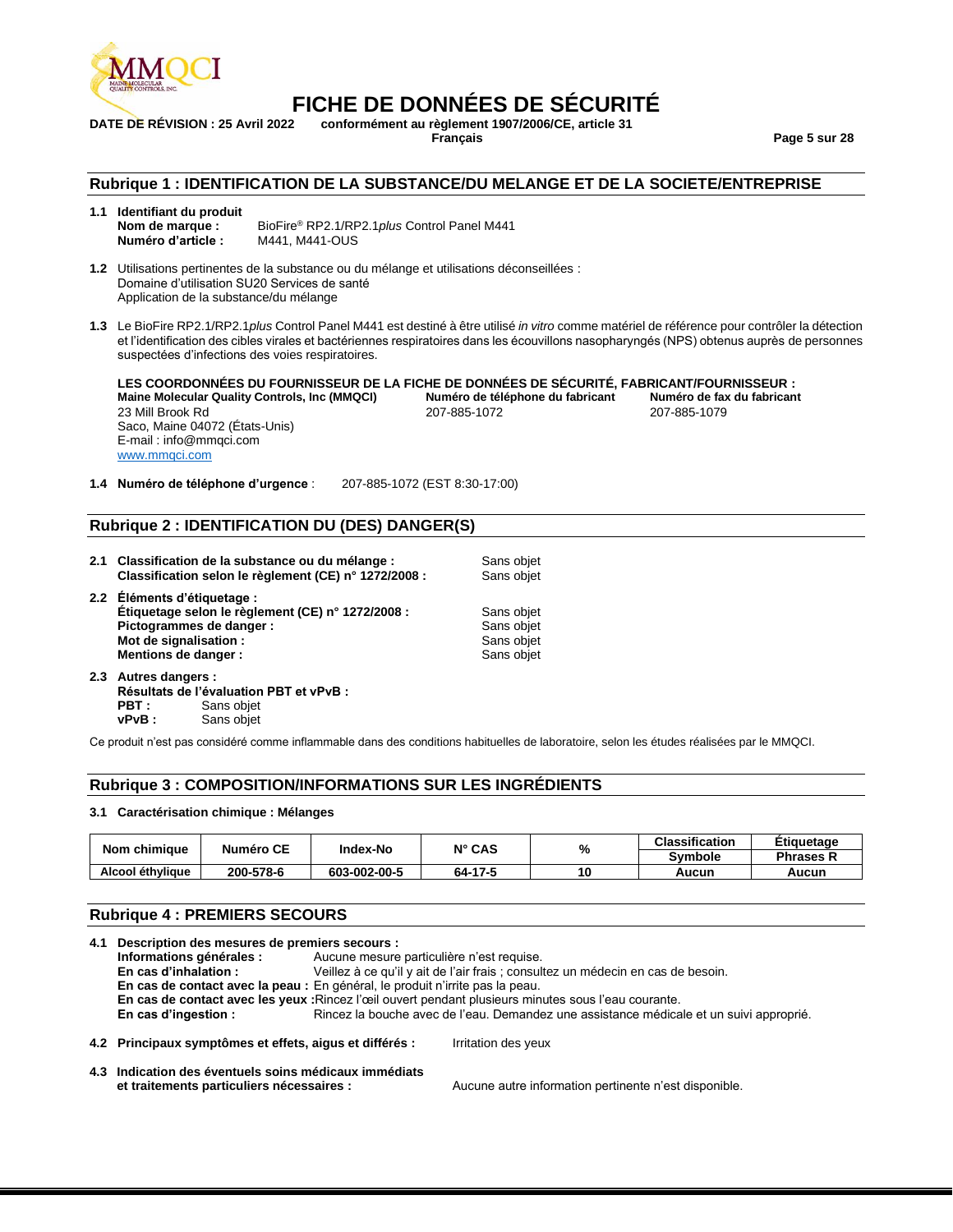

## **FICHE DE DONNÉES DE SÉCURITÉ**<br>DATE DE RÉVISION : 25 Avril 2022 conformément au règlement 1907/2006/CE. article 31

**DATE DE RÉVISION : 25 Avril 2022 conformément au règlement 1907/2006/CE, article 31**

**Français Page 5 sur 28**

### **Rubrique 1 : IDENTIFICATION DE LA SUBSTANCE/DU MELANGE ET DE LA SOCIETE/ENTREPRISE**

#### **1.1 Identifiant du produit Nom de marque :** BioFire® RP2.1/RP2.1*plus* Control Panel M441 **Numéro d'article :** M441, M441-OUS

**1.2** Utilisations pertinentes de la substance ou du mélange et utilisations déconseillées : Domaine d'utilisation SU20 Services de santé Application de la substance/du mélange

**1.3** Le BioFire RP2.1/RP2.1*plus* Control Panel M441 est destiné à être utilisé *in vitro* comme matériel de référence pour contrôler la détection et l'identification des cibles virales et bactériennes respiratoires dans les écouvillons nasopharyngés (NPS) obtenus auprès de personnes suspectées d'infections des voies respiratoires.

**LES COORDONNÉES DU FOURNISSEUR DE LA FICHE DE DONNÉES DE SÉCURITÉ, FABRICANT/FOURNISSEUR : Maine Molecular Quality Controls, Inc (MMQCI) Numéro de téléphone du fabricant Numéro de fax du fabricant** 23 Mill Brook Rd Saco, Maine 04072 (États-Unis) E-mail : info@mmqci.com [www.mmqci.com](http://www.mmqci.com/)

**1.4 Numéro de téléphone d'urgence** : 207-885-1072 (EST 8:30-17:00)

### **Rubrique 2 : IDENTIFICATION DU (DES) DANGER(S)**

| 2.1 Classification de la substance ou du mélange :    | Sans objet |
|-------------------------------------------------------|------------|
| Classification selon le règlement (CE) n° 1272/2008 : | Sans objet |
| 2.2 Éléments d'étiquetage :                           |            |
| Étiquetage selon le règlement (CE) n° 1272/2008 :     | Sans objet |
| Pictogrammes de danger :                              | Sans objet |
| Mot de signalisation:                                 | Sans objet |
| Mentions de danger :                                  | Sans objet |
| 2.3 Autres dangers :                                  |            |

**Résultats de l'évaluation PBT et vPvB : PBT** : Sans objet<br> **vPvB** : Sans objet Sans objet

Ce produit n'est pas considéré comme inflammable dans des conditions habituelles de laboratoire, selon les études réalisées par le MMQCI.

### **Rubrique 3 : COMPOSITION/INFORMATIONS SUR LES INGRÉDIENTS**

#### **3.1 Caractérisation chimique : Mélanges**

| Nom chimique     | <b>Numéro CE</b> | <b>Index-No</b> | $N^{\circ}$ CAS | %  | <b>Classification</b> | Etiauetaae       |
|------------------|------------------|-----------------|-----------------|----|-----------------------|------------------|
|                  |                  |                 |                 |    | <b>Symbole</b>        | <b>Phrases R</b> |
| Alcool éthylique | 200-578-6        | 603-002-00-5    | 64-17-5         | 10 | Aucun                 | Aucun            |

### **Rubrique 4 : PREMIERS SECOURS**

| 4.1 Description des mesures de premiers secours : |                                                                                                    |                                           |                                                                                                      |  |  |
|---------------------------------------------------|----------------------------------------------------------------------------------------------------|-------------------------------------------|------------------------------------------------------------------------------------------------------|--|--|
|                                                   | Informations générales :                                                                           | Aucune mesure particulière n'est requise. |                                                                                                      |  |  |
|                                                   | En cas d'inhalation :                                                                              |                                           | Veillez à ce qu'il y ait de l'air frais ; consultez un médecin en cas de besoin.                     |  |  |
|                                                   | En cas de contact avec la peau : En général, le produit n'irrite pas la peau.                      |                                           |                                                                                                      |  |  |
|                                                   |                                                                                                    |                                           | En cas de contact avec les yeux : Rincez l'œil ouvert pendant plusieurs minutes sous l'eau courante. |  |  |
|                                                   | En cas d'ingestion :                                                                               |                                           | Rincez la bouche avec de l'eau. Demandez une assistance médicale et un suivi approprié.              |  |  |
|                                                   | 4.2 Principaux symptômes et effets, aigus et différés :                                            |                                           | Irritation des yeux                                                                                  |  |  |
|                                                   | 4.3 Indication des éventuels soins médicaux immédiats<br>et traitements particuliers nécessaires : |                                           | Aucune autre information pertinente n'est disponible.                                                |  |  |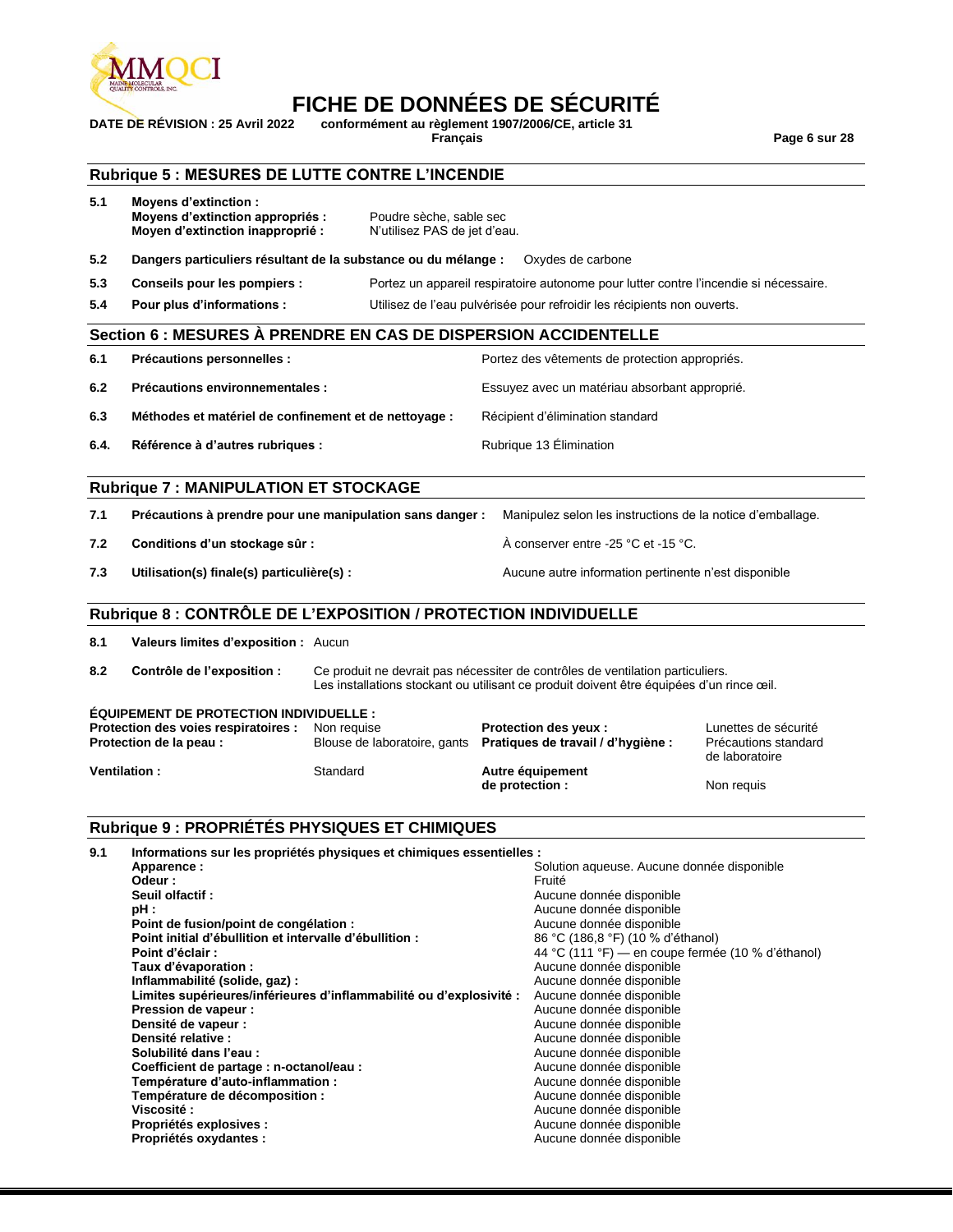

### **FICHE DE DONNÉES DE SÉCURITÉ**

**DATE DE RÉVISION : 25 Avril 2022 conformément au règlement 1907/2006/CE, article 31**

**Français Page 6 sur 28**

### **Rubrique 5 : MESURES DE LUTTE CONTRE L'INCENDIE**

| 5.1  | <b>Movens d'extinction:</b><br>Moyens d'extinction appropriés :<br>Moyen d'extinction inapproprié :                                     | Poudre sèche, sable sec<br>N'utilisez PAS de jet d'eau. |                                                                                                                                                                            |                                                                |  |  |  |  |
|------|-----------------------------------------------------------------------------------------------------------------------------------------|---------------------------------------------------------|----------------------------------------------------------------------------------------------------------------------------------------------------------------------------|----------------------------------------------------------------|--|--|--|--|
| 5.2  | Dangers particuliers résultant de la substance ou du mélange :<br>Oxydes de carbone                                                     |                                                         |                                                                                                                                                                            |                                                                |  |  |  |  |
| 5.3  | Conseils pour les pompiers :                                                                                                            |                                                         | Portez un appareil respiratoire autonome pour lutter contre l'incendie si nécessaire.                                                                                      |                                                                |  |  |  |  |
| 5.4  | Pour plus d'informations :                                                                                                              |                                                         | Utilisez de l'eau pulvérisée pour refroidir les récipients non ouverts.                                                                                                    |                                                                |  |  |  |  |
|      |                                                                                                                                         |                                                         | Section 6 : MESURES À PRENDRE EN CAS DE DISPERSION ACCIDENTELLE                                                                                                            |                                                                |  |  |  |  |
| 6.1  | Précautions personnelles :                                                                                                              |                                                         | Portez des vêtements de protection appropriés.                                                                                                                             |                                                                |  |  |  |  |
| 6.2  | Précautions environnementales :                                                                                                         |                                                         | Essuyez avec un matériau absorbant approprié.                                                                                                                              |                                                                |  |  |  |  |
| 6.3  | Méthodes et matériel de confinement et de nettoyage :                                                                                   |                                                         | Récipient d'élimination standard                                                                                                                                           |                                                                |  |  |  |  |
| 6.4. | Référence à d'autres rubriques :                                                                                                        |                                                         | Rubrique 13 Elimination                                                                                                                                                    |                                                                |  |  |  |  |
|      | <b>Rubrique 7: MANIPULATION ET STOCKAGE</b>                                                                                             |                                                         |                                                                                                                                                                            |                                                                |  |  |  |  |
| 7.1  | Précautions à prendre pour une manipulation sans danger :                                                                               |                                                         | Manipulez selon les instructions de la notice d'emballage.                                                                                                                 |                                                                |  |  |  |  |
| 7.2  | Conditions d'un stockage sûr :                                                                                                          |                                                         | À conserver entre -25 °C et -15 °C.                                                                                                                                        |                                                                |  |  |  |  |
| 7.3  | Utilisation(s) finale(s) particulière(s) :                                                                                              |                                                         | Aucune autre information pertinente n'est disponible                                                                                                                       |                                                                |  |  |  |  |
|      | Rubrique 8 : CONTRÔLE DE L'EXPOSITION / PROTECTION INDIVIDUELLE                                                                         |                                                         |                                                                                                                                                                            |                                                                |  |  |  |  |
| 8.1  | Valeurs limites d'exposition : Aucun                                                                                                    |                                                         |                                                                                                                                                                            |                                                                |  |  |  |  |
| 8.2  | Contrôle de l'exposition :                                                                                                              |                                                         | Ce produit ne devrait pas nécessiter de contrôles de ventilation particuliers.<br>Les installations stockant ou utilisant ce produit doivent être équipées d'un rince œil. |                                                                |  |  |  |  |
|      | <b>ÉQUIPEMENT DE PROTECTION INDIVIDUELLE:</b><br>Protection des voies respiratoires :<br>Protection de la peau :<br><b>Ventilation:</b> | Non requise<br>Blouse de laboratoire, gants<br>Standard | <b>Protection des yeux:</b><br>Pratiques de travail / d'hygiène :<br>Autre équipement                                                                                      | Lunettes de sécurité<br>Précautions standard<br>de laboratoire |  |  |  |  |
|      |                                                                                                                                         |                                                         | de protection :                                                                                                                                                            | Non requis                                                     |  |  |  |  |

### **Rubrique 9 : PROPRIÉTÉS PHYSIQUES ET CHIMIQUES**

| 9.1 | Informations sur les propriétés physiques et chimiques essentielles : |                                                   |
|-----|-----------------------------------------------------------------------|---------------------------------------------------|
|     | Apparence:                                                            | Solution aqueuse. Aucune donnée disponible        |
|     | Odeur :                                                               | Fruité                                            |
|     | Seuil olfactif:                                                       | Aucune donnée disponible                          |
|     | pH :                                                                  | Aucune donnée disponible                          |
|     | Point de fusion/point de congélation :                                | Aucune donnée disponible                          |
|     | Point initial d'ébullition et intervalle d'ébullition :               | 86 °C (186,8 °F) (10 % d'éthanol)                 |
|     | Point d'éclair :                                                      | 44 °C (111 °F) — en coupe fermée (10 % d'éthanol) |
|     | Taux d'évaporation :                                                  | Aucune donnée disponible                          |
|     | Inflammabilité (solide, gaz) :                                        | Aucune donnée disponible                          |
|     | Limites supérieures/inférieures d'inflammabilité ou d'explosivité :   | Aucune donnée disponible                          |
|     | Pression de vapeur :                                                  | Aucune donnée disponible                          |
|     | Densité de vapeur :                                                   | Aucune donnée disponible                          |
|     | Densité relative :                                                    | Aucune donnée disponible                          |
|     | Solubilité dans l'eau :                                               | Aucune donnée disponible                          |
|     | Coefficient de partage : n-octanol/eau :                              | Aucune donnée disponible                          |
|     | Température d'auto-inflammation :                                     | Aucune donnée disponible                          |
|     | Température de décomposition :                                        | Aucune donnée disponible                          |
|     | Viscosité:                                                            | Aucune donnée disponible                          |
|     | Propriétés explosives :                                               | Aucune donnée disponible                          |
|     | Propriétés oxydantes :                                                | Aucune donnée disponible                          |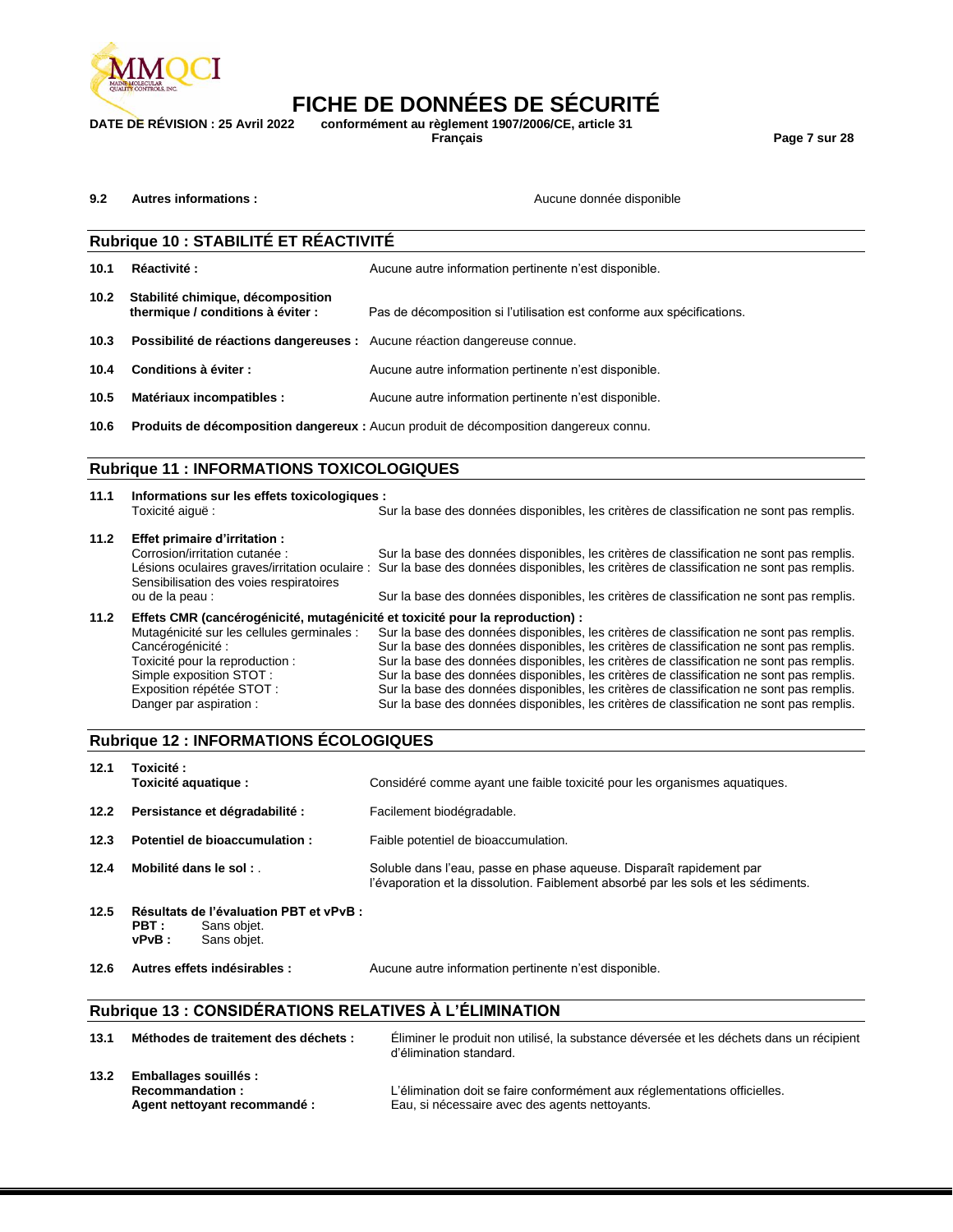

## **FICHE DE DONNÉES DE SÉCURITÉ**<br>DATE DE RÉVISION : 25 Avril 2022 conformément au règlement 1907/2006/CE, article 31 **DATE DE RÉVISION : 25 Avril 2022 conformément au règlement 1907/2006/CE, article 31**

**Français Page 7 sur 28**

```
9.2 Autres informations : Aucune donnée disponible Aucune donnée disponible
```

|                   | Rubrique 10 : STABILITÉ ET RÉACTIVITÉ                                     |                                                                                       |  |  |  |  |
|-------------------|---------------------------------------------------------------------------|---------------------------------------------------------------------------------------|--|--|--|--|
| 10.1              | Réactivité:                                                               | Aucune autre information pertinente n'est disponible.                                 |  |  |  |  |
| 10.2 <sub>1</sub> | Stabilité chimique, décomposition<br>thermique / conditions à éviter :    | Pas de décomposition si l'utilisation est conforme aux spécifications.                |  |  |  |  |
| 10.3              | Possibilité de réactions dangereuses : Aucune réaction dangereuse connue. |                                                                                       |  |  |  |  |
| 10.4              | Conditions à éviter :                                                     | Aucune autre information pertinente n'est disponible.                                 |  |  |  |  |
| 10.5              | Matériaux incompatibles :                                                 | Aucune autre information pertinente n'est disponible.                                 |  |  |  |  |
| 10.6              |                                                                           | Produits de décomposition dangereux : Aucun produit de décomposition dangereux connu. |  |  |  |  |
|                   |                                                                           |                                                                                       |  |  |  |  |

### **Rubrique 11 : INFORMATIONS TOXICOLOGIQUES**

| 11.1 | Informations sur les effets toxicologiques :<br>Toxicité aiquë:               | Sur la base des données disponibles, les critères de classification ne sont pas remplis.                                                                                             |
|------|-------------------------------------------------------------------------------|--------------------------------------------------------------------------------------------------------------------------------------------------------------------------------------|
| 11.2 | Effet primaire d'irritation :                                                 |                                                                                                                                                                                      |
|      | Corrosion/irritation cutanée :                                                | Sur la base des données disponibles, les critères de classification ne sont pas remplis.                                                                                             |
|      | Sensibilisation des voies respiratoires                                       | Lésions oculaires graves/irritation oculaire : Sur la base des données disponibles, les critères de classification ne sont pas remplis.                                              |
|      | ou de la peau :                                                               | Sur la base des données disponibles, les critères de classification ne sont pas remplis.                                                                                             |
| 11.2 | Effets CMR (cancérogénicité, mutagénicité et toxicité pour la reproduction) : |                                                                                                                                                                                      |
|      | Mutagénicité sur les cellules germinales :<br>Cancérogénicité :               | Sur la base des données disponibles, les critères de classification ne sont pas remplis.<br>Sur la base des données disponibles, les critères de classification ne sont pas remplis. |
|      | Toxicité pour la reproduction :                                               | Sur la base des données disponibles, les critères de classification ne sont pas remplis.                                                                                             |
|      | Simple exposition STOT:                                                       | Sur la base des données disponibles, les critères de classification ne sont pas remplis.                                                                                             |
|      | Exposition répétée STOT :                                                     | Sur la base des données disponibles, les critères de classification ne sont pas remplis.                                                                                             |

Danger par aspiration : Sur la base des données disponibles, les critères de classification ne sont pas remplis.

### **Rubrique 12 : INFORMATIONS ÉCOLOGIQUES**

| 12.1 | Toxicité :<br>Toxicité aquatique :                                                         | Considéré comme ayant une faible toxicité pour les organismes aquatiques.                                                                                  |
|------|--------------------------------------------------------------------------------------------|------------------------------------------------------------------------------------------------------------------------------------------------------------|
| 12.2 | Persistance et dégradabilité :                                                             | Facilement biodégradable.                                                                                                                                  |
| 12.3 | Potentiel de bioaccumulation :                                                             | Faible potentiel de bioaccumulation.                                                                                                                       |
| 12.4 | Mobilité dans le sol :                                                                     | Soluble dans l'eau, passe en phase aqueuse. Disparaît rapidement par<br>l'évaporation et la dissolution. Faiblement absorbé par les sols et les sédiments. |
| 12.5 | Résultats de l'évaluation PBT et vPvB :<br>PBT :<br>Sans obiet.<br>$vPvB$ :<br>Sans objet. |                                                                                                                                                            |
| 12.6 | Autres effets indésirables :                                                               | Aucune autre information pertinente n'est disponible.                                                                                                      |

### **Rubrique 13 : CONSIDÉRATIONS RELATIVES À L'ÉLIMINATION**

| 13.1 | Méthodes de traitement des déchets :                                                   | Eliminer le produit non utilisé, la substance déversée et les déchets dans un récipient<br>d'élimination standard.          |
|------|----------------------------------------------------------------------------------------|-----------------------------------------------------------------------------------------------------------------------------|
| 13.2 | <b>Emballages souillés :</b><br><b>Recommandation:</b><br>Agent nettoyant recommandé : | L'élimination doit se faire conformément aux réglementations officielles.<br>Eau, si nécessaire avec des agents nettoyants. |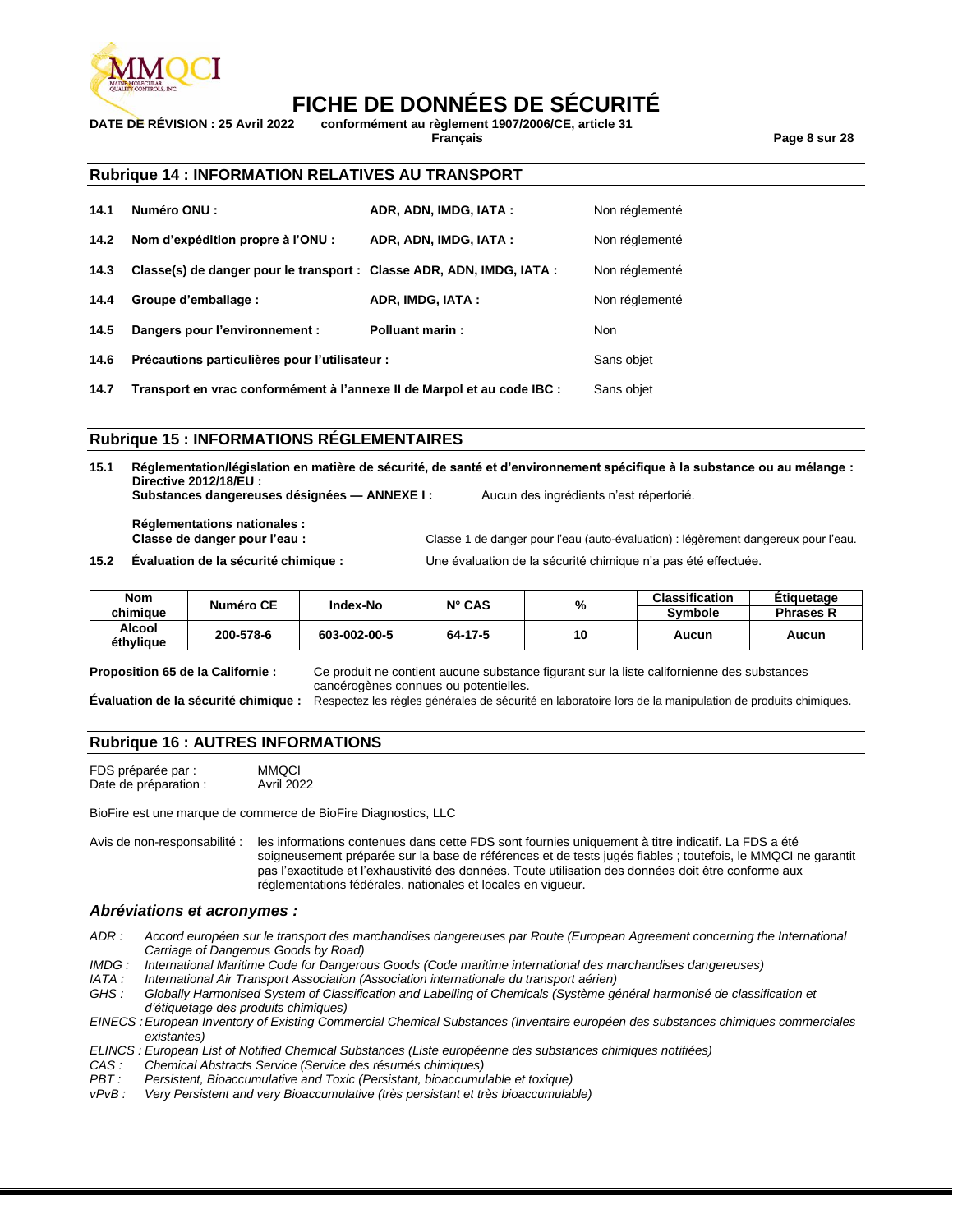

### **FICHE DE DONNÉES DE SÉCURITÉ**<br>DATE DE RÉVISION : 25 Avril 2022 conformément au règlement 1907/2006/CE. article 31 **DATE DE RÉVISION : 25 Avril 2022 conformément au règlement 1907/2006/CE, article 31**

**Français Page 8 sur 28**

### **Rubrique 14 : INFORMATION RELATIVES AU TRANSPORT**

| 14.1 | <b>Numéro ONU :</b>                                                   | ADR, ADN, IMDG, IATA:  | Non réglementé |
|------|-----------------------------------------------------------------------|------------------------|----------------|
| 14.2 | Nom d'expédition propre à l'ONU :                                     | ADR, ADN, IMDG, IATA:  | Non réglementé |
| 14.3 | Classe(s) de danger pour le transport : Classe ADR, ADN, IMDG, IATA : |                        | Non réglementé |
| 14.4 | Groupe d'emballage :                                                  | ADR, IMDG, IATA:       | Non réglementé |
| 14.5 | Dangers pour l'environnement :                                        | <b>Polluant marin:</b> | <b>Non</b>     |
| 14.6 | Précautions particulières pour l'utilisateur :                        |                        | Sans objet     |

**14.7 Transport en vrac conformément à l'annexe II de Marpol et au code IBC :** Sans objet

### **Rubrique 15 : INFORMATIONS RÉGLEMENTAIRES**

**15.1 Réglementation/législation en matière de sécurité, de santé et d'environnement spécifique à la substance ou au mélange : Directive 2012/18/EU : Substances dangereuses désignées — ANNEXE I :** Aucun des ingrédients n'est répertorié.

**Réglementations nationales : Classe de danger pour l'eau :** Classe 1 de danger pour l'eau (auto-évaluation) : légèrement dangereux pour l'eau.

**15.2 Évaluation de la sécurité chimique :** Une évaluation de la sécurité chimique n'a pas été effectuée.

| <b>Nom</b><br>chimiaue | Numéro CE | <b>Index-No</b> | $N^{\circ}$ CAS | %  | <b>Classification</b><br><b>Symbole</b> | <b>Etiquetage</b><br><b>Phrases R</b> |
|------------------------|-----------|-----------------|-----------------|----|-----------------------------------------|---------------------------------------|
| Alcool<br>éthylique    | 200-578-6 | 603-002-00-5    | 64-17-5         | 10 | Aucun                                   | Aucun                                 |

**Proposition 65 de la Californie :** Ce produit ne contient aucune substance figurant sur la liste californienne des substances cancérogènes connues ou potentielles.

**Évaluation de la sécurité chimique :** Respectez les règles générales de sécurité en laboratoire lors de la manipulation de produits chimiques.

### **Rubrique 16 : AUTRES INFORMATIONS**

FDS préparée par : MMQCI<br>Date de préparation : Avril 2022 Date de préparation :

BioFire est une marque de commerce de BioFire Diagnostics, LLC

Avis de non-responsabilité : les informations contenues dans cette FDS sont fournies uniquement à titre indicatif. La FDS a été soigneusement préparée sur la base de références et de tests jugés fiables ; toutefois, le MMQCI ne garantit pas l'exactitude et l'exhaustivité des données. Toute utilisation des données doit être conforme aux réglementations fédérales, nationales et locales en vigueur.

### *Abréviations et acronymes :*

- *ADR : Accord européen sur le transport des marchandises dangereuses par Route (European Agreement concerning the International Carriage of Dangerous Goods by Road)*
- *IMDG : International Maritime Code for Dangerous Goods (Code maritime international des marchandises dangereuses)*
- *IATA : International Air Transport Association (Association internationale du transport aérien)*
- Globally Harmonised System of Classification and Labelling of Chemicals (Système général harmonisé de classification et *d'étiquetage des produits chimiques)*
- *EINECS :European Inventory of Existing Commercial Chemical Substances (Inventaire européen des substances chimiques commerciales existantes)*
- *ELINCS : European List of Notified Chemical Substances (Liste européenne des substances chimiques notifiées)*
- *CAS : Chemical Abstracts Service (Service des résumés chimiques)*
- *PBT : Persistent, Bioaccumulative and Toxic (Persistant, bioaccumulable et toxique)*
- *Very Persistent and very Bioaccumulative (très persistant et très bioaccumulable)*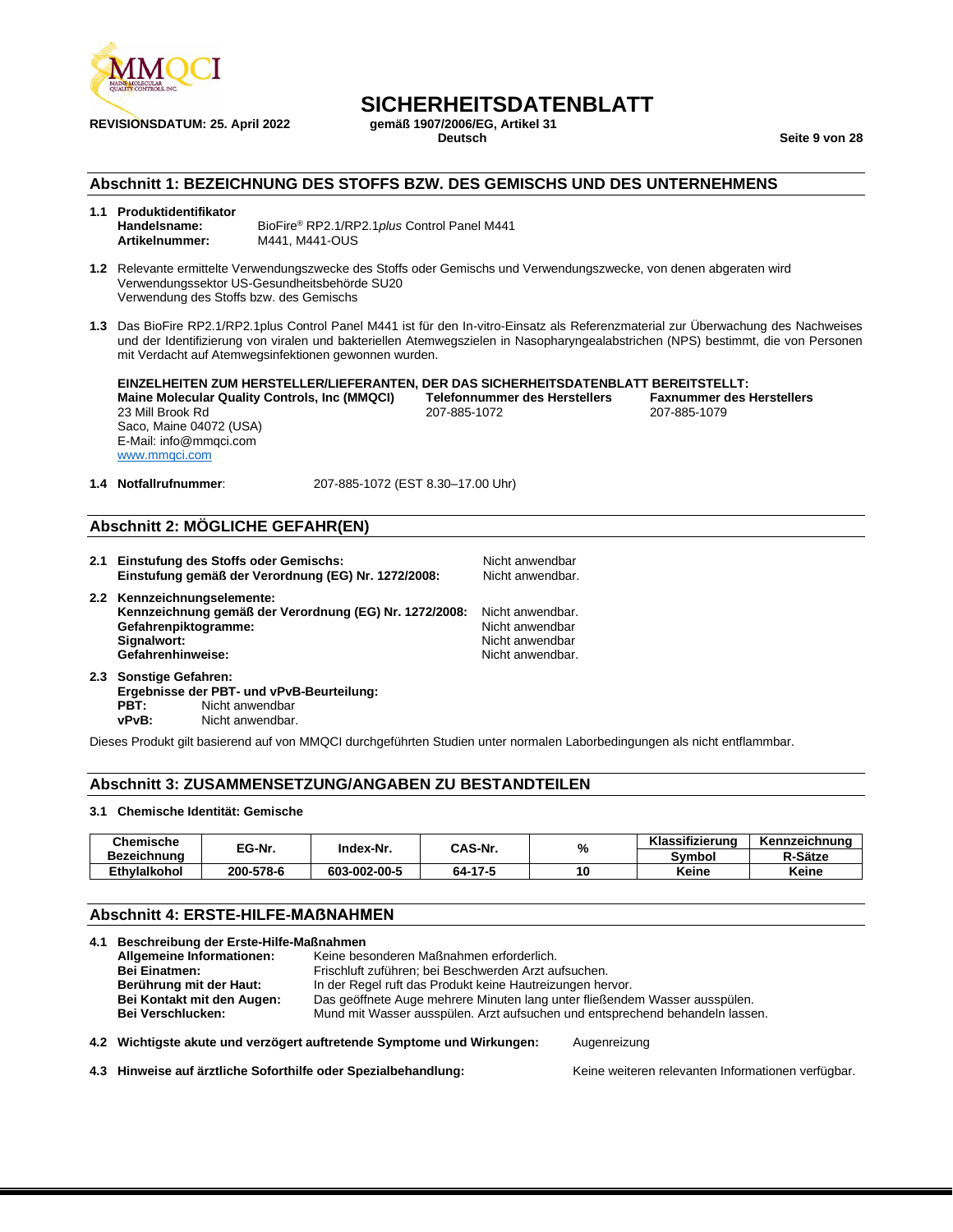

## **SICHERHEITSDATENBLATT**<br>gemäß 1907/2006/EG. Artikel 31

**Deutsch Seite 9 von 28**

### **Abschnitt 1: BEZEICHNUNG DES STOFFS BZW. DES GEMISCHS UND DES UNTERNEHMENS**

## **1.1 Produktidentifikator**

**Handelsname:** BioFire® RP2.1/RP2.1*plus* Control Panel M441 **Artikelnummer:** M441, M441-OUS

- **1.2** Relevante ermittelte Verwendungszwecke des Stoffs oder Gemischs und Verwendungszwecke, von denen abgeraten wird Verwendungssektor US-Gesundheitsbehörde SU20 Verwendung des Stoffs bzw. des Gemischs
- **1.3** Das BioFire RP2.1/RP2.1plus Control Panel M441 ist für den In-vitro-Einsatz als Referenzmaterial zur Überwachung des Nachweises und der Identifizierung von viralen und bakteriellen Atemwegszielen in Nasopharyngealabstrichen (NPS) bestimmt, die von Personen mit Verdacht auf Atemwegsinfektionen gewonnen wurden.

**EINZELHEITEN ZUM HERSTELLER/LIEFERANTEN, DER DAS SICHERHEITSDATENBLATT BEREITSTELLT: Maine Molecular Quality Controls, Inc (MMQCI) Telefonnummer des Herstellers Faxnummer des Herstellers** 23 Mill Brook Rd 207-885-1072 207-885-1079 Saco, Maine 04072 (USA) E-Mail: info@mmqci.com [www.mmqci.com](http://www.mmqci.com/)

**1.4 Notfallrufnummer**: 207-885-1072 (EST 8.30–17.00 Uhr)

### **Abschnitt 2: MÖGLICHE GEFAHR(EN)**

- **2.1 Einstufung des Stoffs oder Gemischs:** Nicht anwendbar Einstufung gemäß der Verordnung (EG) Nr. 1272/2008: **2.2 Kennzeichnungselemente: Kennzeichnung gemäß der Verordnung (EG) Nr. 1272/2008:** Nicht anwendbar. **Gefahrenpiktogramme:** Nicht anwendbar<br> **Signalwort:** Nicht anwendbar<br>
Nicht anwendbar Nicht anwendbar<br>Nicht anwendbar. Gefahrenhinweise:
- **2.3 Sonstige Gefahren: Ergebnisse der PBT- und vPvB-Beurteilung: PBT:** Nicht anwendbar<br> **VPVB:** Nicht anwendbar Nicht anwendbar.

Dieses Produkt gilt basierend auf von MMQCI durchgeführten Studien unter normalen Laborbedingungen als nicht entflammbar.

### **Abschnitt 3: ZUSAMMENSETZUNG/ANGABEN ZU BESTANDTEILEN**

#### **3.1 Chemische Identität: Gemische**

| Chemische<br><b>Bezeichnung</b> | EG-Nr.    | Index-Nr.    | <b>CAS-Nr.</b> | %  | Klassifizierung | Kennzeichnung |
|---------------------------------|-----------|--------------|----------------|----|-----------------|---------------|
|                                 |           |              |                |    | Svmbol          | R-Sätze       |
| <b>Ethvlalkohol</b>             | 200-578-6 | 603-002-00-5 | 64-17-5        | 10 | Keine           | Keine         |

### **Abschnitt 4: ERSTE-HILFE-MAẞNAHMEN**

| 4.1 Beschreibung der Erste-Hilfe-Maßnahmen |                                                                                                                                         |  |  |
|--------------------------------------------|-----------------------------------------------------------------------------------------------------------------------------------------|--|--|
| Allgemeine Informationen:                  | Keine besonderen Maßnahmen erforderlich.                                                                                                |  |  |
| <b>Bei Einatmen:</b>                       | Frischluft zuführen; bei Beschwerden Arzt aufsuchen.                                                                                    |  |  |
| Berührung mit der Haut:                    | In der Regel ruft das Produkt keine Hautreizungen hervor.<br>Das geöffnete Auge mehrere Minuten lang unter fließendem Wasser ausspülen. |  |  |
| Bei Kontakt mit den Augen:                 |                                                                                                                                         |  |  |
| <b>Bei Verschlucken:</b>                   | Mund mit Wasser ausspülen. Arzt aufsuchen und entsprechend behandeln lassen.                                                            |  |  |
|                                            | 4.2 Wichtigste akute und verzögert auftretende Symptome und Wirkungen:<br>Augenreizung                                                  |  |  |

4.3 Hinweise auf ärztliche Soforthilfe oder Spezialbehandlung: Keine weiteren relevanten Informationen verfügbar.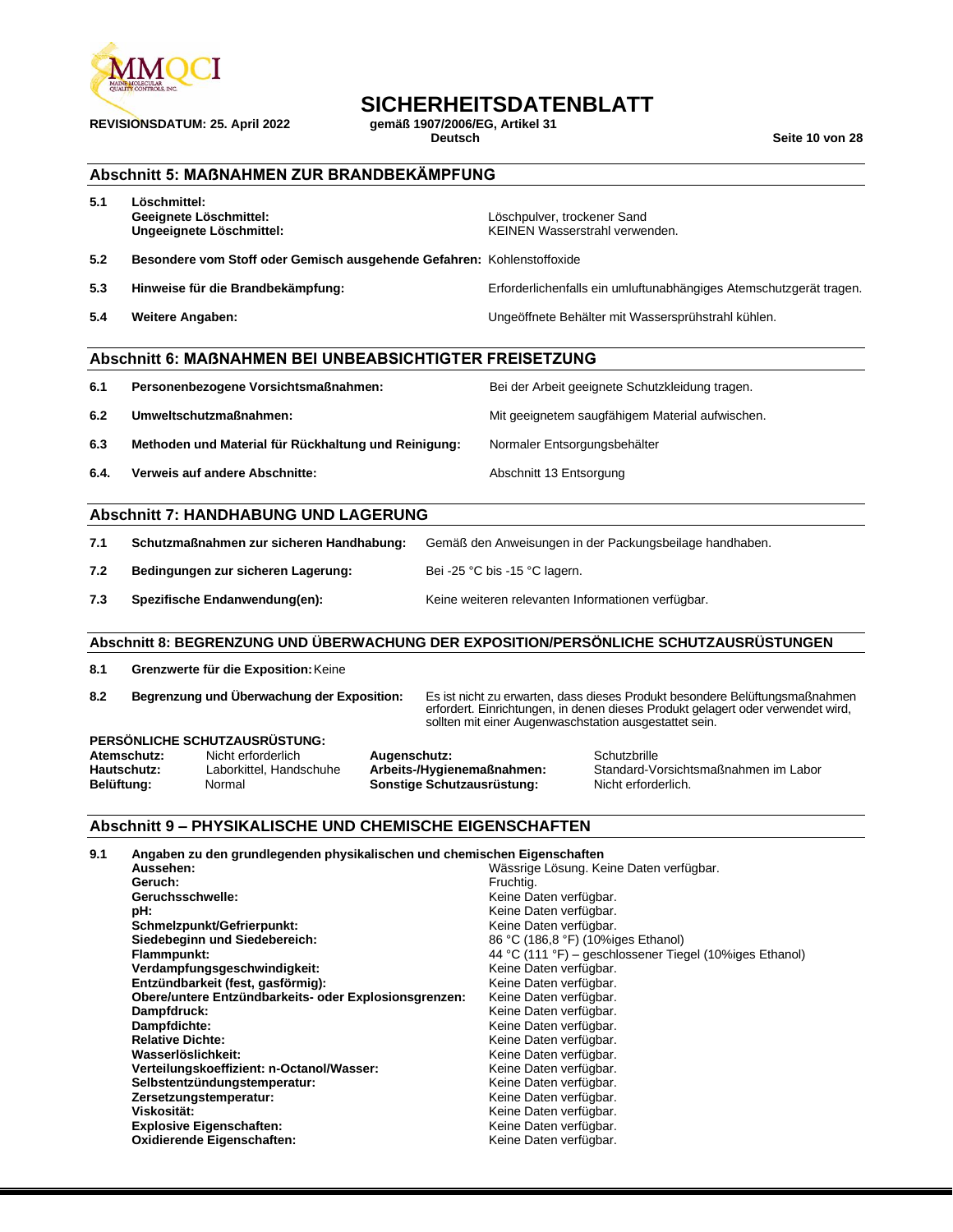

# **SICHERHEITSDATENBLATT**<br>gemäß 1907/2006/EG, Artikel 31

**REVISIONSDATUM: 25. April 2022 gemäß 1907/2006/E**<br>Deutsch

**Seite 10 von 28** 

### **Abschnitt 5: MAẞNAHMEN ZUR BRANDBEKÄMPFUNG**

| 5.1                                                                                                                                                                                                              | Löschmittel:<br>Geeignete Löschmittel:<br>Ungeeignete Löschmittel:                                                                                                                                                                                                                                                                                                                                |  | Löschpulver, trockener Sand<br>KEINEN Wasserstrahl verwenden.                                                                                                                                                                                                   |                                                                                                                                                                                                                          |
|------------------------------------------------------------------------------------------------------------------------------------------------------------------------------------------------------------------|---------------------------------------------------------------------------------------------------------------------------------------------------------------------------------------------------------------------------------------------------------------------------------------------------------------------------------------------------------------------------------------------------|--|-----------------------------------------------------------------------------------------------------------------------------------------------------------------------------------------------------------------------------------------------------------------|--------------------------------------------------------------------------------------------------------------------------------------------------------------------------------------------------------------------------|
| 5.2                                                                                                                                                                                                              | Besondere vom Stoff oder Gemisch ausgehende Gefahren: Kohlenstoffoxide                                                                                                                                                                                                                                                                                                                            |  |                                                                                                                                                                                                                                                                 |                                                                                                                                                                                                                          |
| 5.3                                                                                                                                                                                                              | Hinweise für die Brandbekämpfung:                                                                                                                                                                                                                                                                                                                                                                 |  |                                                                                                                                                                                                                                                                 | Erforderlichenfalls ein umluftunabhängiges Atemschutzgerät tragen.                                                                                                                                                       |
| 5.4                                                                                                                                                                                                              | Weitere Angaben:                                                                                                                                                                                                                                                                                                                                                                                  |  |                                                                                                                                                                                                                                                                 | Ungeöffnete Behälter mit Wassersprühstrahl kühlen.                                                                                                                                                                       |
|                                                                                                                                                                                                                  | <b>Abschnitt 6: MAßNAHMEN BEI UNBEABSICHTIGTER FREISETZUNG</b>                                                                                                                                                                                                                                                                                                                                    |  |                                                                                                                                                                                                                                                                 |                                                                                                                                                                                                                          |
| 6.1                                                                                                                                                                                                              | Personenbezogene Vorsichtsmaßnahmen:                                                                                                                                                                                                                                                                                                                                                              |  |                                                                                                                                                                                                                                                                 | Bei der Arbeit geeignete Schutzkleidung tragen.                                                                                                                                                                          |
| 6.2                                                                                                                                                                                                              | Umweltschutzmaßnahmen:                                                                                                                                                                                                                                                                                                                                                                            |  |                                                                                                                                                                                                                                                                 | Mit geeignetem saugfähigem Material aufwischen.                                                                                                                                                                          |
| 6.3                                                                                                                                                                                                              | Methoden und Material für Rückhaltung und Reinigung:                                                                                                                                                                                                                                                                                                                                              |  | Normaler Entsorgungsbehälter                                                                                                                                                                                                                                    |                                                                                                                                                                                                                          |
| 6.4.                                                                                                                                                                                                             | Verweis auf andere Abschnitte:                                                                                                                                                                                                                                                                                                                                                                    |  | Abschnitt 13 Entsorgung                                                                                                                                                                                                                                         |                                                                                                                                                                                                                          |
|                                                                                                                                                                                                                  | <b>Abschnitt 7: HANDHABUNG UND LAGERUNG</b>                                                                                                                                                                                                                                                                                                                                                       |  |                                                                                                                                                                                                                                                                 |                                                                                                                                                                                                                          |
| 7.1                                                                                                                                                                                                              | Schutzmaßnahmen zur sicheren Handhabung:                                                                                                                                                                                                                                                                                                                                                          |  |                                                                                                                                                                                                                                                                 | Gemäß den Anweisungen in der Packungsbeilage handhaben.                                                                                                                                                                  |
| 7.2                                                                                                                                                                                                              | Bedingungen zur sicheren Lagerung:                                                                                                                                                                                                                                                                                                                                                                |  | Bei -25 °C bis -15 °C lagern.                                                                                                                                                                                                                                   |                                                                                                                                                                                                                          |
| 7.3                                                                                                                                                                                                              | Spezifische Endanwendung(en):                                                                                                                                                                                                                                                                                                                                                                     |  |                                                                                                                                                                                                                                                                 | Keine weiteren relevanten Informationen verfügbar.                                                                                                                                                                       |
|                                                                                                                                                                                                                  | Abschnitt 8: BEGRENZUNG UND ÜBERWACHUNG DER EXPOSITION/PERSÖNLICHE SCHUTZAUSRÜSTUNGEN                                                                                                                                                                                                                                                                                                             |  |                                                                                                                                                                                                                                                                 |                                                                                                                                                                                                                          |
| 8.1                                                                                                                                                                                                              | Grenzwerte für die Exposition: Keine                                                                                                                                                                                                                                                                                                                                                              |  |                                                                                                                                                                                                                                                                 |                                                                                                                                                                                                                          |
| 8.2                                                                                                                                                                                                              | Begrenzung und Überwachung der Exposition:                                                                                                                                                                                                                                                                                                                                                        |  |                                                                                                                                                                                                                                                                 | Es ist nicht zu erwarten, dass dieses Produkt besondere Belüftungsmaßnahmen<br>erfordert. Einrichtungen, in denen dieses Produkt gelagert oder verwendet wird,<br>sollten mit einer Augenwaschstation ausgestattet sein. |
| PERSÖNLICHE SCHUTZAUSRÜSTUNG:<br>Atemschutz:<br>Nicht erforderlich<br>Augenschutz:<br>Arbeits-/Hygienemaßnahmen:<br>Hautschutz:<br>Laborkittel, Handschuhe<br>Sonstige Schutzausrüstung:<br>Belüftung:<br>Normal |                                                                                                                                                                                                                                                                                                                                                                                                   |  |                                                                                                                                                                                                                                                                 | Schutzbrille<br>Standard-Vorsichtsmaßnahmen im Labor<br>Nicht erforderlich.                                                                                                                                              |
|                                                                                                                                                                                                                  | <b>Abschnitt 9 - PHYSIKALISCHE UND CHEMISCHE EIGENSCHAFTEN</b>                                                                                                                                                                                                                                                                                                                                    |  |                                                                                                                                                                                                                                                                 |                                                                                                                                                                                                                          |
| 9.1                                                                                                                                                                                                              | Angaben zu den grundlegenden physikalischen und chemischen Eigenschaften<br>Aussehen:<br>Geruch:<br>Geruchsschwelle:<br>pH:<br>Schmelzpunkt/Gefrierpunkt:<br>Siedebeginn und Siedebereich:<br>Flammpunkt:<br>Verdampfungsgeschwindigkeit:<br>Entzündbarkeit (fest, gasförmig):<br>Obere/untere Entzündbarkeits- oder Explosionsgrenzen:<br>Dampfdruck:<br>Dampfdichte:<br><b>Relative Dichte:</b> |  | Fruchtig.<br>Keine Daten verfügbar.<br>Keine Daten verfügbar.<br>Keine Daten verfügbar.<br>86 °C (186,8 °F) (10%iges Ethanol)<br>Keine Daten verfügbar.<br>Keine Daten verfügbar.<br>Keine Daten verfügbar.<br>Keine Daten verfügbar.<br>Keine Daten verfügbar. | Wässrige Lösung. Keine Daten verfügbar.<br>44 °C (111 °F) – geschlossener Tiegel (10%iges Ethanol)                                                                                                                       |

**Zersetzungstemperatur:** Keine Daten verfügbar. **Viskosität:** Keine Daten verfügbar. Keine Daten verfügbar. **Explosive Eigenschaften:** Keine Daten verfügbar. **Oxidierende Eigenschaften:** Keine Daten verfügbar.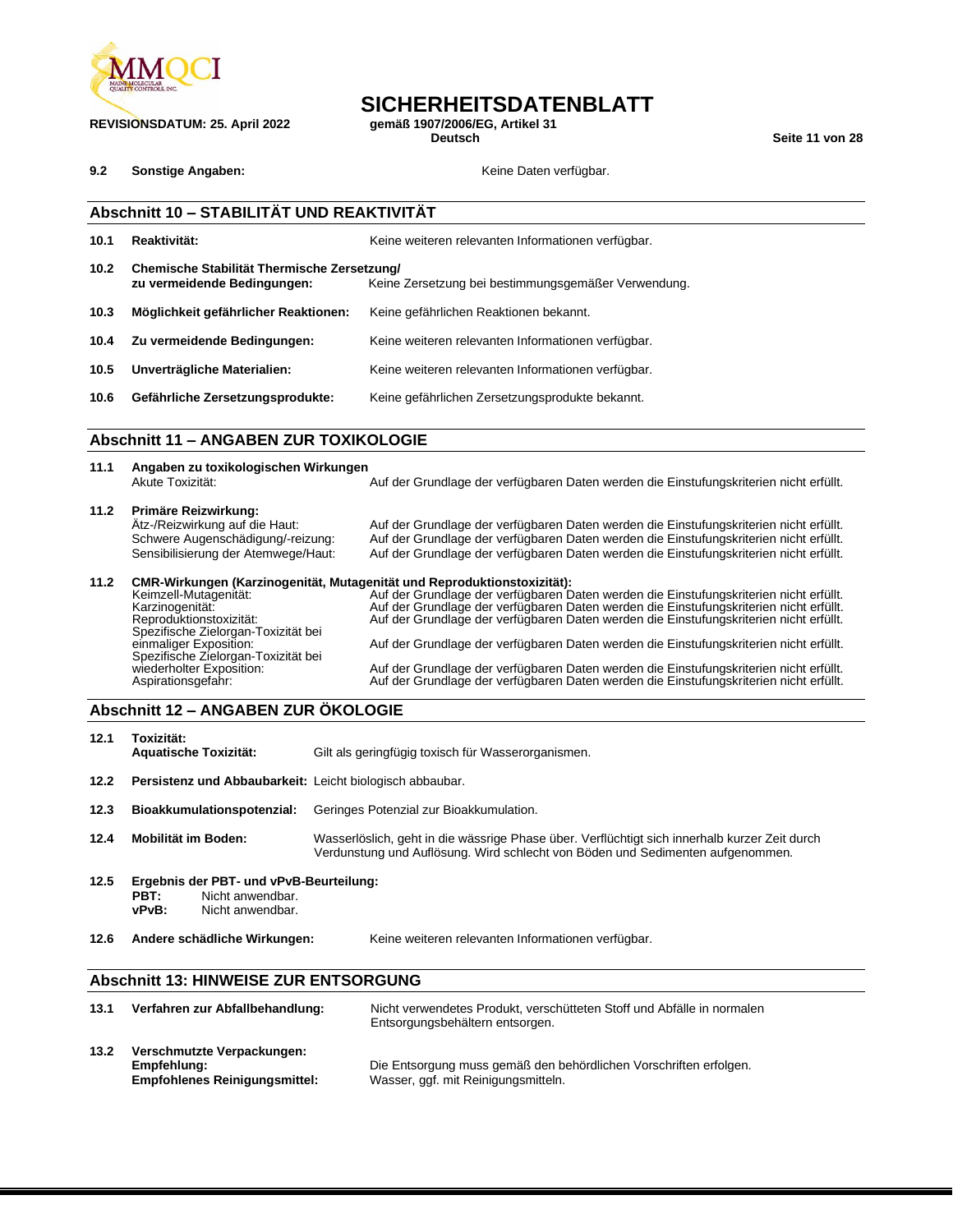

**REVISIONSDATUM: 25. April 2022 gemäß 1907/2006/EG, Artikel 31**

## **SICHERHEITSDATENBLATT**<br>gemäß 1907/2006/EG, Artikel 31

**Deutsch Seite 11 von 28**

**9.2 Sonstige Angaben: Constigned Angaben: Keine Daten verfügbar.** 

|                   | Abschnitt 10 - STABILITÄT UND REAKTIVITÄT                                                   |                                                                                                                                                                                  |  |  |
|-------------------|---------------------------------------------------------------------------------------------|----------------------------------------------------------------------------------------------------------------------------------------------------------------------------------|--|--|
| 10.1              | Reaktivität:                                                                                | Keine weiteren relevanten Informationen verfügbar.                                                                                                                               |  |  |
| 10.2 <sub>1</sub> | Chemische Stabilität Thermische Zersetzung/<br>zu vermeidende Bedingungen:                  | Keine Zersetzung bei bestimmungsgemäßer Verwendung.                                                                                                                              |  |  |
| 10.3              | Möglichkeit gefährlicher Reaktionen:                                                        | Keine gefährlichen Reaktionen bekannt.                                                                                                                                           |  |  |
| 10.4              | Zu vermeidende Bedingungen:<br>Keine weiteren relevanten Informationen verfügbar.           |                                                                                                                                                                                  |  |  |
| 10.5              | Unverträgliche Materialien:                                                                 | Keine weiteren relevanten Informationen verfügbar.                                                                                                                               |  |  |
| 10.6              | Gefährliche Zersetzungsprodukte:                                                            | Keine gefährlichen Zersetzungsprodukte bekannt.                                                                                                                                  |  |  |
|                   | <b>Abschnitt 11 - ANGABEN ZUR TOXIKOLOGIE</b>                                               |                                                                                                                                                                                  |  |  |
| 11.1              | Angaben zu toxikologischen Wirkungen<br>Akute Toxizität:                                    | Auf der Grundlage der verfügbaren Daten werden die Einstufungskriterien nicht erfüllt.                                                                                           |  |  |
| 11.2              | Primäre Reizwirkung:<br>Atz-/Reizwirkung auf die Haut:<br>Schwere Augenschädigung/-reizung: | Auf der Grundlage der verfügbaren Daten werden die Einstufungskriterien nicht erfüllt.<br>Auf der Grundlage der verfügbaren Daten werden die Einstufungskriterien nicht erfüllt. |  |  |

### Sensibilisierung der Atemwege/Haut: Auf der Grundlage der verfügbaren Daten werden die Einstufungskriterien nicht erfüllt. **11.2 CMR-Wirkungen (Karzinogenität, Mutagenität und Reproduktionstoxizität):** Keimzell-Mutagenität: `````Auf der Grundlage der verfügbaren Daten werden die Einstufungskriterien nicht erfüllt<br>Karzinogenität: ```Auf der Grundlage der verfügbaren Daten werden die Einstufungskriterien nicht erfüllt. Reproduktionstoxizität: Auf der Grundlage der verfügbaren Daten werden die Einstufungskriterien nicht erfüllt. Spezifische Zielorgan-Toxizität bei Auf der Grundlage der verfügbaren Daten werden die Einstufungskriterien nicht erfüllt. Spezifische Zielorgan-Toxizität bei<br>Spezifische Zielorgan-Toxizität bei<br>wiederholter Exposition: wiederholter Exposition: Auf der Grundlage der verfügbaren Daten werden die Einstufungskriterien nicht erfüllt. Aspirationsgefahr: Auf der Grundlage der verfügbaren Daten werden die Einstufungskriterien nicht erfüllt.

### **Abschnitt 12 – ANGABEN ZUR ÖKOLOGIE**

| 12.1                                                             | Toxizität:<br><b>Aquatische Toxizität:</b>                                                       | Gilt als geringfügig toxisch für Wasserorganismen.                                                                                                                              |  |
|------------------------------------------------------------------|--------------------------------------------------------------------------------------------------|---------------------------------------------------------------------------------------------------------------------------------------------------------------------------------|--|
| Persistenz und Abbaubarkeit: Leicht biologisch abbaubar.<br>12.2 |                                                                                                  |                                                                                                                                                                                 |  |
| 12.3                                                             | Bioakkumulationspotenzial:                                                                       | Geringes Potenzial zur Bioakkumulation.                                                                                                                                         |  |
| 12.4                                                             | Mobilität im Boden:                                                                              | Wasserlöslich, geht in die wässrige Phase über. Verflüchtigt sich innerhalb kurzer Zeit durch<br>Verdunstung und Auflösung. Wird schlecht von Böden und Sedimenten aufgenommen. |  |
| 12.5                                                             | Ergebnis der PBT- und vPvB-Beurteilung:<br>Nicht anwendbar.<br>PBT:<br>vPvB:<br>Nicht anwendbar. |                                                                                                                                                                                 |  |
| 12.6                                                             | Andere schädliche Wirkungen:                                                                     | Keine weiteren relevanten Informationen verfügbar.                                                                                                                              |  |

### **Abschnitt 13: HINWEISE ZUR ENTSORGUNG**

| 13.1 | Verfahren zur Abfallbehandlung:                                                   | Nicht verwendetes Produkt, verschütteten Stoff und Abfälle in normalen<br>Entsorgungsbehältern entsorgen. |
|------|-----------------------------------------------------------------------------------|-----------------------------------------------------------------------------------------------------------|
| 13.2 | Verschmutzte Verpackungen:<br>Empfehlung:<br><b>Empfohlenes Reinigungsmittel:</b> | Die Entsorgung muss gemäß den behördlichen Vorschriften erfolgen.<br>Wasser, ggf. mit Reinigungsmitteln.  |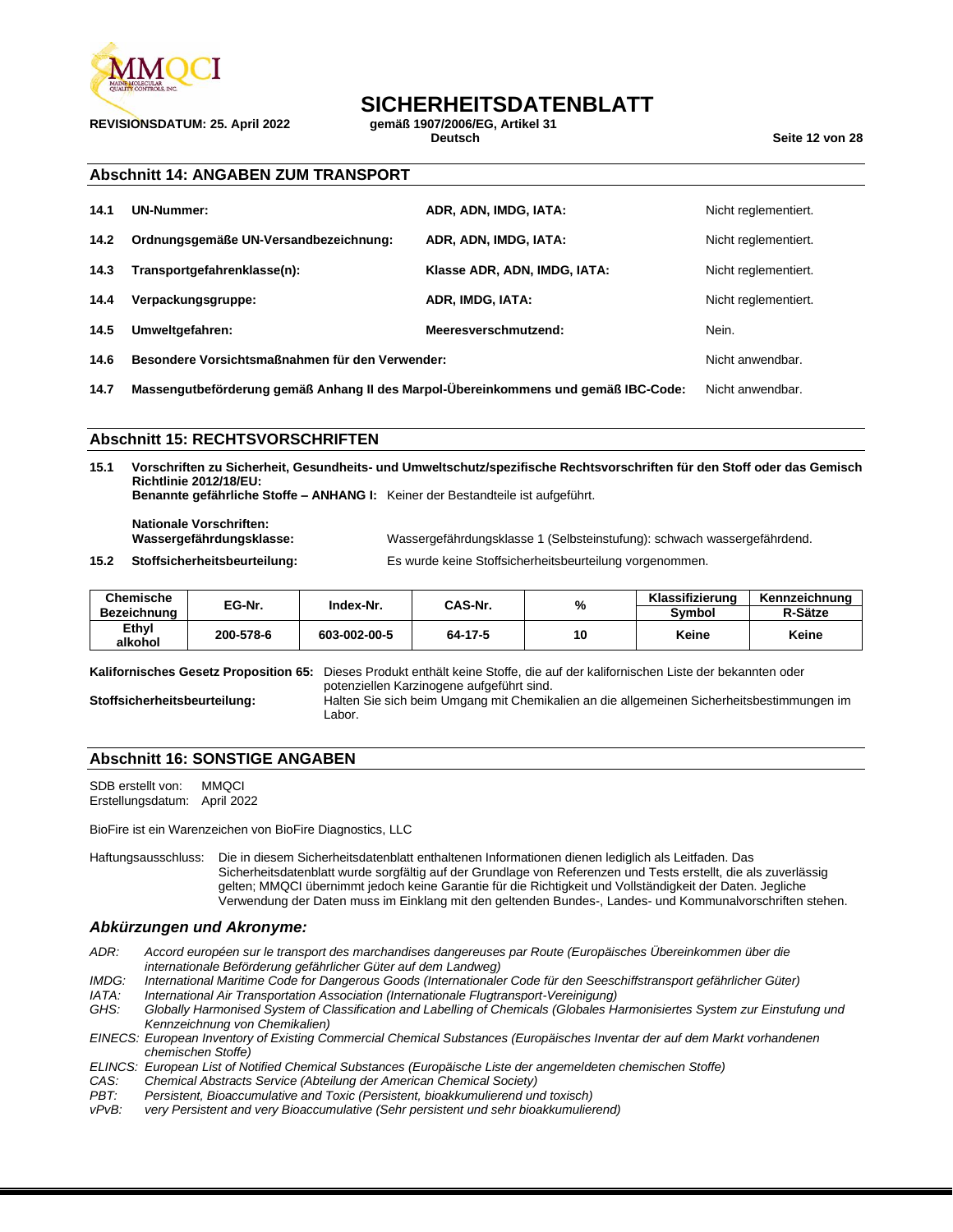

**REVISIONSDATUM: 25. April 2022 gemäß 1907/2006/EG, Artikel 31**

## **SICHERHEITSDATENBLATT**<br>gemäß 1907/2006/EG. Artikel 31

**Deutsch Seite 12 von 28**

### **Abschnitt 14: ANGABEN ZUM TRANSPORT**

| 14.1 | UN-Nummer:                                      | ADR, ADN, IMDG, IATA:        | Nicht reglementiert. |
|------|-------------------------------------------------|------------------------------|----------------------|
| 14.2 | Ordnungsgemäße UN-Versandbezeichnung:           | ADR, ADN, IMDG, IATA:        | Nicht reglementiert. |
| 14.3 | Transportgefahrenklasse(n):                     | Klasse ADR, ADN, IMDG, IATA: | Nicht reglementiert. |
| 14.4 | Verpackungsgruppe:                              | ADR. IMDG. IATA:             | Nicht reglementiert. |
| 14.5 | Umweltgefahren:                                 | Meeresverschmutzend:         | Nein.                |
| 14.6 | Besondere Vorsichtsmaßnahmen für den Verwender: |                              | Nicht anwendbar.     |

**14.7 Massengutbeförderung gemäß Anhang II des Marpol-Übereinkommens und gemäß IBC-Code:** Nicht anwendbar.

### **Abschnitt 15: RECHTSVORSCHRIFTEN**

**15.1 Vorschriften zu Sicherheit, Gesundheits- und Umweltschutz/spezifische Rechtsvorschriften für den Stoff oder das Gemisch Richtlinie 2012/18/EU: Benannte gefährliche Stoffe – ANHANG I:** Keiner der Bestandteile ist aufgeführt.

**Nationale Vorschriften:**

Wassergefährdungsklasse 1 (Selbsteinstufung): schwach wassergefährdend.

**15.2 Stoffsicherheitsbeurteilung:** Es wurde keine Stoffsicherheitsbeurteilung vorgenommen.

| Chemische        | EG-Nr.    | Index-Nr.    | CAS-Nr. | %  | Klassifizierung | Kennzeichnung |
|------------------|-----------|--------------|---------|----|-----------------|---------------|
| Bezeichnung      |           |              |         |    | Svmbol          | R-Sätze       |
| Ethyl<br>alkohol | 200-578-6 | 603-002-00-5 | 64-17-5 | 10 | Keine           | Keine         |

**Kalifornisches Gesetz Proposition 65:** Dieses Produkt enthält keine Stoffe, die auf der kalifornischen Liste der bekannten oder potenziellen Karzinogene aufgeführt sind.

**Stoffsicherheitsbeurteilung:** Halten Sie sich beim Umgang mit Chemikalien an die allgemeinen Sicherheitsbestimmungen im Labor.

### **Abschnitt 16: SONSTIGE ANGABEN**

SDB erstellt von: MMQCI Erstellungsdatum: April 2022

BioFire ist ein Warenzeichen von BioFire Diagnostics, LLC

Haftungsausschluss: Die in diesem Sicherheitsdatenblatt enthaltenen Informationen dienen lediglich als Leitfaden. Das Sicherheitsdatenblatt wurde sorgfältig auf der Grundlage von Referenzen und Tests erstellt, die als zuverlässig gelten; MMQCI übernimmt jedoch keine Garantie für die Richtigkeit und Vollständigkeit der Daten. Jegliche Verwendung der Daten muss im Einklang mit den geltenden Bundes-, Landes- und Kommunalvorschriften stehen.

#### *Abkürzungen und Akronyme:*

- *ADR: Accord européen sur le transport des marchandises dangereuses par Route (Europäisches Übereinkommen über die internationale Beförderung gefährlicher Güter auf dem Landweg)*
- *IMDG: International Maritime Code for Dangerous Goods (Internationaler Code für den Seeschiffstransport gefährlicher Güter)*
- *IATA: International Air Transportation Association (Internationale Flugtransport-Vereinigung)*
- *GHS: Globally Harmonised System of Classification and Labelling of Chemicals (Globales Harmonisiertes System zur Einstufung und Kennzeichnung von Chemikalien)*

*EINECS: European Inventory of Existing Commercial Chemical Substances (Europäisches Inventar der auf dem Markt vorhandenen chemischen Stoffe)*

- *ELINCS: European List of Notified Chemical Substances (Europäische Liste der angemeldeten chemischen Stoffe)*
- *CAS: Chemical Abstracts Service (Abteilung der American Chemical Society)*
- *PBT: Persistent, Bioaccumulative and Toxic (Persistent, bioakkumulierend und toxisch)*
- *vPvB: very Persistent and very Bioaccumulative (Sehr persistent und sehr bioakkumulierend)*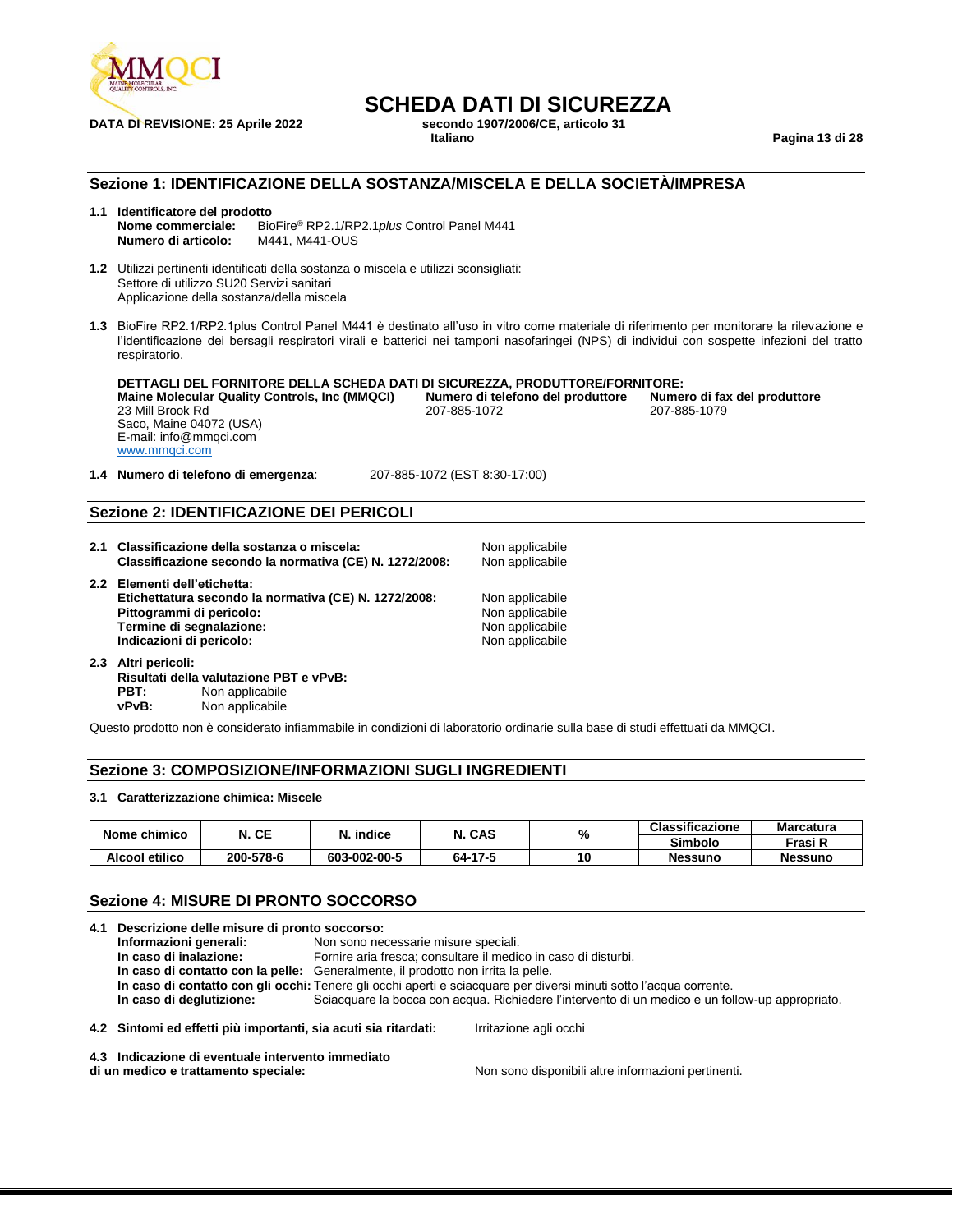

## **SCHEDA DATI DI SICUREZZA**<br>secondo 1907/2006/CE. articolo 31

**DATA DI REVISIONE: 25 Aprile 2022 secondo 1907/2006** 

**Italiano Pagina 13 di 28**

### **Sezione 1: IDENTIFICAZIONE DELLA SOSTANZA/MISCELA E DELLA SOCIETÀ/IMPRESA**

### **1.1 Identificatore del prodotto**

**Nome commerciale:** BioFire® RP2.1/RP2.1*plus* Control Panel M441 **Numero di articolo:** M441, M441-OUS

**1.2** Utilizzi pertinenti identificati della sostanza o miscela e utilizzi sconsigliati: Settore di utilizzo SU20 Servizi sanitari Applicazione della sostanza/della miscela

**1.3** BioFire RP2.1/RP2.1plus Control Panel M441 è destinato all'uso in vitro come materiale di riferimento per monitorare la rilevazione e l'identificazione dei bersagli respiratori virali e batterici nei tamponi nasofaringei (NPS) di individui con sospette infezioni del tratto respiratorio.

**DETTAGLI DEL FORNITORE DELLA SCHEDA DATI DI SICUREZZA, PRODUTTORE/FORNITORE: Maine Molecular Quality Controls, Inc (MMQCI) Numero di telefono del produttore Numero di fax del produttore Numero di fax del produttore numero di fax del produttore di fax del produttore di fax del produttor** 23 Mill Brook Rd Saco, Maine 04072 (USA) E-mail: info@mmqci.com [www.mmqci.com](http://www.mmqci.com/)

**1.4 Numero di telefono di emergenza**: 207-885-1072 (EST 8:30-17:00)

### **Sezione 2: IDENTIFICAZIONE DEI PERICOLI**

- 2.1 Classificazione della sostanza o miscela: Non applicabile **Classificazione secondo la normativa (CE) N. 1272/2008:** Non applicabile **2.2 Elementi dell'etichetta: Etichettatura secondo la normativa (CE) N. 1272/2008:** Non applicabile<br> **Pittogrammi di pericolo:** Non applicabile **Pittogrammi di pericolo:** Non applicabile<br> **Pittogrammi di segnalazione:** Non applicabile<br>
Non applicabile **Termine di segnalazione:**  $\blacksquare$  Non applicabile Indicazioni di pericolo:  $\blacksquare$  Non applicabile Indicazioni di pericolo:
- **Indicazioni di pericolo: 2.3 Altri pericoli: Risultati della valutazione PBT e vPvB:** Non applicabile **vPvB:** Non applicabile

Questo prodotto non è considerato infiammabile in condizioni di laboratorio ordinarie sulla base di studi effettuati da MMQCI.

### **Sezione 3: COMPOSIZIONE/INFORMAZIONI SUGLI INGREDIENTI**

### **3.1 Caratterizzazione chimica: Miscele**

| Nome chimico   | N. CE     | N. indice    | . CAS   | %  | <b>Classificazione</b> | <b>Marcatura</b> |
|----------------|-----------|--------------|---------|----|------------------------|------------------|
|                |           |              |         |    | <b>Simbolo</b>         | Frasi R          |
| Alcool etilico | 200-578-6 | 603-002-00-5 | 64-17-5 | 10 | <b>Nessuno</b>         | <b>Nessuno</b>   |

### **Sezione 4: MISURE DI PRONTO SOCCORSO**

|  | 4.1 Descrizione delle misure di pronto soccorso:                                 |                                      |                                                                                                                    |  |
|--|----------------------------------------------------------------------------------|--------------------------------------|--------------------------------------------------------------------------------------------------------------------|--|
|  | Informazioni generali:                                                           | Non sono necessarie misure speciali. |                                                                                                                    |  |
|  | In caso di inalazione:                                                           |                                      | Fornire aria fresca; consultare il medico in caso di disturbi.                                                     |  |
|  | In caso di contatto con la pelle: Generalmente, il prodotto non irrita la pelle. |                                      |                                                                                                                    |  |
|  |                                                                                  |                                      | In caso di contatto con gli occhi: Tenere gli occhi aperti e sciacquare per diversi minuti sotto l'acqua corrente. |  |
|  | In caso di deglutizione:                                                         |                                      | Sciacquare la bocca con acqua. Richiedere l'intervento di un medico e un follow-up appropriato.                    |  |
|  | 4.2 Sintomi ed effetti più importanti, sia acuti sia ritardati:                  |                                      | Irritazione agli occhi                                                                                             |  |
|  | 4.3 Indicazione di eventuale intervento immediato                                |                                      |                                                                                                                    |  |

**di un medico e trattamento speciale:** Non sono disponibili altre informazioni pertinenti.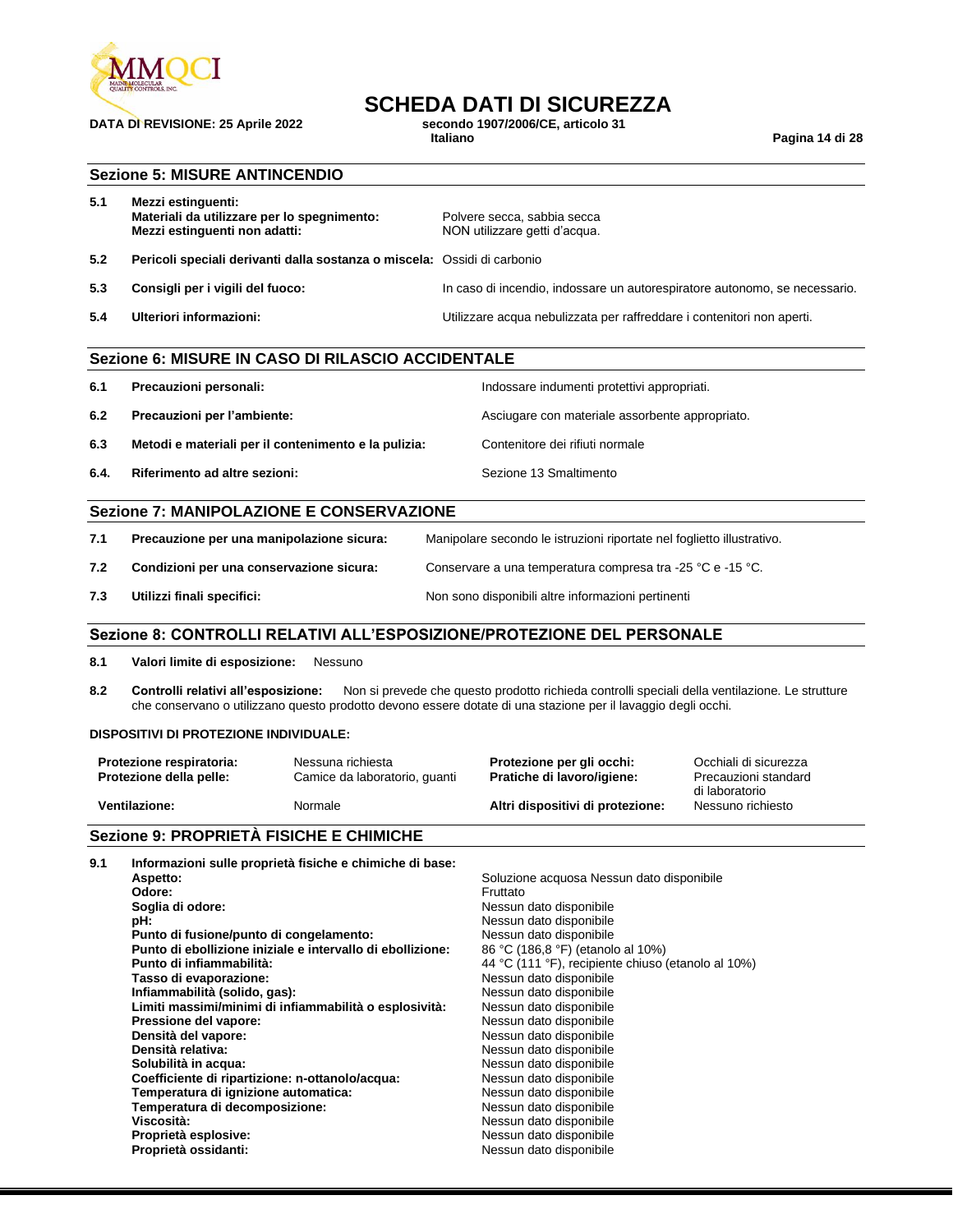

## **DATA DI REVISIONE: 25 Aprile 2022 secondo** 1<br>Italiano

## **SCHEDA DATI DI SICUREZZA**<br>secondo 1907/2006/CE, articolo 31

**Italiano Pagina 14 di 28**

### **Sezione 5: MISURE ANTINCENDIO**

| 5.1 | Mezzi estinguenti:<br>Materiali da utilizzare per lo spegnimento:<br>Mezzi estinguenti non adatti: | Polvere secca, sabbia secca<br>NON utilizzare getti d'acqua.               |
|-----|----------------------------------------------------------------------------------------------------|----------------------------------------------------------------------------|
| 5.2 | Pericoli speciali derivanti dalla sostanza o miscela: Ossidi di carbonio                           |                                                                            |
| 5.3 | Consigli per i vigili del fuoco:                                                                   | In caso di incendio, indossare un autorespiratore autonomo, se necessario. |
| 5.4 | Ulteriori informazioni:                                                                            | Utilizzare acqua nebulizzata per raffreddare i contenitori non aperti.     |

| Sezione 6: MISURE IN CASO DI RILASCIO ACCIDENTALE |                                                      |                                                 |  |
|---------------------------------------------------|------------------------------------------------------|-------------------------------------------------|--|
| 6.1                                               | Precauzioni personali:                               | Indossare indumenti protettivi appropriati.     |  |
| 6.2                                               | Precauzioni per l'ambiente:                          | Asciugare con materiale assorbente appropriato. |  |
| 6.3                                               | Metodi e materiali per il contenimento e la pulizia: | Contenitore dei rifiuti normale                 |  |
| 6.4.                                              | Riferimento ad altre sezioni:                        | Sezione 13 Smaltimento                          |  |
|                                                   |                                                      |                                                 |  |

### **Sezione 7: MANIPOLAZIONE E CONSERVAZIONE**

| 7.1 | Precauzione per una manipolazione sicura: | Manipolare secondo le istruzioni riportate nel foglietto illustrativo. |
|-----|-------------------------------------------|------------------------------------------------------------------------|
| 7.2 | Condizioni per una conservazione sicura:  | Conservare a una temperatura compresa tra -25 °C e -15 °C.             |
| 7.3 | Utilizzi finali specifici:                | Non sono disponibili altre informazioni pertinenti                     |

### **Sezione 8: CONTROLLI RELATIVI ALL'ESPOSIZIONE/PROTEZIONE DEL PERSONALE**

**8.1 Valori limite di esposizione:** Nessuno

**8.2 Controlli relativi all'esposizione:** Non si prevede che questo prodotto richieda controlli speciali della ventilazione. Le strutture che conservano o utilizzano questo prodotto devono essere dotate di una stazione per il lavaggio degli occhi.

#### **DISPOSITIVI DI PROTEZIONE INDIVIDUALE:**

| Protezione respiratoria: | Nessuna richiesta             | Protezione per gli occhi:        | Occhiali di sicurezza               |
|--------------------------|-------------------------------|----------------------------------|-------------------------------------|
| Protezione della pelle:  | Camice da laboratorio, quanti | Pratiche di lavoro/igiene:       | Precauzioni standard                |
| <b>Ventilazione:</b>     | Normale                       | Altri dispositivi di protezione: | di laboratorio<br>Nessuno richiesto |

### **Sezione 9: PROPRIETÀ FISICHE E CHIMICHE**

| 9.1 | Informazioni sulle proprietà fisiche e chimiche di base:   |                                                    |
|-----|------------------------------------------------------------|----------------------------------------------------|
|     | Aspetto:                                                   | Soluzione acquosa Nessun dato disponibile          |
|     | Odore:                                                     | Fruttato                                           |
|     | Soglia di odore:                                           | Nessun dato disponibile                            |
|     | pH:                                                        | Nessun dato disponibile                            |
|     | Punto di fusione/punto di congelamento:                    | Nessun dato disponibile                            |
|     | Punto di ebollizione iniziale e intervallo di ebollizione: | 86 °C (186,8 °F) (etanolo al 10%)                  |
|     | Punto di infiammabilità:                                   | 44 °C (111 °F), recipiente chiuso (etanolo al 10%) |
|     | Tasso di evaporazione:                                     | Nessun dato disponibile                            |
|     | Infiammabilità (solido, gas):                              | Nessun dato disponibile                            |
|     | Limiti massimi/minimi di infiammabilità o esplosività:     | Nessun dato disponibile                            |
|     | Pressione del vapore:                                      | Nessun dato disponibile                            |
|     | Densità del vapore:                                        | Nessun dato disponibile                            |
|     | Densità relativa:                                          | Nessun dato disponibile                            |
|     | Solubilità in acqua:                                       | Nessun dato disponibile                            |
|     | Coefficiente di ripartizione: n-ottanolo/acqua:            | Nessun dato disponibile                            |
|     | Temperatura di ignizione automatica:                       | Nessun dato disponibile                            |
|     | Temperatura di decomposizione:                             | Nessun dato disponibile                            |
|     | Viscosità:                                                 | Nessun dato disponibile                            |
|     | Proprietà esplosive:                                       | Nessun dato disponibile                            |
|     | Proprietà ossidanti:                                       | Nessun dato disponibile                            |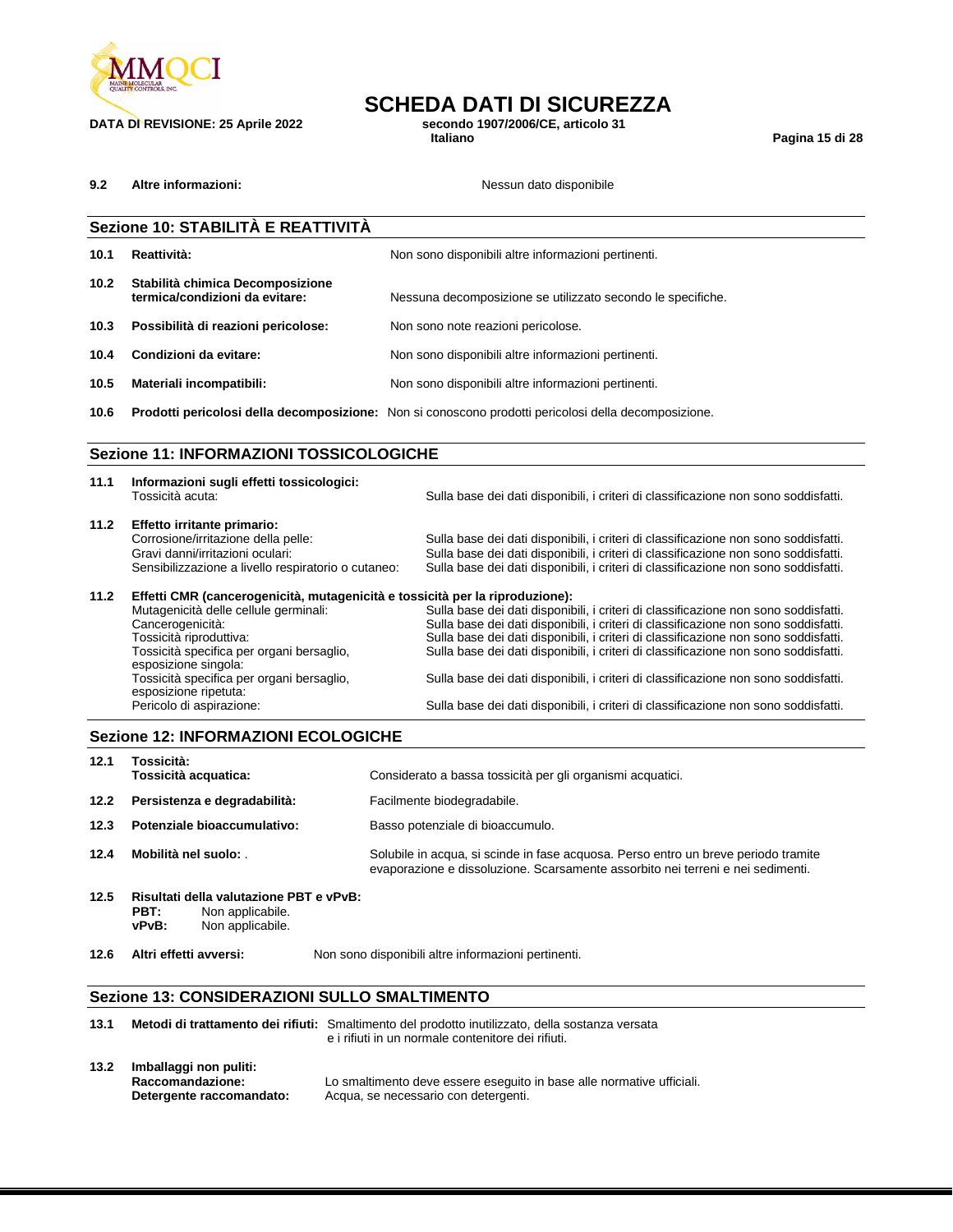

**DATA DI REVISIONE: 25 Aprile 2022 secondo** 1<br>Italiano

## **SCHEDA DATI DI SICUREZZA**<br>secondo 1907/2006/CE, articolo 31

**Italiano Pagina 15 di 28**

**9.2 Altre informazioni: Nessun dato disponibile** 

|      | Sezione 10: STABILITÀ E REATTIVITÀ                                                                                                                                                                                                                                                                                                          |                                                                                                                                                                                                                                                                                                                                                                                                                                                                                                                                        |
|------|---------------------------------------------------------------------------------------------------------------------------------------------------------------------------------------------------------------------------------------------------------------------------------------------------------------------------------------------|----------------------------------------------------------------------------------------------------------------------------------------------------------------------------------------------------------------------------------------------------------------------------------------------------------------------------------------------------------------------------------------------------------------------------------------------------------------------------------------------------------------------------------------|
| 10.1 | Reattività:                                                                                                                                                                                                                                                                                                                                 | Non sono disponibili altre informazioni pertinenti.                                                                                                                                                                                                                                                                                                                                                                                                                                                                                    |
| 10.2 | Stabilità chimica Decomposizione<br>termica/condizioni da evitare:                                                                                                                                                                                                                                                                          | Nessuna decomposizione se utilizzato secondo le specifiche.                                                                                                                                                                                                                                                                                                                                                                                                                                                                            |
| 10.3 | Possibilità di reazioni pericolose:                                                                                                                                                                                                                                                                                                         | Non sono note reazioni pericolose.                                                                                                                                                                                                                                                                                                                                                                                                                                                                                                     |
| 10.4 | Condizioni da evitare:                                                                                                                                                                                                                                                                                                                      | Non sono disponibili altre informazioni pertinenti.                                                                                                                                                                                                                                                                                                                                                                                                                                                                                    |
| 10.5 | Materiali incompatibili:                                                                                                                                                                                                                                                                                                                    | Non sono disponibili altre informazioni pertinenti.                                                                                                                                                                                                                                                                                                                                                                                                                                                                                    |
| 10.6 |                                                                                                                                                                                                                                                                                                                                             | Prodotti pericolosi della decomposizione: Non si conoscono prodotti pericolosi della decomposizione.                                                                                                                                                                                                                                                                                                                                                                                                                                   |
|      | <b>Sezione 11: INFORMAZIONI TOSSICOLOGICHE</b>                                                                                                                                                                                                                                                                                              |                                                                                                                                                                                                                                                                                                                                                                                                                                                                                                                                        |
| 11.1 | Informazioni sugli effetti tossicologici:<br>Tossicità acuta:                                                                                                                                                                                                                                                                               | Sulla base dei dati disponibili, i criteri di classificazione non sono soddisfatti.                                                                                                                                                                                                                                                                                                                                                                                                                                                    |
| 11.2 | Effetto irritante primario:<br>Corrosione/irritazione della pelle:<br>Gravi danni/irritazioni oculari:<br>Sensibilizzazione a livello respiratorio o cutaneo:                                                                                                                                                                               | Sulla base dei dati disponibili, i criteri di classificazione non sono soddisfatti.<br>Sulla base dei dati disponibili, i criteri di classificazione non sono soddisfatti.<br>Sulla base dei dati disponibili, i criteri di classificazione non sono soddisfatti.                                                                                                                                                                                                                                                                      |
| 11.2 | Effetti CMR (cancerogenicità, mutagenicità e tossicità per la riproduzione):<br>Mutagenicità delle cellule germinali:<br>Cancerogenicità:<br>Tossicità riproduttiva:<br>Tossicità specifica per organi bersaglio,<br>esposizione singola:<br>Tossicità specifica per organi bersaglio,<br>esposizione ripetuta:<br>Pericolo di aspirazione: | Sulla base dei dati disponibili, i criteri di classificazione non sono soddisfatti.<br>Sulla base dei dati disponibili, i criteri di classificazione non sono soddisfatti.<br>Sulla base dei dati disponibili, i criteri di classificazione non sono soddisfatti.<br>Sulla base dei dati disponibili, i criteri di classificazione non sono soddisfatti.<br>Sulla base dei dati disponibili, i criteri di classificazione non sono soddisfatti.<br>Sulla base dei dati disponibili, i criteri di classificazione non sono soddisfatti. |
|      | <b>Sezione 12: INFORMAZIONI ECOLOGICHE</b>                                                                                                                                                                                                                                                                                                  |                                                                                                                                                                                                                                                                                                                                                                                                                                                                                                                                        |

| 12.1 | Tossicità:<br>Tossicità acquatica:                                                               | Considerato a bassa tossicità per gli organismi acquatici.                                                                                                            |
|------|--------------------------------------------------------------------------------------------------|-----------------------------------------------------------------------------------------------------------------------------------------------------------------------|
| 12.2 | Persistenza e degradabilità:                                                                     | Facilmente biodegradabile.                                                                                                                                            |
| 12.3 | Potenziale bioaccumulativo:                                                                      | Basso potenziale di bioaccumulo.                                                                                                                                      |
| 12.4 | Mobilità nel suolo:                                                                              | Solubile in acqua, si scinde in fase acquosa. Perso entro un breve periodo tramite<br>evaporazione e dissoluzione. Scarsamente assorbito nei terreni e nei sedimenti. |
| 12.5 | Risultati della valutazione PBT e vPvB:<br>PBT:<br>Non applicabile.<br>Non applicabile.<br>vPvB: |                                                                                                                                                                       |

**12.6 Altri effetti avversi:** Non sono disponibili altre informazioni pertinenti.

### **Sezione 13: CONSIDERAZIONI SULLO SMALTIMENTO**

| 13.1 |                                                                        | Metodi di trattamento dei rifiuti: Smaltimento del prodotto inutilizzato, della sostanza versata<br>e i rifiuti in un normale contenitore dei rifiuti. |
|------|------------------------------------------------------------------------|--------------------------------------------------------------------------------------------------------------------------------------------------------|
| 13.2 | Imballaggi non puliti:<br>Raccomandazione:<br>Detergente raccomandato: | Lo smaltimento deve essere eseguito in base alle normative ufficiali.<br>Acqua, se necessario con detergenti.                                          |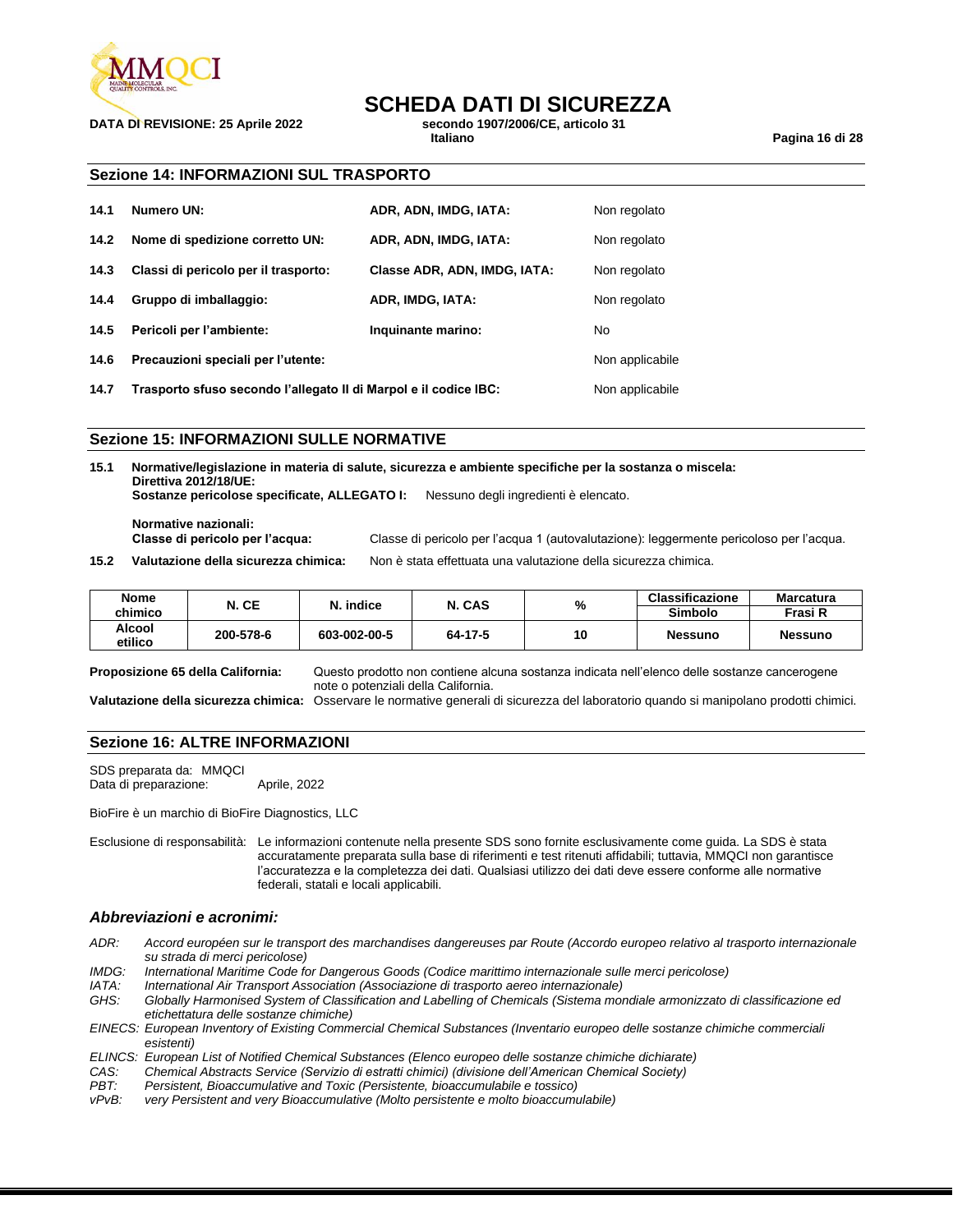

## **SCHEDA DATI DI SICUREZZA**<br>secondo 1907/2006/CE. articolo 31

**DATA DI REVISIONE: 25 Aprile 2022 secondo** 1907/2006

**Italiano Pagina 16 di 28**

### **Sezione 14: INFORMAZIONI SUL TRASPORTO**

| 14.1 | Numero UN:                           | ADR, ADN, IMDG, IATA:        | Non regolato    |
|------|--------------------------------------|------------------------------|-----------------|
| 14.2 | Nome di spedizione corretto UN:      | ADR, ADN, IMDG, IATA:        | Non regolato    |
| 14.3 | Classi di pericolo per il trasporto: | Classe ADR, ADN, IMDG, IATA: | Non regolato    |
| 14.4 | Gruppo di imballaggio:               | ADR, IMDG, IATA:             | Non regolato    |
| 14.5 | Pericoli per l'ambiente:             | Inquinante marino:           | No              |
| 14.6 | Precauzioni speciali per l'utente:   |                              | Non applicabile |
|      |                                      |                              |                 |

**14.7 Trasporto sfuso secondo l'allegato II di Marpol e il codice IBC:** Non applicabile

### **Sezione 15: INFORMAZIONI SULLE NORMATIVE**

**15.1 Normative/legislazione in materia di salute, sicurezza e ambiente specifiche per la sostanza o miscela: Direttiva 2012/18/UE: Sostanze pericolose specificate, ALLEGATO I:** Nessuno degli ingredienti è elencato.

**Normative nazionali:**

**Classe di pericolo per l'acqua:** Classe di pericolo per l'acqua 1 (autovalutazione): leggermente pericoloso per l'acqua.

**15.2 Valutazione della sicurezza chimica:** Non è stata effettuata una valutazione della sicurezza chimica.

| <b>Nome</b><br>chimico | N. CE     | . indice     | N. CAS  | %  | <b>Classificazione</b><br>Simbolo | <b>Marcatura</b><br>Frasi R |
|------------------------|-----------|--------------|---------|----|-----------------------------------|-----------------------------|
| Alcool<br>etilico      | 200-578-6 | 603-002-00-5 | 64-17-5 | 10 | <b>Nessuno</b>                    | <b>Nessuno</b>              |

**Proposizione 65 della California:** Questo prodotto non contiene alcuna sostanza indicata nell'elenco delle sostanze cancerogene note o potenziali della California.

**Valutazione della sicurezza chimica:** Osservare le normative generali di sicurezza del laboratorio quando si manipolano prodotti chimici.

### **Sezione 16: ALTRE INFORMAZIONI**

SDS preparata da: MMQCI Data di preparazione: Aprile, 2022

BioFire è un marchio di BioFire Diagnostics, LLC

Esclusione di responsabilità: Le informazioni contenute nella presente SDS sono fornite esclusivamente come guida. La SDS è stata accuratamente preparata sulla base di riferimenti e test ritenuti affidabili; tuttavia, MMQCI non garantisce l'accuratezza e la completezza dei dati. Qualsiasi utilizzo dei dati deve essere conforme alle normative federali, statali e locali applicabili.

### *Abbreviazioni e acronimi:*

- *ADR: Accord européen sur le transport des marchandises dangereuses par Route (Accordo europeo relativo al trasporto internazionale su strada di merci pericolose)*
- *IMDG: International Maritime Code for Dangerous Goods (Codice marittimo internazionale sulle merci pericolose)*
- *IATA: International Air Transport Association (Associazione di trasporto aereo internazionale)*

*GHS: Globally Harmonised System of Classification and Labelling of Chemicals (Sistema mondiale armonizzato di classificazione ed etichettatura delle sostanze chimiche)*

*EINECS: European Inventory of Existing Commercial Chemical Substances (Inventario europeo delle sostanze chimiche commerciali esistenti)*

- *ELINCS: European List of Notified Chemical Substances (Elenco europeo delle sostanze chimiche dichiarate)*
- *CAS: Chemical Abstracts Service (Servizio di estratti chimici) (divisione dell'American Chemical Society)*
- Persistent, Bioaccumulative and Toxic (Persistente, bioaccumulabile e tossico)
- *vPvB: very Persistent and very Bioaccumulative (Molto persistente e molto bioaccumulabile)*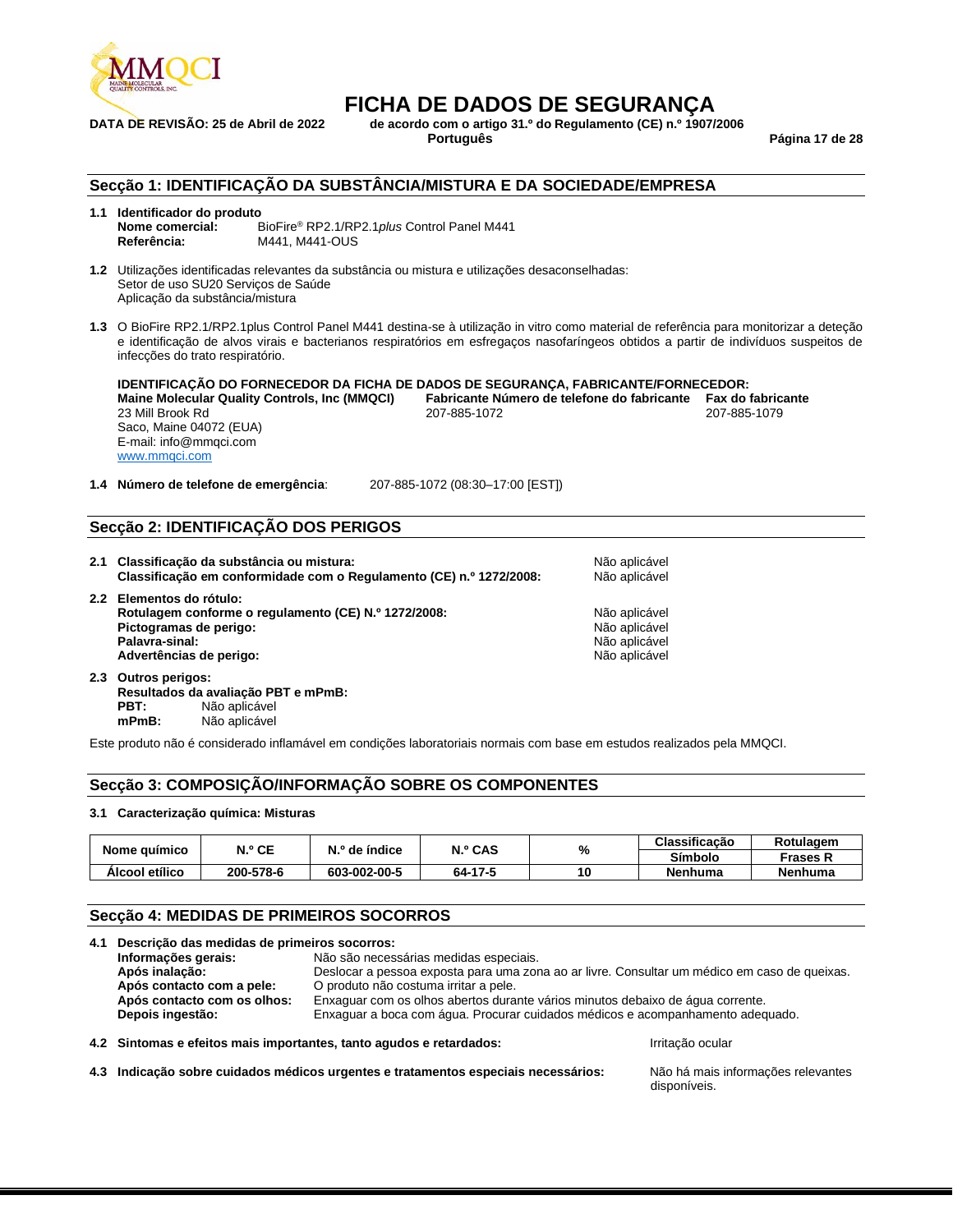

**DATA DE REVISÃO: 25 de Abril de 2022 de acordo com o artigo 31.º do Regulamento (CE) n.º 1907/2006**

**Português Página 17 de 28**

### **Secção 1: IDENTIFICAÇÃO DA SUBSTÂNCIA/MISTURA E DA SOCIEDADE/EMPRESA**

### **1.1 Identificador do produto**

**Nome comercial:** BioFire® RP2.1/RP2.1*plus* Control Panel M441 **Referência:** M441, M441-OUS

**1.2** Utilizações identificadas relevantes da substância ou mistura e utilizações desaconselhadas: Setor de uso SU20 Serviços de Saúde Aplicação da substância/mistura

**1.3** O BioFire RP2.1/RP2.1plus Control Panel M441 destina-se à utilização in vitro como material de referência para monitorizar a deteção e identificação de alvos virais e bacterianos respiratórios em esfregaços nasofaríngeos obtidos a partir de indivíduos suspeitos de infecções do trato respiratório.

**IDENTIFICAÇÃO DO FORNECEDOR DA FICHA DE DADOS DE SEGURANÇA, FABRICANTE/FORNECEDOR: Maine Molecular Quality Controls, Inc (MMQCI) Fabricante Número de telefone do fabricante Fax do fabricante** 23 Mill Brook Rd 207-885-1072 207-885-1079 Saco, Maine 04072 (EUA) E-mail: info@mmqci.com [www.mmqci.com](http://www.mmqci.com/)

**1.4 Número de telefone de emergência**: 207-885-1072 (08:30–17:00 [EST])

### **Secção 2: IDENTIFICAÇÃO DOS PERIGOS**

| 2.1 Classificação da substância ou mistura:<br>Classificação em conformidade com o Regulamento (CE) n.º 1272/2008:                                      | Não aplicável<br>Não aplicável                                   |
|---------------------------------------------------------------------------------------------------------------------------------------------------------|------------------------------------------------------------------|
| 2.2 Elementos do rótulo:<br>Rotulagem conforme o regulamento (CE) N.º 1272/2008:<br>Pictogramas de perigo:<br>Palavra-sinal:<br>Advertências de perigo: | Não aplicável<br>Não aplicável<br>Não aplicável<br>Não aplicável |
| 2.3 Outros perigos:                                                                                                                                     |                                                                  |

**Resultados da avaliação PBT e mPmB: PBT:** Não aplicável **mPmB:** Não aplicável

Este produto não é considerado inflamável em condições laboratoriais normais com base em estudos realizados pela MMQCI.

### **Secção 3: COMPOSIÇÃO/INFORMAÇÃO SOBRE OS COMPONENTES**

### **3.1 Caracterização química: Misturas**

|                | N.º CE    | N.º de índice | N.º CAS |  | %       | Classificação   | Rotulagem |
|----------------|-----------|---------------|---------|--|---------|-----------------|-----------|
| Nome químico   |           |               |         |  | Símbolo | Frases <b>K</b> |           |
| Alcool etílico | 200-578-6 | 603-002-00-5  | 64-17-5 |  | Nenhuma | <b>Nenhuma</b>  |           |

### **Secção 4: MEDIDAS DE PRIMEIROS SOCORROS**

|  | 4.1 Descrição das medidas de primeiros socorros:                                                              |                                                                     |                                                                                              |
|--|---------------------------------------------------------------------------------------------------------------|---------------------------------------------------------------------|----------------------------------------------------------------------------------------------|
|  | Informações gerais:                                                                                           | Não são necessárias medidas especiais.                              |                                                                                              |
|  | Após inalação:                                                                                                |                                                                     | Deslocar a pessoa exposta para uma zona ao ar livre. Consultar um médico em caso de queixas. |
|  | Após contacto com a pele:                                                                                     | O produto não costuma irritar a pele.                               |                                                                                              |
|  | Após contacto com os olhos:<br>Enxaguar com os olhos abertos durante vários minutos debaixo de água corrente. |                                                                     |                                                                                              |
|  | Depois ingestão:                                                                                              |                                                                     | Enxaguar a boca com água. Procurar cuidados médicos e acompanhamento adequado.               |
|  |                                                                                                               | 4.2 Sintomas e efeitos mais importantes, tanto agudos e retardados: | Irritacão ocular                                                                             |
|  |                                                                                                               |                                                                     |                                                                                              |

**4.3 Indicação sobre cuidados médicos urgentes e tratamentos especiais necessários:** Não há mais informações relevantes

disponíveis.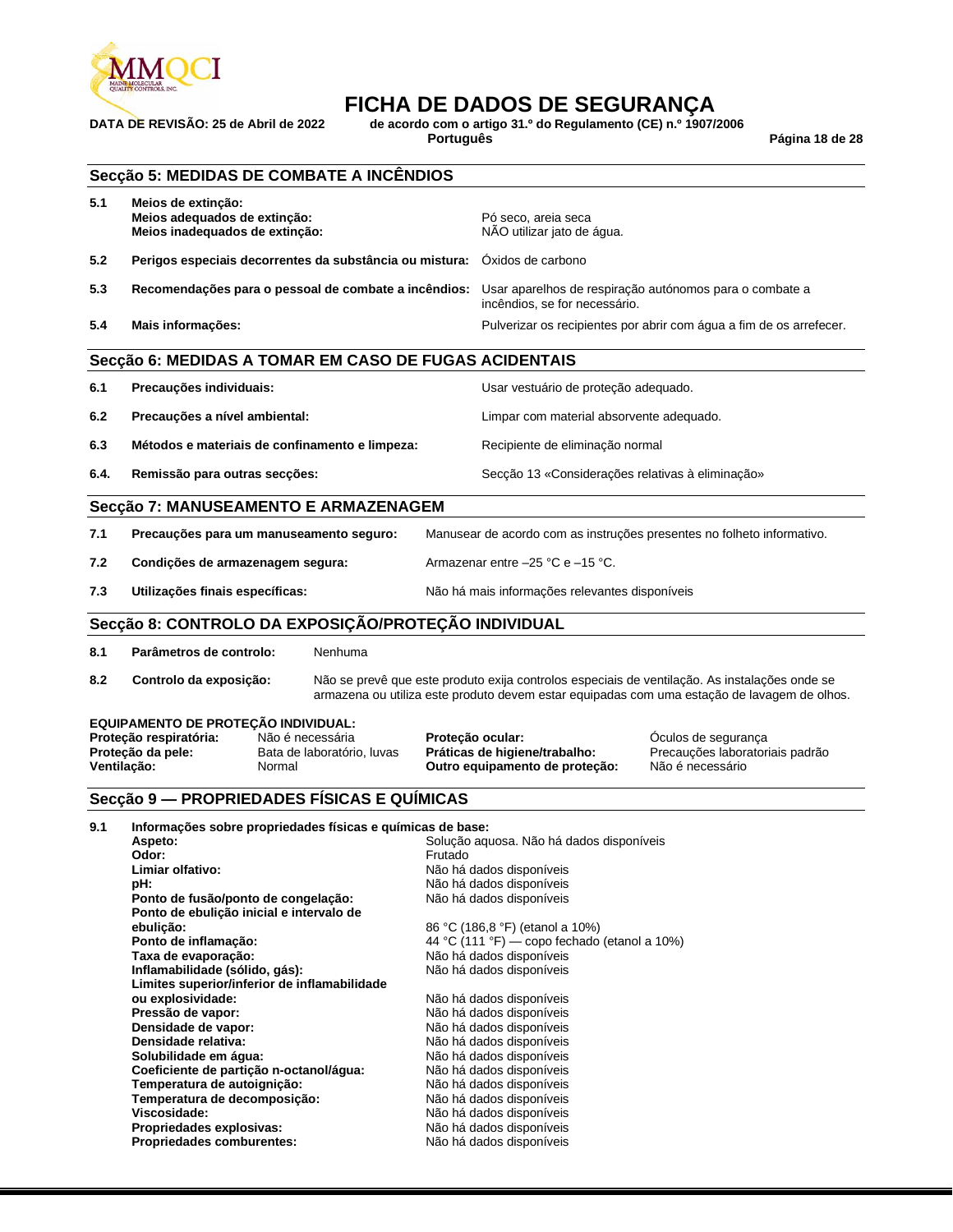

**DATA DE REVISÃO: 25 de Abril de 2022 de acordo com o artigo 31.º do Regulamento (CE) n.º 1907/2006**

**Português Página 18 de 28**

|      | Secção 5: MEDIDAS DE COMBATE A INCÊNDIOS                                                                                                                                                                                                                                                                  |                  |                                                                                                                                                                                                                                                          |                                                                                                                                                                                              |
|------|-----------------------------------------------------------------------------------------------------------------------------------------------------------------------------------------------------------------------------------------------------------------------------------------------------------|------------------|----------------------------------------------------------------------------------------------------------------------------------------------------------------------------------------------------------------------------------------------------------|----------------------------------------------------------------------------------------------------------------------------------------------------------------------------------------------|
| 5.1  | Meios de extinção:<br>Meios adequados de extinção:<br>Meios inadequados de extinção:                                                                                                                                                                                                                      |                  | Pó seco, areja seca<br>NÃO utilizar jato de água.                                                                                                                                                                                                        |                                                                                                                                                                                              |
| 5.2  | Perigos especiais decorrentes da substância ou mistura: Óxidos de carbono                                                                                                                                                                                                                                 |                  |                                                                                                                                                                                                                                                          |                                                                                                                                                                                              |
| 5.3  | Recomendações para o pessoal de combate a incêndios:                                                                                                                                                                                                                                                      |                  | incêndios, se for necessário.                                                                                                                                                                                                                            | Usar aparelhos de respiração autónomos para o combate a                                                                                                                                      |
| 5.4  | Mais informações:                                                                                                                                                                                                                                                                                         |                  |                                                                                                                                                                                                                                                          | Pulverizar os recipientes por abrir com água a fim de os arrefecer.                                                                                                                          |
|      | Secção 6: MEDIDAS A TOMAR EM CASO DE FUGAS ACIDENTAIS                                                                                                                                                                                                                                                     |                  |                                                                                                                                                                                                                                                          |                                                                                                                                                                                              |
| 6.1  | Precauções individuais:                                                                                                                                                                                                                                                                                   |                  | Usar vestuário de proteção adequado.                                                                                                                                                                                                                     |                                                                                                                                                                                              |
| 6.2  | Precauções a nível ambiental:                                                                                                                                                                                                                                                                             |                  | Limpar com material absorvente adequado.                                                                                                                                                                                                                 |                                                                                                                                                                                              |
| 6.3  | Métodos e materiais de confinamento e limpeza:                                                                                                                                                                                                                                                            |                  | Recipiente de eliminação normal                                                                                                                                                                                                                          |                                                                                                                                                                                              |
| 6.4. | Remissão para outras secções:                                                                                                                                                                                                                                                                             |                  | Secção 13 «Considerações relativas à eliminação»                                                                                                                                                                                                         |                                                                                                                                                                                              |
|      | Secção 7: MANUSEAMENTO E ARMAZENAGEM                                                                                                                                                                                                                                                                      |                  |                                                                                                                                                                                                                                                          |                                                                                                                                                                                              |
| 7.1  | Precauções para um manuseamento seguro:                                                                                                                                                                                                                                                                   |                  |                                                                                                                                                                                                                                                          | Manusear de acordo com as instruções presentes no folheto informativo.                                                                                                                       |
| 7.2  | Condições de armazenagem segura:                                                                                                                                                                                                                                                                          |                  | Armazenar entre $-25$ °C e $-15$ °C.                                                                                                                                                                                                                     |                                                                                                                                                                                              |
| 7.3  | Utilizações finais específicas:                                                                                                                                                                                                                                                                           |                  | Não há mais informações relevantes disponíveis                                                                                                                                                                                                           |                                                                                                                                                                                              |
|      | Secção 8: CONTROLO DA EXPOSIÇÃO/PROTEÇÃO INDIVIDUAL                                                                                                                                                                                                                                                       |                  |                                                                                                                                                                                                                                                          |                                                                                                                                                                                              |
|      |                                                                                                                                                                                                                                                                                                           |                  |                                                                                                                                                                                                                                                          |                                                                                                                                                                                              |
| 8.1  | Parâmetros de controlo:<br>Nenhuma                                                                                                                                                                                                                                                                        |                  |                                                                                                                                                                                                                                                          |                                                                                                                                                                                              |
| 8.2  | Controlo da exposição:                                                                                                                                                                                                                                                                                    |                  |                                                                                                                                                                                                                                                          | Não se prevê que este produto exija controlos especiais de ventilação. As instalações onde se<br>armazena ou utiliza este produto devem estar equipadas com uma estação de lavagem de olhos. |
|      | EQUIPAMENTO DE PROTEÇÃO INDIVIDUAL:<br>Proteção respiratória:<br>Não é necessária<br>Proteção da pele:<br>Bata de laboratório, luvas<br>Ventilação:<br>Normal                                                                                                                                             | Proteção ocular: | Práticas de higiene/trabalho:<br>Outro equipamento de proteção:                                                                                                                                                                                          | Oculos de segurança<br>Precauções laboratoriais padrão<br>Não é necessário                                                                                                                   |
|      | Secção 9 — PROPRIEDADES FÍSICAS E QUÍMICAS                                                                                                                                                                                                                                                                |                  |                                                                                                                                                                                                                                                          |                                                                                                                                                                                              |
| 9.1  | Informações sobre propriedades físicas e químicas de base:<br>Aspeto:<br>Odor:<br>Limiar olfativo:<br>pH:<br>Ponto de fusão/ponto de congelação:<br>Ponto de ebulição inicial e intervalo de<br>ebulição:<br>Ponto de inflamação:<br>Taxa de evaporação:                                                  | Frutado          | Solução aquosa. Não há dados disponíveis<br>Não há dados disponíveis<br>Não há dados disponíveis<br>Não há dados disponíveis<br>86 °C (186,8 °F) (etanol a 10%)<br>44 °C (111 °F) — copo fechado (etanol a 10%)<br>Não há dados disponíveis              |                                                                                                                                                                                              |
|      | Inflamabilidade (sólido, gás):<br>Limites superior/inferior de inflamabilidade<br>ou explosividade:<br>Pressão de vapor:<br>Densidade de vapor:<br>Densidade relativa:<br>Solubilidade em áqua:<br>Coeficiente de partição n-octanol/água:<br>Temperatura de autoignição:<br>Temperatura de decomposição: |                  | Não há dados disponíveis<br>Não há dados disponíveis<br>Não há dados disponíveis<br>Não há dados disponíveis<br>Não há dados disponíveis<br>Não há dados disponíveis<br>Não há dados disponíveis<br>Não há dados disponíveis<br>Não há dados disponíveis |                                                                                                                                                                                              |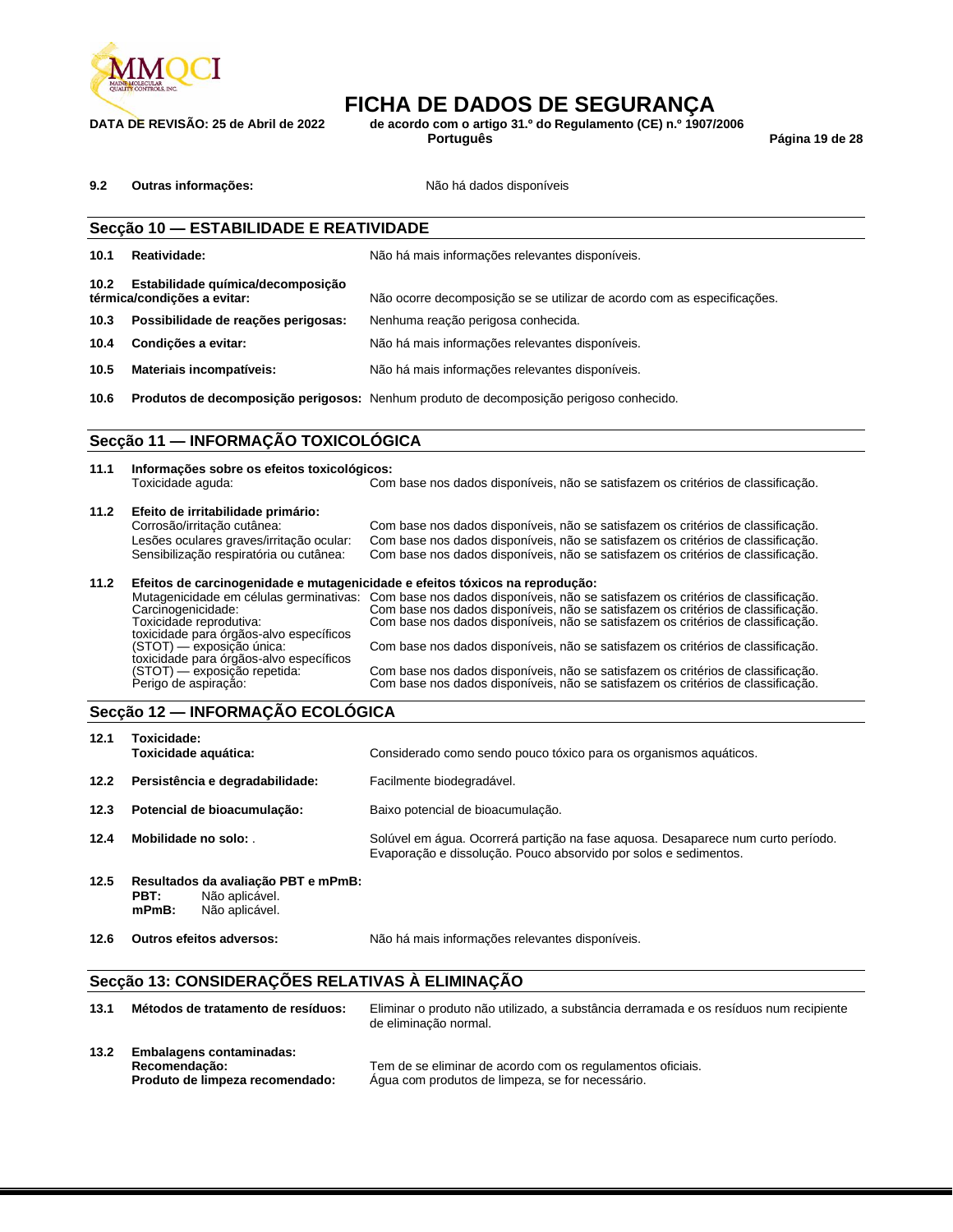

**DATA DE REVISÃO: 25 de Abril de 2022 de acordo com o artigo 31.º do Regulamento (CE) n.º 1907/2006**

**Português Página 19 de 28**

9.2 **Outras informações: Não há dados disponíveis** 

|                   | Secção 10 - ESTABILIDADE E REATIVIDADE                           |                                                                                        |  |  |  |
|-------------------|------------------------------------------------------------------|----------------------------------------------------------------------------------------|--|--|--|
| 10.1              | Reatividade:                                                     | Não há mais informações relevantes disponíveis.                                        |  |  |  |
| 10.2 <sub>1</sub> | Estabilidade química/decomposição<br>térmica/condicões a evitar: | Não ocorre decomposição se se utilizar de acordo com as especificações.                |  |  |  |
| 10.3              | Possibilidade de reações perigosas:                              | Nenhuma reação perigosa conhecida.                                                     |  |  |  |
| 10.4              | Condições a evitar:                                              | Não há mais informações relevantes disponíveis.                                        |  |  |  |
| 10.5              | Materiais incompatíveis:                                         | Não há mais informações relevantes disponíveis.                                        |  |  |  |
| 10.6              |                                                                  | Produtos de decomposição perigosos: Nenhum produto de decomposição perigoso conhecido. |  |  |  |
|                   |                                                                  |                                                                                        |  |  |  |

### **Secção 11 — INFORMAÇÃO TOXICOLÓGICA**

| 11.1 | Informações sobre os efeitos toxicológicos:<br>Toxicidade aquda:                                                   | Com base nos dados disponíveis, não se satisfazem os critérios de classificação.                                                                                                                                                                                                                 |  |  |  |
|------|--------------------------------------------------------------------------------------------------------------------|--------------------------------------------------------------------------------------------------------------------------------------------------------------------------------------------------------------------------------------------------------------------------------------------------|--|--|--|
| 11.2 | Efeito de irritabilidade primário:                                                                                 |                                                                                                                                                                                                                                                                                                  |  |  |  |
|      | Corrosão/irritação cutânea:<br>Lesões oculares graves/irritação ocular:<br>Sensibilização respiratória ou cutânea: | Com base nos dados disponíveis, não se satisfazem os critérios de classificação.<br>Com base nos dados disponíveis, não se satisfazem os critérios de classificação.<br>Com base nos dados disponíveis, não se satisfazem os critérios de classificação.                                         |  |  |  |
| 11.2 | Efeitos de carcinogenidade e mutagenicidade e efeitos tóxicos na reprodução:                                       |                                                                                                                                                                                                                                                                                                  |  |  |  |
|      | Carcinogenicidade:<br>Toxicidade reprodutiva:<br>toxicidade para órgãos-alvo específicos                           | Mutagenicidade em células germinativas: Com base nos dados disponíveis, não se satisfazem os critérios de classificação.<br>Com base nos dados disponíveis, não se satisfazem os critérios de classificação.<br>Com base nos dados disponíveis, não se satisfazem os critérios de classificação. |  |  |  |
|      | (STOT) — exposição única:<br>toxicidade para órgãos-alvo específicos                                               | Com base nos dados disponíveis, não se satisfazem os critérios de classificação.                                                                                                                                                                                                                 |  |  |  |
|      | (STOT) — exposição repetida:<br>Perigo de aspiração:                                                               | Com base nos dados disponíveis, não se satisfazem os critérios de classificação.<br>Com base nos dados disponíveis, não se satisfazem os critérios de classificação.                                                                                                                             |  |  |  |

### **Secção 12 — INFORMAÇÃO ECOLÓGICA**

| 12.1 | Toxicidade:<br>Toxicidade aquática:                                                         | Considerado como sendo pouco tóxico para os organismos aquáticos.                                                                                    |
|------|---------------------------------------------------------------------------------------------|------------------------------------------------------------------------------------------------------------------------------------------------------|
| 12.2 | Persistência e degradabilidade:                                                             | Facilmente biodegradável.                                                                                                                            |
| 12.3 | Potencial de bioacumulação:                                                                 | Baixo potencial de bioacumulação.                                                                                                                    |
| 12.4 | Mobilidade no solo:                                                                         | Solúvel em água. Ocorrerá partição na fase aquosa. Desaparece num curto período.<br>Evaporação e dissolução. Pouco absorvido por solos e sedimentos. |
| 12.5 | Resultados da avaliação PBT e mPmB:<br>Não aplicável.<br>PBT:<br>Não aplicável.<br>$mPmB$ : |                                                                                                                                                      |

**12.6 Outros efeitos adversos:** Não há mais informações relevantes disponíveis.

### **Secção 13: CONSIDERAÇÕES RELATIVAS À ELIMINAÇÃO**

| 13.1 | Métodos de tratamento de resíduos:                                                  | Eliminar o produto não utilizado, a substância derramada e os resíduos num recipiente<br>de eliminação normal. |
|------|-------------------------------------------------------------------------------------|----------------------------------------------------------------------------------------------------------------|
| 13.2 | <b>Embalagens contaminadas:</b><br>Recomendação:<br>Produto de limpeza recomendado: | Tem de se eliminar de acordo com os regulamentos oficiais.<br>Agua com produtos de limpeza, se for necessário. |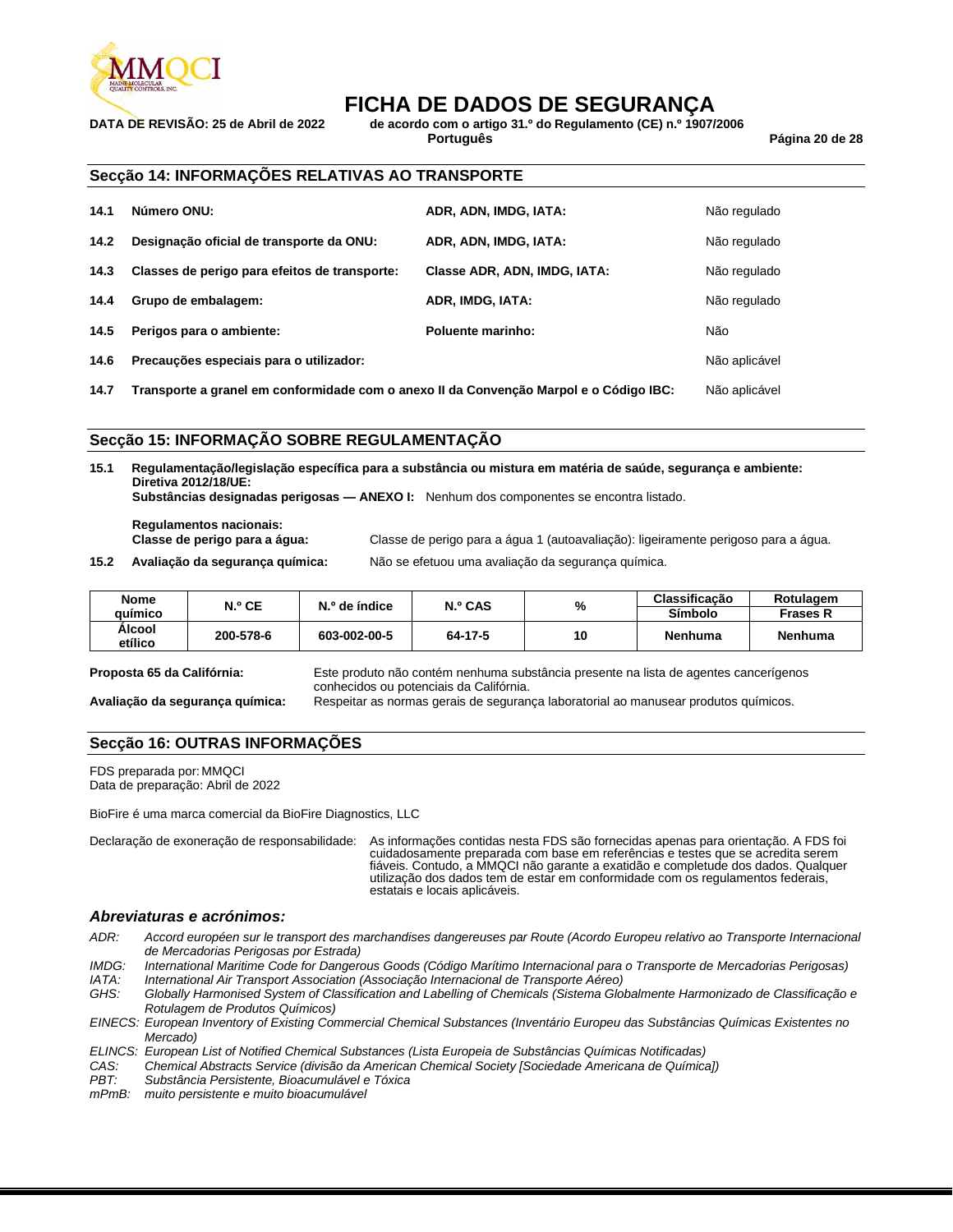

**DATA DE REVISÃO: 25 de Abril de 2022 de acordo com o artigo 31.º do Regulamento (CE) n.º 1907/2006**

**Português Página 20 de 28**

### **Secção 14: INFORMAÇÕES RELATIVAS AO TRANSPORTE**

| 14.1 | Número ONU:                                   | ADR, ADN, IMDG, IATA:        | Não regulado  |
|------|-----------------------------------------------|------------------------------|---------------|
| 14.2 | Designação oficial de transporte da ONU:      | ADR, ADN, IMDG, IATA:        | Não regulado  |
| 14.3 | Classes de perigo para efeitos de transporte: | Classe ADR, ADN, IMDG, IATA: | Não regulado  |
| 14.4 | Grupo de embalagem:                           | ADR, IMDG, IATA:             | Não regulado  |
| 14.5 | Perigos para o ambiente:                      | Poluente marinho:            | Não           |
| 14.6 | Precauções especiais para o utilizador:       |                              | Não aplicável |

**14.7 Transporte a granel em conformidade com o anexo II da Convenção Marpol e o Código IBC:** Não aplicável

### **Secção 15: INFORMAÇÃO SOBRE REGULAMENTAÇÃO**

**15.1 Regulamentação/legislação específica para a substância ou mistura em matéria de saúde, segurança e ambiente: Diretiva 2012/18/UE:**

**Substâncias designadas perigosas — ANEXO I:** Nenhum dos componentes se encontra listado.

**Regulamentos nacionais:**

**Classe de perigo para a água:** Classe de perigo para a água 1 (autoavaliação): ligeiramente perigoso para a água.

**15.2 Avaliação da segurança química:** Não se efetuou uma avaliação da segurança química.

|         |                                          | Classificação | Rotulagem       |
|---------|------------------------------------------|---------------|-----------------|
|         |                                          | Símbolo       | <b>Frases R</b> |
| 64-17-5 | 10                                       | Nenhuma       | <b>Nenhuma</b>  |
|         | N.º CAS<br>N.º de índice<br>603-002-00-5 | %             |                 |

**Proposta 65 da Califórnia:** Este produto não contém nenhuma substância presente na lista de agentes cancerígenos conhecidos ou potenciais da Califórnia.

**Avaliação da segurança química:** Respeitar as normas gerais de segurança laboratorial ao manusear produtos químicos.

### **Secção 16: OUTRAS INFORMAÇÕES**

FDS preparada por: MMQCI Data de preparação: Abril de 2022

BioFire é uma marca comercial da BioFire Diagnostics, LLC

Declaração de exoneração de responsabilidade: As informações contidas nesta FDS são fornecidas apenas para orientação. A FDS foi cuidadosamente preparada com base em referências e testes que se acredita serem fiáveis. Contudo, a MMQCI não garante a exatidão e completude dos dados. Qualquer utilização dos dados tem de estar em conformidade com os regulamentos federais, estatais e locais aplicáveis.

### *Abreviaturas e acrónimos:*

- *ADR: Accord européen sur le transport des marchandises dangereuses par Route (Acordo Europeu relativo ao Transporte Internacional de Mercadorias Perigosas por Estrada)*
- *IMDG: International Maritime Code for Dangerous Goods (Código Marítimo Internacional para o Transporte de Mercadorias Perigosas)*
- *IATA: International Air Transport Association (Associação Internacional de Transporte Aéreo)*
- *GHS: Globally Harmonised System of Classification and Labelling of Chemicals (Sistema Globalmente Harmonizado de Classificação e Rotulagem de Produtos Químicos)*
- *EINECS: European Inventory of Existing Commercial Chemical Substances (Inventário Europeu das Substâncias Químicas Existentes no Mercado)*
- *ELINCS: European List of Notified Chemical Substances (Lista Europeia de Substâncias Químicas Notificadas)*
- *CAS: Chemical Abstracts Service (divisão da American Chemical Society [Sociedade Americana de Química])*
- *PBT: Substância Persistente, Bioacumulável e Tóxica*

*mPmB: muito persistente e muito bioacumulável*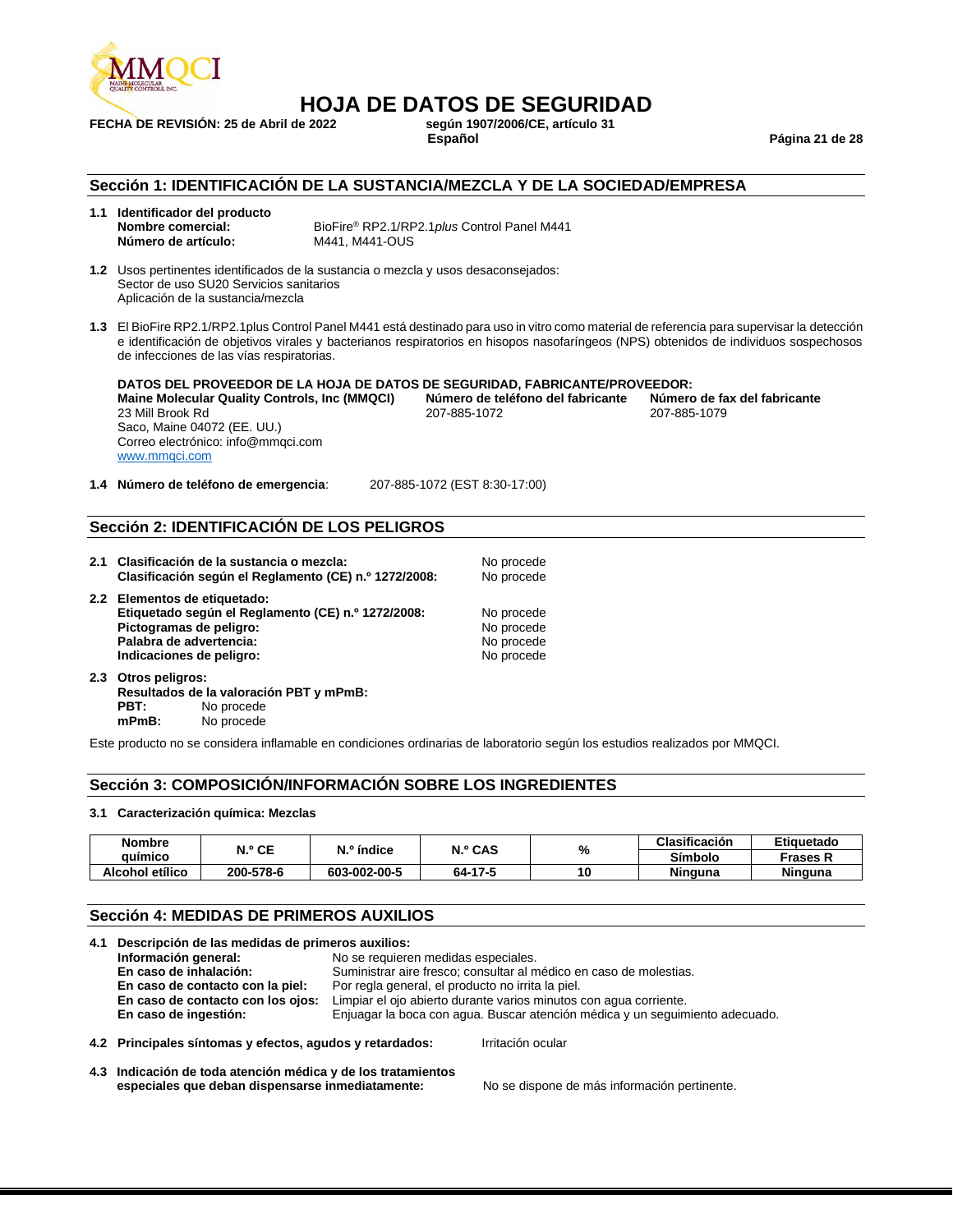

## **HOJA DE DATOS DE SEGURIDAD**

**FECHA DE REVISIÓN: 25 de Abril de 2022** 

**Español Página 21 de 28**

### **Sección 1: IDENTIFICACIÓN DE LA SUSTANCIA/MEZCLA Y DE LA SOCIEDAD/EMPRESA**

**1.1 Identificador del producto Número de artículo:** M441, M441-OUS

**Nombre comercial:** BioFire® RP2.1/RP2.1*plus* Control Panel M441

**1.2** Usos pertinentes identificados de la sustancia o mezcla y usos desaconsejados: Sector de uso SU20 Servicios sanitarios Aplicación de la sustancia/mezcla

**1.3** El BioFire RP2.1/RP2.1plus Control Panel M441 está destinado para uso in vitro como material de referencia para supervisar la detección e identificación de objetivos virales y bacterianos respiratorios en hisopos nasofaríngeos (NPS) obtenidos de individuos sospechosos de infecciones de las vías respiratorias.

**DATOS DEL PROVEEDOR DE LA HOJA DE DATOS DE SEGURIDAD, FABRICANTE/PROVEEDOR: Maine Molecular Quality Controls, Inc (MMQCI) Número de teléfono del fabricante Número de fax del fabricante** 23 Mill Brook Rd 207-885-1072 207-885-1079 Saco, Maine 04072 (EE. UU.) Correo electrónico: info@mmqci.com [www.mmqci.com](http://www.mmqci.com/)

**1.4 Número de teléfono de emergencia**: 207-885-1072 (EST 8:30-17:00)

### **Sección 2: IDENTIFICACIÓN DE LOS PELIGROS**

- **2.1 Clasificación de la sustancia o mezcla:** No procede **Clasificación según el Reglamento (CE) n.º 1272/2008:** No procede
- **2.2 Elementos de etiquetado: Etiquetado según el Reglamento (CE) n.º 1272/2008:** No procede **Pictogramas de peligro:** No procede **Palabra de advertencia:** No procede **Palabra de advertencia:** No procede **No procede** Palabra de advertencia: **Indicaciones de peligro:** No procede
- **2.3 Otros peligros: Resultados de la valoración PBT y mPmB: PBT:** No procede **mPmB:** No procede

Este producto no se considera inflamable en condiciones ordinarias de laboratorio según los estudios realizados por MMQCI.

### **Sección 3: COMPOSICIÓN/INFORMACIÓN SOBRE LOS INGREDIENTES**

#### **3.1 Caracterización química: Mezclas**

| <b>Nombre</b>   | N.º CE    | N.º índice   | N.º CAS | %  | <b>Clasificación</b> | Etiauetado     |
|-----------------|-----------|--------------|---------|----|----------------------|----------------|
| auimico         |           |              |         |    | Símbolo              | Frases R       |
| Alcohol etílico | 200-578-6 | 603-002-00-5 | 64-17-5 | 10 | <b>Ninguna</b>       | <b>Ninguna</b> |

### **Sección 4: MEDIDAS DE PRIMEROS AUXILIOS**

| 4.1 Descripción de las medidas de primeros auxilios:     |                                                                              |  |  |
|----------------------------------------------------------|------------------------------------------------------------------------------|--|--|
| Información general:                                     | No se requieren medidas especiales.                                          |  |  |
| En caso de inhalación:                                   | Suministrar aire fresco; consultar al médico en caso de molestias.           |  |  |
| En caso de contacto con la piel:                         | Por regla general, el producto no irrita la piel.                            |  |  |
| En caso de contacto con los ojos:                        | Limpiar el ojo abierto durante varios minutos con agua corriente.            |  |  |
| En caso de ingestión:                                    | Enjuagar la boca con agua. Buscar atención médica y un seguimiento adecuado. |  |  |
| 4.2 Principales síntomas y efectos, agudos y retardados: | Irritación ocular                                                            |  |  |

**4.3 Indicación de toda atención médica y de los tratamientos especiales que deban dispensarse inmediatamente:** No se dispone de más información pertinente.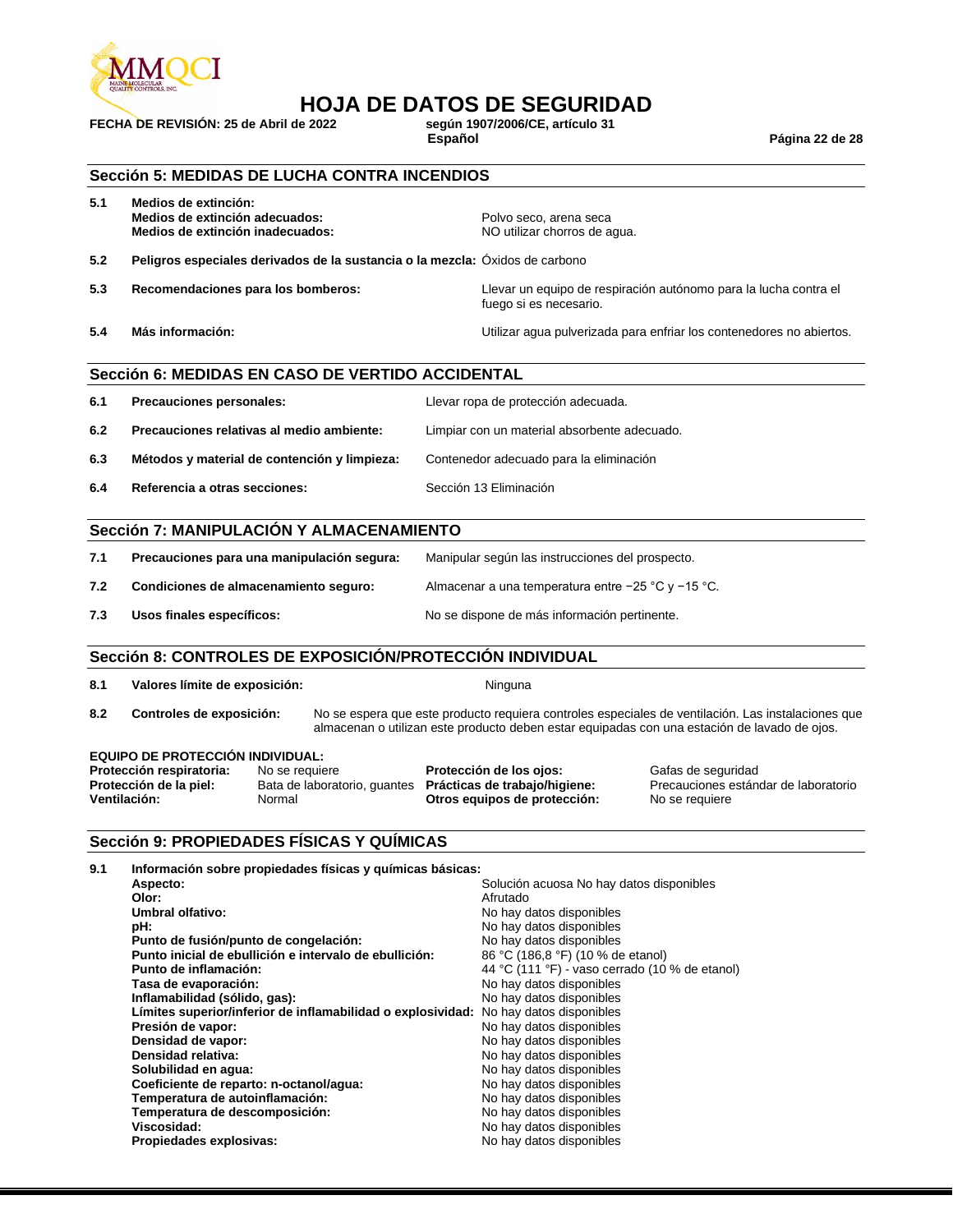

## **HOJA DE DATOS DE SEGURIDAD**<br>e 2022<br>e 2022

**FECHA DE REVISIÓN: 25 de Abril de 2022 según 1907/2006/CE, artículo 31**

**Español Página 22 de 28**

### **Sección 5: MEDIDAS DE LUCHA CONTRA INCENDIOS**

| 5.1 | Medios de extinción:<br>Medios de extinción adecuados:<br>Medios de extinción inadecuados: | Polvo seco, arena seca<br>NO utilizar chorros de agua.                                     |
|-----|--------------------------------------------------------------------------------------------|--------------------------------------------------------------------------------------------|
| 5.2 | Peligros especiales derivados de la sustancia o la mezcla: Oxidos de carbono               |                                                                                            |
| 5.3 | Recomendaciones para los bomberos:                                                         | Llevar un equipo de respiración autónomo para la lucha contra el<br>fuego si es necesario. |
| 5.4 | Más información:                                                                           | Utilizar agua pulverizada para enfriar los contenedores no abiertos.                       |

### **Sección 6: MEDIDAS EN CASO DE VERTIDO ACCIDENTAL**

| 6.1 | Precauciones personales:                     | Llevar ropa de protección adecuada.          |
|-----|----------------------------------------------|----------------------------------------------|
| 6.2 | Precauciones relativas al medio ambiente:    | Limpiar con un material absorbente adecuado. |
| 6.3 | Métodos y material de contención y limpieza: | Contenedor adecuado para la eliminación      |
| 6.4 | Referencia a otras secciones:                | Sección 13 Eliminación                       |

### **Sección 7: MANIPULACIÓN Y ALMACENAMIENTO**

| 7.1 | Precauciones para una manipulación segura: | Manipular según las instrucciones del prospecto.       |
|-----|--------------------------------------------|--------------------------------------------------------|
| 7.2 | Condiciones de almacenamiento seguro:      | Almacenar a una temperatura entre $-25$ °C y $-15$ °C. |
| 7.3 | Usos finales específicos:                  | No se dispone de más información pertinente.           |

### **Sección 8: CONTROLES DE EXPOSICIÓN/PROTECCIÓN INDIVIDUAL**

| Valores límite de exposición:<br>8.1 |  |  |
|--------------------------------------|--|--|
|--------------------------------------|--|--|

**8.2 Controles de exposición:** No se espera que este producto requiera controles especiales de ventilación. Las instalaciones que almacenan o utilizan este producto deben estar equipadas con una estación de lavado de ojos.

**Ninguna** 

#### **EQUIPO DE PROTECCIÓN INDIVIDUAL:**

| Protección respiratoria: | No se requiere                                     | Protección de los ojo |
|--------------------------|----------------------------------------------------|-----------------------|
| Protección de la piel:   | Bata de laboratorio, quantes Prácticas de trabajo/ |                       |
| <b>Ventilación:</b>      | Normal                                             | Otros equipos de pro  |

**Protección Frotección Frotección Cafas de seguridad<br><b>Precauciones estándica**<br>*Precauciones* estándica Precauciones estándar de laboratorio **ventilación:** No se requiere

### **Sección 9: PROPIEDADES FÍSICAS Y QUÍMICAS**

| 9.1 | Información sobre propiedades físicas y químicas básicas:   |                                                |
|-----|-------------------------------------------------------------|------------------------------------------------|
|     | Aspecto:                                                    | Solución acuosa No hay datos disponibles       |
|     | Olor:                                                       | Afrutado                                       |
|     | Umbral olfativo:                                            | No hay datos disponibles                       |
|     | pH:                                                         | No hay datos disponibles                       |
|     | Punto de fusión/punto de congelación:                       | No hay datos disponibles                       |
|     | Punto inicial de ebullición e intervalo de ebullición:      | 86 °C (186,8 °F) (10 % de etanol)              |
|     | Punto de inflamación:                                       | 44 °C (111 °F) - vaso cerrado (10 % de etanol) |
|     | Tasa de evaporación:                                        | No hay datos disponibles                       |
|     | Inflamabilidad (sólido, gas):                               | No hay datos disponibles                       |
|     | Límites superior/inferior de inflamabilidad o explosividad: | No hay datos disponibles                       |
|     | Presión de vapor:                                           | No hay datos disponibles                       |
|     | Densidad de vapor:                                          | No hay datos disponibles                       |
|     | Densidad relativa:                                          | No hay datos disponibles                       |
|     | Solubilidad en agua:                                        | No hay datos disponibles                       |
|     | Coeficiente de reparto: n-octanol/agua:                     | No hay datos disponibles                       |
|     | Temperatura de autoinflamación:                             | No hay datos disponibles                       |
|     | Temperatura de descomposición:                              | No hay datos disponibles                       |
|     | Viscosidad:                                                 | No hay datos disponibles                       |
|     | Propiedades explosivas:                                     | No hay datos disponibles                       |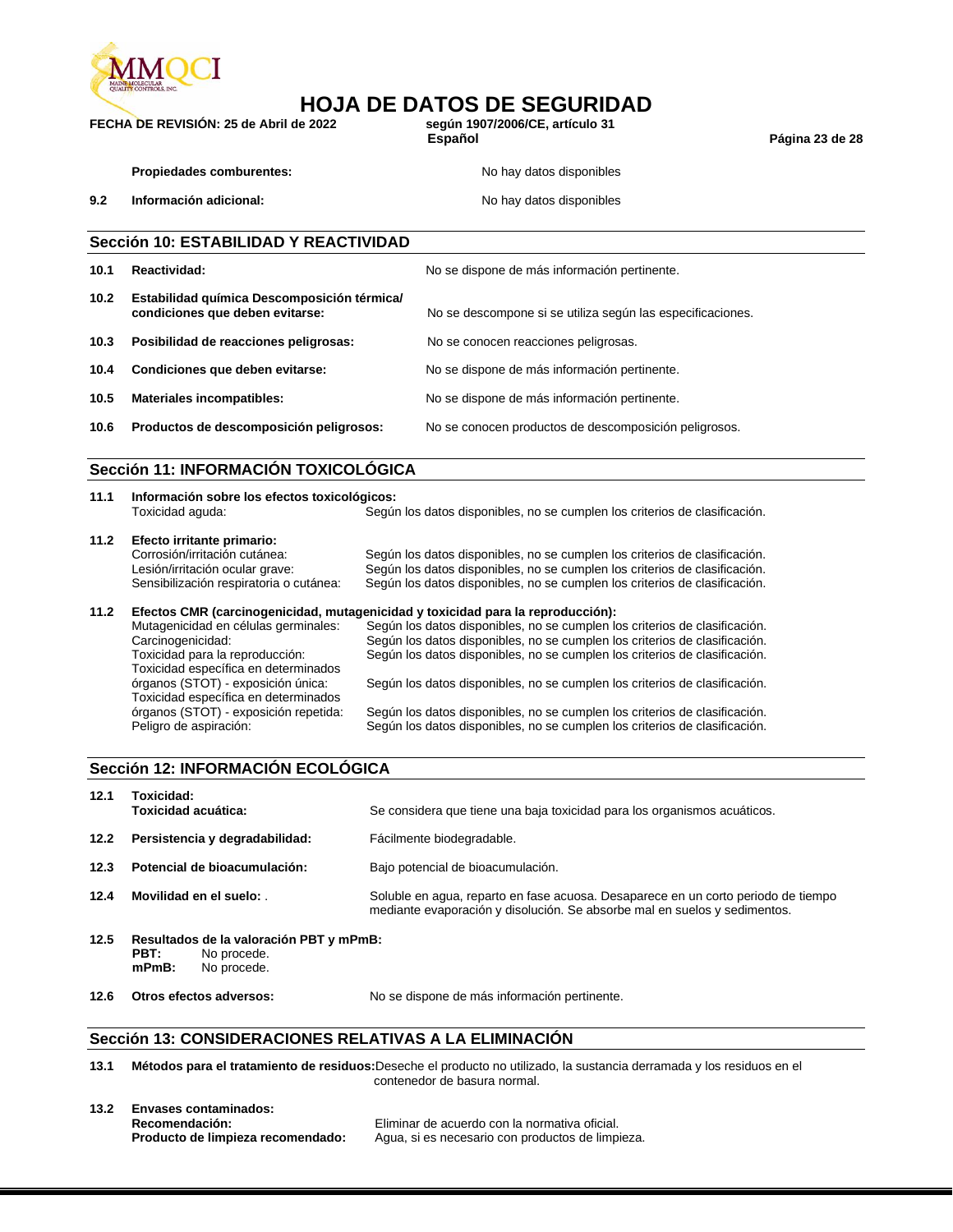

## **HOJA DE DATOS DE SEGURIDAD**<br>e 2022<br>e 2022

**FECHA DE REVISIÓN: 25 de Abril de 2022 según 1907/2006/CE, artículo 31**

**Español Página 23 de 28**

**Propiedades comburentes:** No hay datos disponibles

**9.2 Información adicional: No hay datos disponibles No hay datos disponibles** 

### **Sección 10: ESTABILIDAD Y REACTIVIDAD**

| 10.1              | Reactividad:                                                                   | No se dispone de más información pertinente.               |
|-------------------|--------------------------------------------------------------------------------|------------------------------------------------------------|
| 10.2 <sub>1</sub> | Estabilidad química Descomposición térmica/<br>condiciones que deben evitarse: | No se descompone si se utiliza según las especificaciones. |
| 10.3              | Posibilidad de reacciones peligrosas:                                          | No se conocen reacciones peligrosas.                       |
| 10.4              | Condiciones que deben evitarse:                                                | No se dispone de más información pertinente.               |
| 10.5              | <b>Materiales incompatibles:</b>                                               | No se dispone de más información pertinente.               |
| 10.6              | Productos de descomposición peligrosos:                                        | No se conocen productos de descomposición peligrosos.      |

### **Sección 11: INFORMACIÓN TOXICOLÓGICA**

| 11.1 | Información sobre los efectos toxicológicos: |                                                                            |  |  |
|------|----------------------------------------------|----------------------------------------------------------------------------|--|--|
|      | Toxicidad aguda:                             | Según los datos disponibles, no se cumplen los criterios de clasificación. |  |  |
| 11.2 | Efecto irritante primario:                   |                                                                            |  |  |
|      | Corrosión/irritación cutánea:                | Según los datos disponibles, no se cumplen los criterios de clasificación. |  |  |
|      | Lesión/irritación ocular grave:              | Según los datos disponibles, no se cumplen los criterios de clasificación. |  |  |

### Sensibilización respiratoria o cutánea: Según los datos disponibles, no se cumplen los criterios de clasificación. **11.2 Efectos CMR (carcinogenicidad, mutagenicidad y toxicidad para la reproducción):**

| $\blacksquare$ |                                       | Liectos GMN (Carcinogeniciuau, mutageniciuau y toxiciuau para la reproducción). |
|----------------|---------------------------------------|---------------------------------------------------------------------------------|
|                | Mutagenicidad en células germinales:  | Según los datos disponibles, no se cumplen los criterios de clasificación.      |
|                | Carcinogenicidad:                     | Según los datos disponibles, no se cumplen los criterios de clasificación.      |
|                | Toxicidad para la reproducción:       | Según los datos disponibles, no se cumplen los criterios de clasificación.      |
|                | Toxicidad específica en determinados  |                                                                                 |
|                | órganos (STOT) - exposición única:    | Según los datos disponibles, no se cumplen los criterios de clasificación.      |
|                | Toxicidad específica en determinados  |                                                                                 |
|                | órganos (STOT) - exposición repetida: | Según los datos disponibles, no se cumplen los criterios de clasificación.      |
|                | Peligro de aspiración:                | Según los datos disponibles, no se cumplen los criterios de clasificación.      |
|                |                                       |                                                                                 |

### **Sección 12: INFORMACIÓN ECOLÓGICA**

| 12.1 | Toxicidad:<br>Toxicidad acuática:                                                         | Se considera que tiene una baja toxicidad para los organismos acuáticos.                                                                                       |
|------|-------------------------------------------------------------------------------------------|----------------------------------------------------------------------------------------------------------------------------------------------------------------|
| 12.2 | Persistencia y degradabilidad:                                                            | Fácilmente biodegradable.                                                                                                                                      |
| 12.3 | Potencial de bioacumulación:                                                              | Bajo potencial de bioacumulación.                                                                                                                              |
| 12.4 | Movilidad en el suelo:                                                                    | Soluble en agua, reparto en fase acuosa. Desaparece en un corto periodo de tiempo<br>mediante evaporación y disolución. Se absorbe mal en suelos y sedimentos. |
| 12.5 | Resultados de la valoración PBT y mPmB:<br>PBT:<br>No procede.<br>$mPmB$ :<br>No procede. |                                                                                                                                                                |
| 12.6 | Otros efectos adversos:                                                                   | No se dispone de más información pertinente.                                                                                                                   |

### **Sección 13: CONSIDERACIONES RELATIVAS A LA ELIMINACIÓN**

**13.1 Métodos para el tratamiento de residuos:**Deseche el producto no utilizado, la sustancia derramada y los residuos en el contenedor de basura normal.

| 13.2 | Envases contaminados:             |                                                  |  |  |
|------|-----------------------------------|--------------------------------------------------|--|--|
|      | Recomendación:                    | Eliminar de acuerdo con la normativa oficial.    |  |  |
|      | Producto de limpieza recomendado: | Agua, si es necesario con productos de limpieza. |  |  |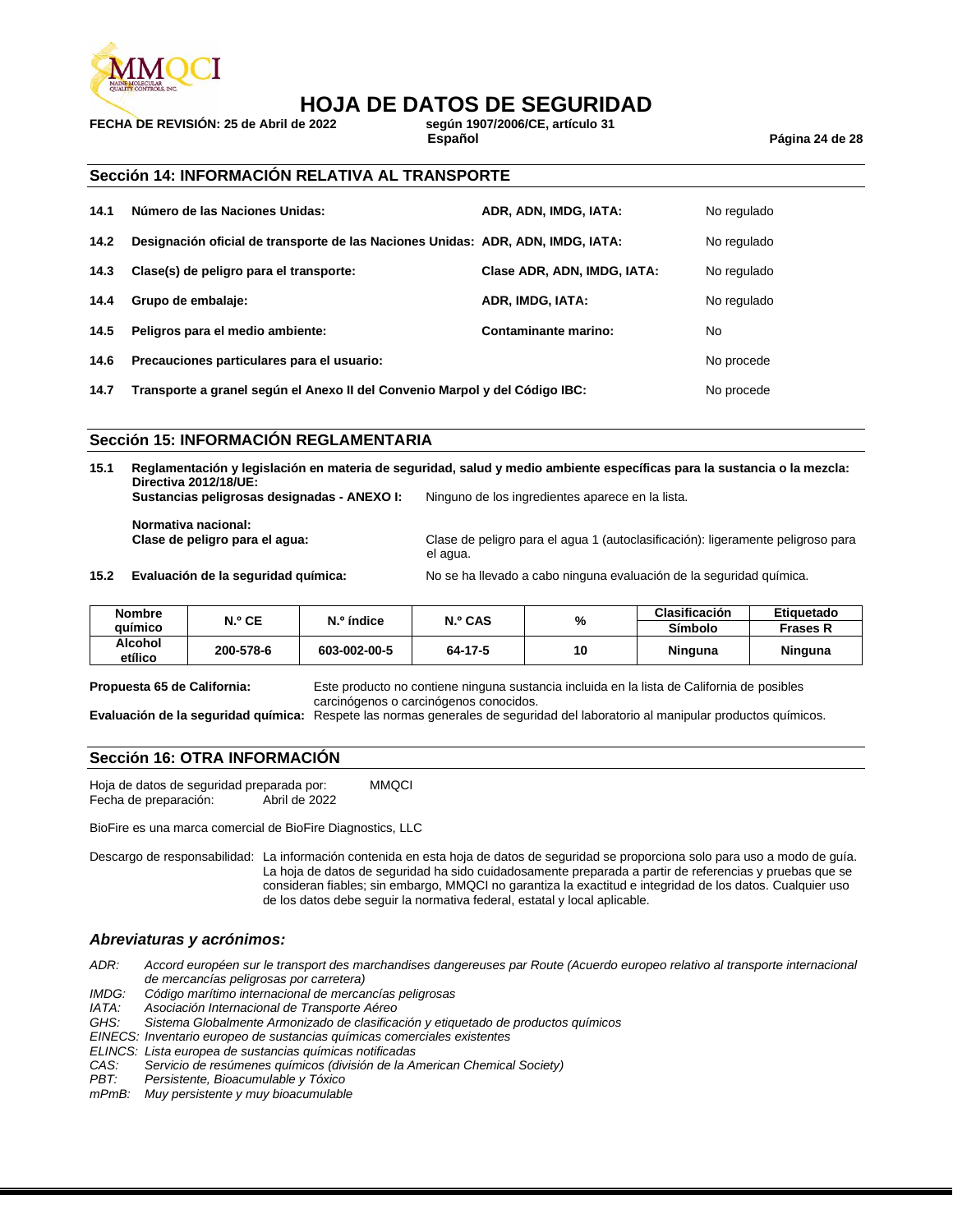

## **HOJA DE DATOS DE SEGURIDAD**

**FECHA DE REVISIÓN: 25 de Abril de 2022** 

**Español Página 24 de 28**

### **Sección 14: INFORMACIÓN RELATIVA AL TRANSPORTE**

| 14.1 | Número de las Naciones Unidas:                                                  | ADR, ADN, IMDG, IATA:       | No regulado |
|------|---------------------------------------------------------------------------------|-----------------------------|-------------|
| 14.2 | Designación oficial de transporte de las Naciones Unidas: ADR, ADN, IMDG, IATA: |                             | No regulado |
| 14.3 | Clase(s) de peligro para el transporte:                                         | Clase ADR, ADN, IMDG, IATA: | No regulado |
| 14.4 | Grupo de embalaje:                                                              | ADR, IMDG, IATA:            | No regulado |
| 14.5 | Peligros para el medio ambiente:                                                | Contaminante marino:        | No          |
| 14.6 | Precauciones particulares para el usuario:                                      |                             | No procede  |
| 14.7 | Transporte a granel según el Anexo II del Convenio Marpol y del Código IBC:     |                             | No procede  |

**Sección 15: INFORMACIÓN REGLAMENTARIA**

**15.1 Reglamentación y legislación en materia de seguridad, salud y medio ambiente específicas para la sustancia o la mezcla: Directiva 2012/18/UE:**

**Sustancias peligrosas designadas - ANEXO I:** Ninguno de los ingredientes aparece en la lista.

**Normativa nacional:**

Clase de peligro para el agua 1 (autoclasificación): ligeramente peligroso para el agua.

**15.2 Evaluación de la seguridad química:** No se ha llevado a cabo ninguna evaluación de la seguridad química.

| <b>Nombre</b>      | N.º CE    | N.º índice   | N.º CAS | %  | <b>Clasificación</b> | Etiquetado      |
|--------------------|-----------|--------------|---------|----|----------------------|-----------------|
| auimico            |           |              |         |    | Símbolo              | <b>Frases R</b> |
| Alcohol<br>etílico | 200-578-6 | 603-002-00-5 | 64-17-5 | 10 | Ninguna              | Ninguna         |

**Propuesta 65 de California:** Este producto no contiene ninguna sustancia incluida en la lista de California de posibles carcinógenos o carcinógenos conocidos.

**Evaluación de la seguridad química:** Respete las normas generales de seguridad del laboratorio al manipular productos químicos.

### **Sección 16: OTRA INFORMACIÓN**

Hoja de datos de seguridad preparada por: MMQCI Fecha de preparación: Abril de 2022

BioFire es una marca comercial de BioFire Diagnostics, LLC

Descargo de responsabilidad: La información contenida en esta hoja de datos de seguridad se proporciona solo para uso a modo de guía. La hoja de datos de seguridad ha sido cuidadosamente preparada a partir de referencias y pruebas que se consideran fiables; sin embargo, MMQCI no garantiza la exactitud e integridad de los datos. Cualquier uso de los datos debe seguir la normativa federal, estatal y local aplicable.

### *Abreviaturas y acrónimos:*

*ADR: Accord européen sur le transport des marchandises dangereuses par Route (Acuerdo europeo relativo al transporte internacional de mercancías peligrosas por carretera)*

*IMDG: Código marítimo internacional de mercancías peligrosas*

*IATA: Asociación Internacional de Transporte Aéreo*

*GHS: Sistema Globalmente Armonizado de clasificación y etiquetado de productos químicos*

*EINECS: Inventario europeo de sustancias químicas comerciales existentes*

*ELINCS: Lista europea de sustancias químicas notificadas*

*CAS: Servicio de resúmenes químicos (división de la American Chemical Society)*

*PBT: Persistente, Bioacumulable y Tóxico*

*mPmB: Muy persistente y muy bioacumulable*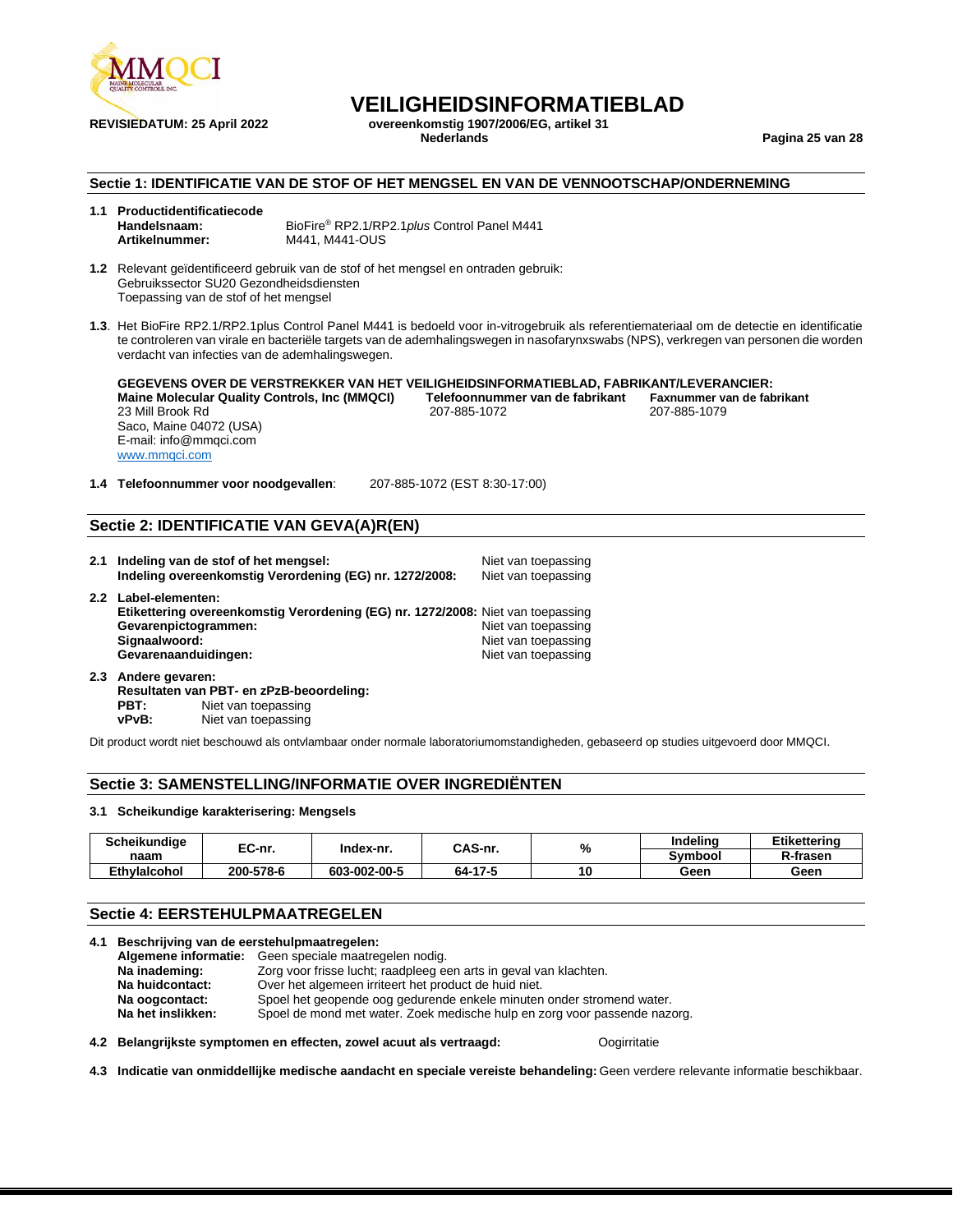

**REVISIEDATUM: 25 April 2022 overeenkomstig 1907/2006/EG, artikel 31**

**Nederlands Pagina 25 van 28**

### **Sectie 1: IDENTIFICATIE VAN DE STOF OF HET MENGSEL EN VAN DE VENNOOTSCHAP/ONDERNEMING**

| 1.1 Productidentificatiecode |                                              |
|------------------------------|----------------------------------------------|
| Handelsnaam:                 | BioFire® RP2.1/RP2.1 plus Control Panel M441 |
| Artikelnummer:               | M441. M441-OUS                               |

**1.2** Relevant geïdentificeerd gebruik van de stof of het mengsel en ontraden gebruik: Gebruikssector SU20 Gezondheidsdiensten Toepassing van de stof of het mengsel

**1.3**. Het BioFire RP2.1/RP2.1plus Control Panel M441 is bedoeld voor in-vitrogebruik als referentiemateriaal om de detectie en identificatie te controleren van virale en bacteriële targets van de ademhalingswegen in nasofarynxswabs (NPS), verkregen van personen die worden verdacht van infecties van de ademhalingswegen.

**GEGEVENS OVER DE VERSTREKKER VAN HET VEILIGHEIDSINFORMATIEBLAD, FABRIKANT/LEVERANCIER: Maine Molecular Quality Controls, Inc (MMQCI) Telefoonnummer van de fabrikant Faxnummer van de fabrikant** 23 Mill Brook Rd Saco, Maine 04072 (USA) E-mail: info@mmqci.com [www.mmqci.com](http://www.mmqci.com/)

**1.4 Telefoonnummer voor noodgevallen**: 207-885-1072 (EST 8:30-17:00)

### **Sectie 2: IDENTIFICATIE VAN GEVA(A)R(EN)**

| 2.1 Indeling van de stof of het mengsel:<br>Indeling overeenkomstig Verordening (EG) nr. 1272/2008:                                                                      | Niet van toepassing<br>Niet van toepassing                        |
|--------------------------------------------------------------------------------------------------------------------------------------------------------------------------|-------------------------------------------------------------------|
| 2.2 Label-elementen:<br>Etikettering overeenkomstig Verordening (EG) nr. 1272/2008: Niet van toepassing<br>Gevarenpictogrammen:<br>Signaalwoord:<br>Gevarenaanduidingen: | Niet van toepassing<br>Niet van toepassing<br>Niet van toepassing |

**2.3 Andere gevaren: Resultaten van PBT- en zPzB-beoordeling: PBT:** Niet van toepassing<br> **vPvB:** Niet van toepassing **Niet van toepassing** 

Dit product wordt niet beschouwd als ontvlambaar onder normale laboratoriumomstandigheden, gebaseerd op studies uitgevoerd door MMQCI.

### **Sectie 3: SAMENSTELLING/INFORMATIE OVER INGREDIËNTEN**

#### **3.1 Scheikundige karakterisering: Mengsels**

| Scheikundige        | EC-nr.    | Index-nr.    | CAS-nr. | %  | Indelina | Etikettering |
|---------------------|-----------|--------------|---------|----|----------|--------------|
| naam                |           |              |         |    | Svmbool  | R-frasen     |
| <b>Ethvlalcohol</b> | 200-578-6 | 603-002-00-5 | 64-17-5 | 10 | Geen     | Geen         |

### **Sectie 4: EERSTEHULPMAATREGELEN**

| 4.1 | Beschrijving van de eerstehulpmaatregelen:                                                     |  |  |
|-----|------------------------------------------------------------------------------------------------|--|--|
|     | Algemene informatie: Geen speciale maatregelen nodig.                                          |  |  |
|     | Na inademing:<br>Zorg voor frisse lucht; raadpleeg een arts in geval van klachten.             |  |  |
|     | Over het algemeen irriteert het product de huid niet.<br>Na huidcontact:                       |  |  |
|     | Spoel het geopende oog gedurende enkele minuten onder stromend water.<br>Na oogcontact:        |  |  |
|     | Na het inslikken:<br>Spoel de mond met water. Zoek medische hulp en zorg voor passende nazorg. |  |  |
|     |                                                                                                |  |  |

**4.2 Belangrijkste symptomen en effecten, zowel acuut als vertraagd:** Oogirritatie

**4.3 Indicatie van onmiddellijke medische aandacht en speciale vereiste behandeling:** Geen verdere relevante informatie beschikbaar.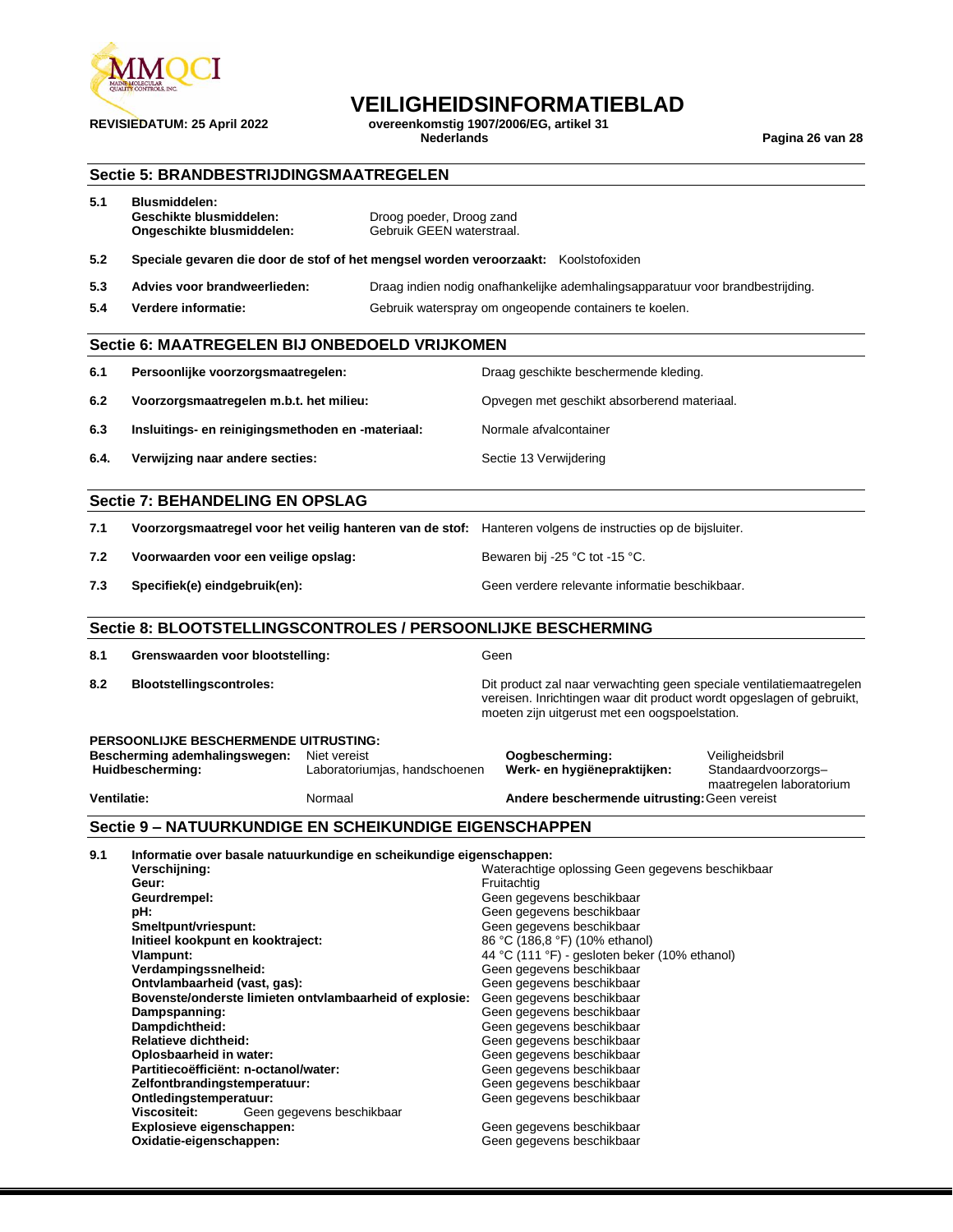

**REVISIEDATUM: 25 April 2022 overeenkomstig 1907/2006/EG, artikel 31**

**Nederlands Pagina 26 van 28**

### **Sectie 5: BRANDBESTRIJDINGSMAATREGELEN**

| 5.1 | Blusmiddelen:<br>Geschikte blusmiddelen:<br>Ongeschikte blusmiddelen: | Droog poeder, Droog zand<br>Gebruik GEEN waterstraal.                               |
|-----|-----------------------------------------------------------------------|-------------------------------------------------------------------------------------|
| 5.2 |                                                                       | Speciale gevaren die door de stof of het mengsel worden veroorzaakt: Koolstofoxiden |
| 5.3 | Advies voor brandweerlieden:                                          | Draag indien nodig onafhankelijke ademhalingsapparatuur voor brandbestrijding.      |

**5.4 Verdere informatie:** Gebruik waterspray om ongeopende containers te koelen.

### **Sectie 6: MAATREGELEN BIJ ONBEDOELD VRIJKOMEN**

| 6.1  | Persoonlijke voorzorgsmaatregelen:                | Draag geschikte beschermende kleding.       |
|------|---------------------------------------------------|---------------------------------------------|
| 6.2  | Voorzorgsmaatregelen m.b.t. het milieu:           | Opvegen met geschikt absorberend materiaal. |
| 6.3  | Insluitings- en reinigingsmethoden en -materiaal: | Normale afvalcontainer                      |
| 6.4. | Verwijzing naar andere secties:                   | Sectie 13 Verwijdering                      |
|      | <b>Sectie 7: BEHANDELING EN OPSLAG</b>            |                                             |

|  |  |  |  | and the contract of the contract of the contract of the contract of the contract of the contract of |  |  |  |
|--|--|--|--|-----------------------------------------------------------------------------------------------------|--|--|--|
|  |  |  |  |                                                                                                     |  |  |  |
|  |  |  |  |                                                                                                     |  |  |  |

| 7.1 | Voorzorgsmaatregel voor het veilig hanteren van de stof: Hanteren volgens de instructies op de bijsluiter. |                                                |
|-----|------------------------------------------------------------------------------------------------------------|------------------------------------------------|
| 7.2 | Voorwaarden voor een veilige opslag:                                                                       | Bewaren bij -25 °C tot -15 °C.                 |
| 7.3 | Specifiek(e) eindgebruik(en):                                                                              | Geen verdere relevante informatie beschikbaar. |

### **Sectie 8: BLOOTSTELLINGSCONTROLES / PERSOONLIJKE BESCHERMING**

8.1 **Grenswaarden voor blootstelling:** Geen

**8.2 Blootstellingscontroles:** Dit product zal naar verwachting geen speciale ventilatiemaatregelen vereisen. Inrichtingen waar dit product wordt opgeslagen of gebruikt, moeten zijn uitgerust met een oogspoelstation.

| PERSOONLIJKE BESCHERMENDE UITRUSTING: |                               |                                              |                                                 |  |  |  |
|---------------------------------------|-------------------------------|----------------------------------------------|-------------------------------------------------|--|--|--|
| Bescherming ademhalingswegen:         | Niet vereist                  | Oogbescherming:                              | Veiligheidsbril                                 |  |  |  |
| Huidbescherming:                      | Laboratoriumias, handschoenen | Werk- en hygiënepraktijken:                  | Standaardvoorzorgs-<br>maatregelen laboratorium |  |  |  |
| <b>Ventilatie:</b>                    | Normaal                       | Andere beschermende uitrusting: Geen vereist |                                                 |  |  |  |

### **Sectie 9 – NATUURKUNDIGE EN SCHEIKUNDIGE EIGENSCHAPPEN**

| 9.1 | Informatie over basale natuurkundige en scheikundige eigenschappen: |                                                  |  |  |  |
|-----|---------------------------------------------------------------------|--------------------------------------------------|--|--|--|
|     | Verschijning:                                                       | Waterachtige oplossing Geen gegevens beschikbaar |  |  |  |
|     | Geur:                                                               | Fruitachtig                                      |  |  |  |
|     | Geurdrempel:                                                        | Geen gegevens beschikbaar                        |  |  |  |
|     | pH:                                                                 | Geen gegevens beschikbaar                        |  |  |  |
|     | Smeltpunt/vriespunt:                                                | Geen gegevens beschikbaar                        |  |  |  |
|     | Initieel kookpunt en kooktraject:                                   | 86 °C (186,8 °F) (10% ethanol)                   |  |  |  |
|     | Vlampunt:                                                           | 44 °C (111 °F) - gesloten beker (10% ethanol)    |  |  |  |
|     | Verdampingssnelheid:                                                | Geen gegevens beschikbaar                        |  |  |  |
|     | Ontvlambaarheid (vast, gas):                                        | Geen gegevens beschikbaar                        |  |  |  |
|     | Bovenste/onderste limieten ontvlambaarheid of explosie:             | Geen gegevens beschikbaar                        |  |  |  |
|     | Dampspanning:                                                       | Geen gegevens beschikbaar                        |  |  |  |
|     | Dampdichtheid:                                                      | Geen gegevens beschikbaar                        |  |  |  |
|     | <b>Relatieve dichtheid:</b>                                         | Geen gegevens beschikbaar                        |  |  |  |
|     | Oplosbaarheid in water:                                             | Geen gegevens beschikbaar                        |  |  |  |
|     | Partitiecoëfficiënt: n-octanol/water:                               | Geen gegevens beschikbaar                        |  |  |  |
|     | Zelfontbrandingstemperatuur:                                        | Geen gegevens beschikbaar                        |  |  |  |
|     | Ontledingstemperatuur:                                              | Geen gegevens beschikbaar                        |  |  |  |
|     | Viscositeit:<br>Geen gegevens beschikbaar                           |                                                  |  |  |  |
|     | Explosieve eigenschappen:                                           | Geen gegevens beschikbaar                        |  |  |  |
|     | Oxidatie-eigenschappen:                                             | Geen gegevens beschikbaar                        |  |  |  |
|     |                                                                     |                                                  |  |  |  |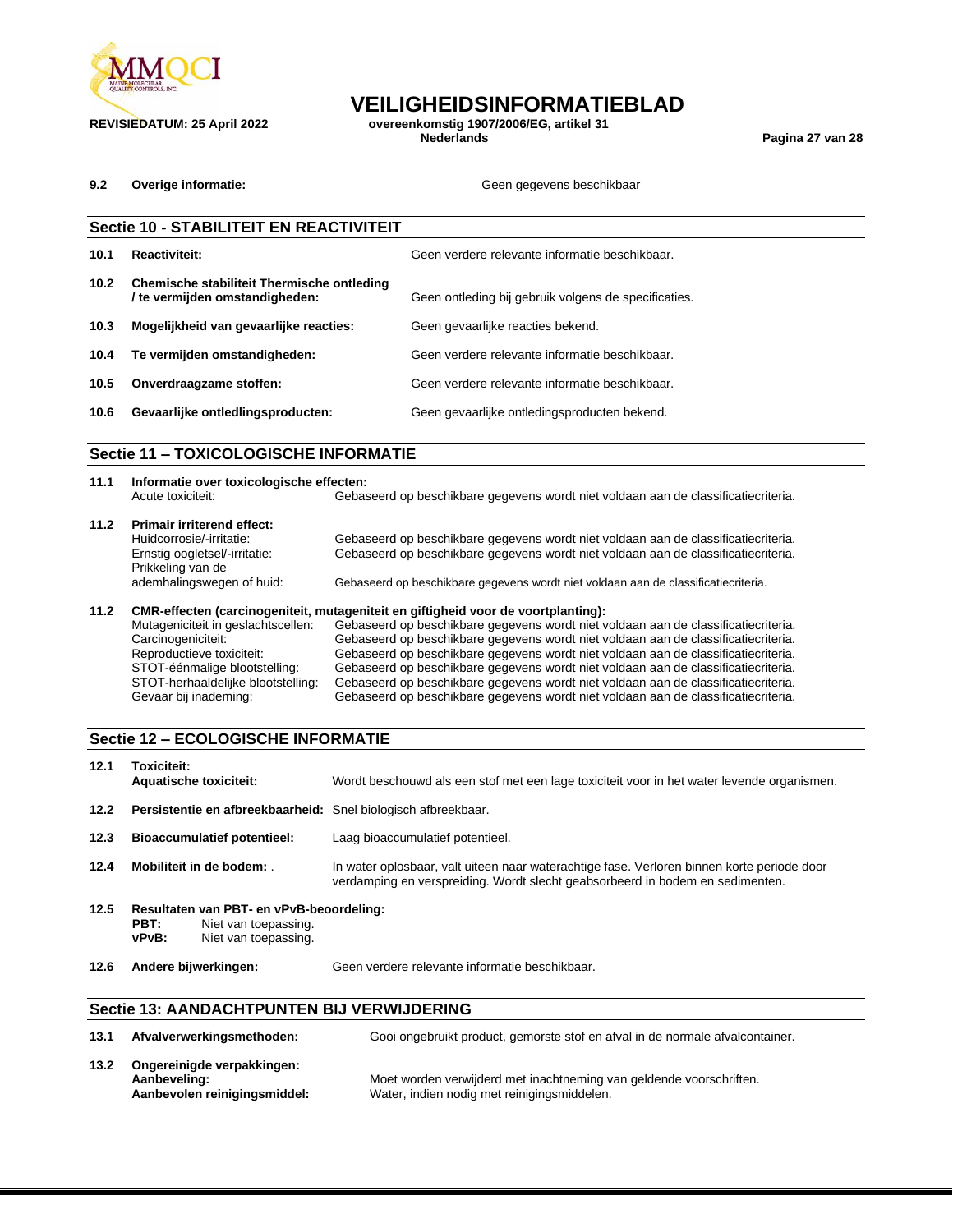

**REVISIEDATUM: 25 April 2022 overeenkomstig 1907/2006/EG, artikel 31 Nederlands Pagina 27 van 28**

**9.2 Overige informatie: COVER 2008 10:00 THE SECOND SECOND SECOND SECOND SECOND SECOND SECOND SECOND SECOND SECOND SECOND SECOND SECOND SECOND SECOND SECOND SECOND SECOND SECOND SECOND SECOND SECOND SECOND SECOND SECO** 

|                   | <b>Sectie 10 - STABILITEIT EN REACTIVITEIT</b>                               |                                                      |  |  |  |
|-------------------|------------------------------------------------------------------------------|------------------------------------------------------|--|--|--|
| 10.1              | <b>Reactiviteit:</b>                                                         | Geen verdere relevante informatie beschikbaar.       |  |  |  |
| 10.2 <sub>1</sub> | Chemische stabiliteit Thermische ontleding<br>/ te vermijden omstandigheden: | Geen ontleding bij gebruik volgens de specificaties. |  |  |  |
| 10.3              | Mogelijkheid van gevaarlijke reacties:                                       | Geen gevaarlijke reacties bekend.                    |  |  |  |
| 10.4              | Te vermijden omstandigheden:                                                 | Geen verdere relevante informatie beschikbaar.       |  |  |  |
| 10.5              | Onverdraagzame stoffen:                                                      | Geen verdere relevante informatie beschikbaar.       |  |  |  |
| 10.6              | Gevaarlijke ontledlingsproducten:                                            | Geen gevaarlijke ontledingsproducten bekend.         |  |  |  |
|                   |                                                                              |                                                      |  |  |  |

### **Sectie 11 – TOXICOLOGISCHE INFORMATIE**

| 11.1 | Informatie over toxicologische effecten: |                                                                                    |  |  |  |  |
|------|------------------------------------------|------------------------------------------------------------------------------------|--|--|--|--|
|      | Acute toxiciteit:                        | Gebaseerd op beschikbare gegevens wordt niet voldaan aan de classificatiecriteria. |  |  |  |  |
| 11.2 | <b>Primair irriterend effect:</b>        |                                                                                    |  |  |  |  |
|      | Huidcorrosie/-irritatie:                 | Gebaseerd op beschikbare gegevens wordt niet voldaan aan de classificatiecriteria. |  |  |  |  |
|      | Ernstig oogletsel/-irritatie:            | Gebaseerd op beschikbare gegevens wordt niet voldaan aan de classificatiecriteria. |  |  |  |  |
|      | Prikkeling van de                        |                                                                                    |  |  |  |  |
|      | ademhalingswegen of huid:                | Gebaseerd op beschikbare gegevens wordt niet voldaan aan de classificatiecriteria. |  |  |  |  |
| 11.2 |                                          | CMR-effecten (carcinogeniteit, mutageniteit en giftigheid voor de voortplanting):  |  |  |  |  |
|      | Mutageniciteit in geslachtscellen:       | Gebaseerd op beschikbare gegevens wordt niet voldaan aan de classificatiecriteria. |  |  |  |  |
|      | Carcinogeniciteit:                       | Gebaseerd op beschikbare gegevens wordt niet voldaan aan de classificatiecriteria. |  |  |  |  |
|      | Reproductieve toxiciteit:                | Gebaseerd op beschikbare gegevens wordt niet voldaan aan de classificatiecriteria. |  |  |  |  |
|      | STOT-éénmalige blootstelling:            | Gebaseerd op beschikbare gegevens wordt niet voldaan aan de classificatiecriteria. |  |  |  |  |

STOT-herhaaldelijke blootstelling: Gebaseerd op beschikbare gegevens wordt niet voldaan aan de classificatiecriteria. Gevaar bij inademing: Gebaseerd op beschikbare gegevens wordt niet voldaan aan de classificatiecriteria.

### **Sectie 12 – ECOLOGISCHE INFORMATIE**

| 12.1 | Toxiciteit:<br><b>Aquatische toxiciteit:</b>                                                              | Wordt beschouwd als een stof met een lage toxiciteit voor in het water levende organismen.                                                                                  |
|------|-----------------------------------------------------------------------------------------------------------|-----------------------------------------------------------------------------------------------------------------------------------------------------------------------------|
| 12.2 | Persistentie en afbreekbaarheid: Snel biologisch afbreekbaar.                                             |                                                                                                                                                                             |
| 12.3 | <b>Bioaccumulatief potentieel:</b>                                                                        | Laag bioaccumulatief potentieel.                                                                                                                                            |
| 12.4 | Mobiliteit in de bodem:                                                                                   | In water oplosbaar, valt uiteen naar waterachtige fase. Verloren binnen korte periode door<br>verdamping en verspreiding. Wordt slecht geabsorbeerd in bodem en sedimenten. |
| 12.5 | Resultaten van PBT- en vPvB-beoordeling:<br>PBT:<br>Niet van toepassing.<br>Niet van toepassing.<br>vPvB: |                                                                                                                                                                             |
| 12.6 | Andere bijwerkingen:                                                                                      | Geen verdere relevante informatie beschikbaar.                                                                                                                              |

### **Sectie 13: AANDACHTPUNTEN BIJ VERWIJDERING**

| 13.1 | Afvalverwerkingsmethoden:                                                  | Gooi ongebruikt product, gemorste stof en afval in de normale afvalcontainer.                                      |
|------|----------------------------------------------------------------------------|--------------------------------------------------------------------------------------------------------------------|
| 13.2 | Ongereinigde verpakkingen:<br>Aanbeveling:<br>Aanbevolen reinigingsmiddel: | Moet worden verwijderd met inachtneming van geldende voorschriften.<br>Water, indien nodig met reinigingsmiddelen. |